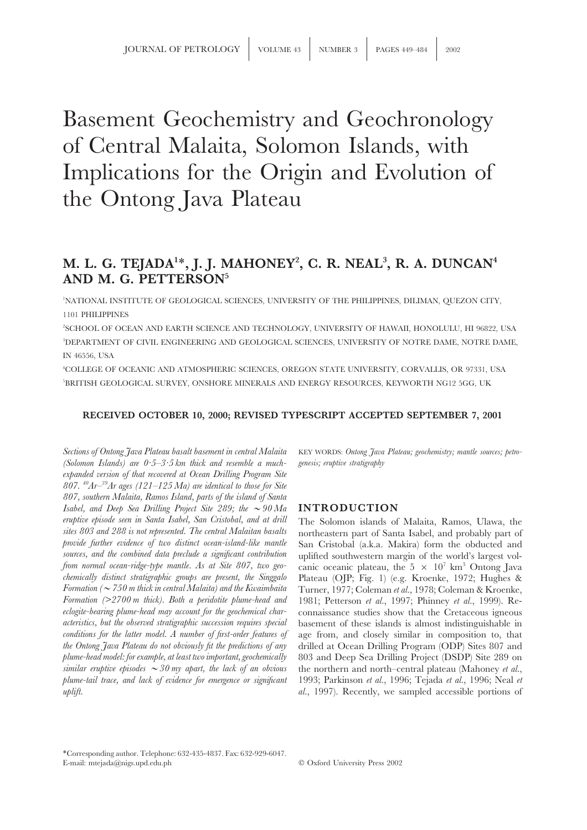# Basement Geochemistry and Geochronology of Central Malaita, Solomon Islands, with Implications for the Origin and Evolution of the Ontong Java Plateau

## **M. L. G. TEJADA1** ∗**, J. J. MAHONEY2 , C. R. NEAL3 , R. A. DUNCAN4 AND M. G. PETTERSON5**

1 NATIONAL INSTITUTE OF GEOLOGICAL SCIENCES, UNIVERSITY OF THE PHILIPPINES, DILIMAN, QUEZON CITY, 1101 PHILIPPINES

2 SCHOOL OF OCEAN AND EARTH SCIENCE AND TECHNOLOGY, UNIVERSITY OF HAWAII, HONOLULU, HI 96822, USA 3 DEPARTMENT OF CIVIL ENGINEERING AND GEOLOGICAL SCIENCES, UNIVERSITY OF NOTRE DAME, NOTRE DAME, IN 46556, USA

4 COLLEGE OF OCEANIC AND ATMOSPHERIC SCIENCES, OREGON STATE UNIVERSITY, CORVALLIS, OR 97331, USA 5 BRITISH GEOLOGICAL SURVEY, ONSHORE MINERALS AND ENERGY RESOURCES, KEYWORTH NG12 5GG, UK

### **RECEIVED OCTOBER 10, 2000; REVISED TYPESCRIPT ACCEPTED SEPTEMBER 7, 2001**

*Sections of Ontong Java Plateau basalt basement in central Malaita* KEY WORDS: *Ontong Java Plateau; geochemistry; mantle sources; petro- (Solomon Islands) are 0·5–3·5 km thick and resemble a much- genesis; eruptive stratigraphy expanded version of that recovered at Ocean Drilling Program Site 807. 40Ar–39Ar ages (121–125 Ma) are identical to those for Site 807, southern Malaita, Ramos Island, parts of the island of Santa Isabel, and Deep Sea Drilling Project Site 289; the*  $\sim$  90 Ma **INTRODUCTION** *eruptive episode seen in Santa Isabel, San Cristobal, and at drill* The Solomon islands of Malaita, Ramos, Ulawa, the *sites 803 and 288 is not represented. The central Malaitan basalts* progresser part of Santa Isabel, a *sites 803 and 288 is not represented. The central Malaitan basalts* northeastern part of Santa Isabel, and probably part of *sources, and the combined data preclude a significant contribution* uplifted southwestern margin of the world's largest vol-<br>*from normal ocean-ridge-type mantle. As at Site 807, two geo-* canic oceanic plateau, the 5  $\times$ *chemically distinct stratigraphic groups are present, the Singgalo* Plateau (OJP; Fig. 1) (e.g. Kroenke, 1972; Hughes & *Formation (*>*750 m thick in central Malaita) and the Kwaimbaita* Turner, 1977; Coleman *et al.*, 1978; Coleman & Kroenke, *eclogite-bearing plume-head may account for the geochemical char-* connaissance studies show that the Cretaceous igneous *acteristics, but the observed stratigraphic succession requires special* basement of these islands is almost indistinguishable in *conditions for the latter model. A number of first-order features of* age from, and closely similar in composition to, that *the Ontong Java Plateau do not obviously fit the predictions of any* drilled at Ocean Drilling Program (ODP) Sites 807 and *plume-head model: for example, at least two important, geochemically* 803 and Deep Sea Drilling Project (DSDP) Site 289 on *similar eruptive episodes*  $\sim$  30 my apart, the lack of an obvious the northern and north–central plateau (Mahoney *et al.*, *plume-tail trace, and lack of evidence for emergence or significant* 1993; Parkinson *et al.*, 1996; Tejada *et al.*, 1996; Neal *et uplift. al.*, 1997). Recently, we sampled accessible portions of

San Cristobal (a.k.a. Makira) form the obducted and *from canic oceanic plateau, the 5 × 10<sup>7</sup> km<sup>3</sup> Ontong Java Formation (>2700 m thick). Both a peridotite plume-head and* 1981; Petterson *et al.*, 1997; Phinney *et al.*, 1999). Re-

∗Corresponding author. Telephone: 632-435-4837. Fax: 632-929-6047. E-mail: mtejada@nigs.upd.edu.ph Oxford University Press 2002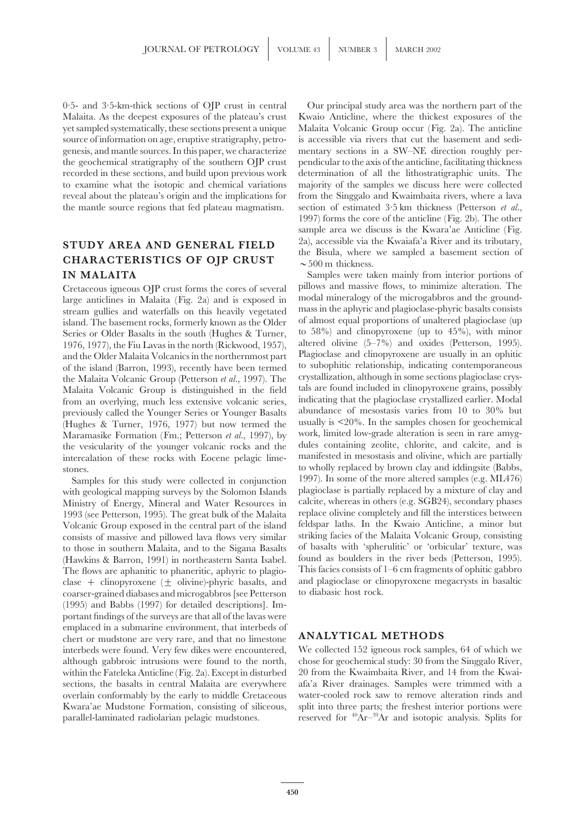0·5- and 3·5-km-thick sections of OJP crust in central Our principal study area was the northern part of the Malaita. As the deepest exposures of the plateau's crust Kwaio Anticline, where the thickest exposures of the yet sampled systematically, these sections present a unique Malaita Volcanic Group occur (Fig. 2a). The anticline source of information on age, eruptive stratigraphy, petro- is accessible via rivers that cut the basement and sedigenesis, and mantle sources. In this paper, we characterize mentary sections in a SW–NE direction roughly perthe geochemical stratigraphy of the southern OJP crust pendicular to the axis of the anticline, facilitating thickness recorded in these sections, and build upon previous work determination of all the lithostratigraphic units. The to examine what the isotopic and chemical variations majority of the samples we discuss here were collected reveal about the plateau's origin and the implications for from the Singgalo and Kwaimbaita rivers, where a lava the mantle source regions that fed plateau magmatism. section of estimated 3·5 km thickness (Petterson *et al.*,

large anticlines in Malaita (Fig. 2a) and is exposed in modal mineralogy of the microgabbros and the ground-<br>stream gullies and waterfalls on this heavily vegetated mass in the aphyric and plagioclase-phyric basalts consis island. The basement rocks, formerly known as the Older of almost equal proportions of unaltered plagioclase (up<br>Series or Older Basalts in the south (Hughes & Turner to 58%) and clinopyroxene (up to 45%), with minor Series or Older Basalts in the south (Hughes & Turner, 1976, 1977), the Fiu Lavas in the north (Rickwood, 1957), altered olivine  $(5-7%)$  and oxides (Petterson, 1995).<br>and the Older Malaita Volcanics in the northernmost part Plagioclase and clinopyroxene are usually in an ophi and the Older Malaita Volcanics in the northernmost part of the island (Barron, 1993), recently have been termed to subophitic relationship, indicating contemporaneous crystallization, although in some sections plagioclase crys- the Malaita Volcanic Group (Petterson *et al.*, 1997). The Malaita Volcanic Group is distinguished in the field tals are found included in clinopyroxene grains, possibly<br>from an overlying, much less extensive volcanic series, indicating that the plagioclase crystallized earlier. M from an overlying, much less extensive volcanic series, previously called the Younger Series or Younger Basalts abundance of mesostasis varies from 10 to 30% but<br>Hughes & Turner, 1976, 1977) but now termed the usually is <20%. In the samples chosen for geochemical (Hughes & Turner, 1976, 1977) but now termed the usually is  $\leq 20\%$ . In the samples chosen for geochemical Maramasike Formation (Fm.: Petterson *et al.*, 1997), by work, limited low-grade alteration is seen in rare amy Maramasike Formation (Fm.; Petterson *et al.*, 1997), by work, limited low-grade alteration is seen in rare amyg-<br>the vesicularity of the vounger volcanic rocks and the dules containing zeolite, chlorite, and calcite, and the vesicularity of the younger volcanic rocks and the dules containing zeolite, chlorite, and calcite, and is<br>intercalation of these rocks with Eocene pelagic lime- manifested in mesostasis and olivine, which are partiall intercalation of these rocks with Eocene pelagic limeto wholly replaced by brown clay and iddingsite (Babbs, stones.

with geological mapping surveys by the Solomon Islands Ministry of Energy, Mineral and Water Resources in calcite, whereas in others (e.g. SGB24), secondary phases 1993 (see Petterson, 1995). The great bulk of the Malaita replace olivine completely and fill the interstices between<br>Volcanic Group exposed in the central part of the island feldspar laths. In the Kwaio Anticline, a minor Volcanic Group exposed in the central part of the island consists of massive and pillowed lava flows very similar striking facies of the Malaita Volcanic Group, consisting<br>to those in southern Malaita, and to the Sigana Basalts of basalts with 'spherulitic' or 'orbicular' textur to those in southern Malaita, and to the Sigana Basalts of basalts with 'spherulitic' or 'orbicular' texture, was<br>(Hawkins & Barron, 1991) in northeastern Santa Isabel. found as boulders in the river beds (Petterson, 1995) (Hawkins & Barron, 1991) in northeastern Santa Isabel. found as boulders in the river beds (Petterson, 1995).<br>The flows are appanitic to phaneritic, apparition playio-<br>This facies consists of 1–6 cm fragments of ophitic ga The flows are aphanitic to phaneritic, aphyric to plagio-<br>
clase  $\pm$  clinopyroxene ( $\pm$  olivine)-phyric basalts and and plagioclase or clinopyroxene megacrysts in basaltic clase  $+$  clinopyroxene ( $\pm$  olivine)-phyric basalts, and and plagioclase or clinopyroxene megacyrists in basis in based of convergence megacyrisms in based on based on the convergence megacyrisms in based on the converg coarser-grained diabases and microgabbros [see Petterson (1995) and Babbs (1997) for detailed descriptions]. Important findings of the surveys are that all of the lavas were emplaced in a submarine environment, that interbeds of chert or mudstone are very rare, and that no limestone **ANALYTICAL METHODS** interbeds were found. Very few dikes were encountered, We collected 152 igneous rock samples, 64 of which we although gabbroic intrusions were found to the north, chose for geochemical study: 30 from the Singgalo River, within the Fateleka Anticline (Fig. 2a). Except in disturbed 20 from the Kwaimbaita River, and 14 from the Kwaisections, the basalts in central Malaita are everywhere afa'a River drainages. Samples were trimmed with a overlain conformably by the early to middle Cretaceous water-cooled rock saw to remove alteration rinds and Kwara'ae Mudstone Formation, consisting of siliceous, split into three parts; the freshest interior portions were parallel-laminated radiolarian pelagic mudstones. reserved for  ${}^{40}\text{Ar}^{-39}\text{Ar}$  and isotopic analysis. Splits for

1997) forms the core of the anticline (Fig. 2b). The other sample area we discuss is the Kwara'ae Anticline (Fig. **STUDY AREA AND GENERAL FIELD**  $\begin{array}{c} \text{2a), accessible via the Kwaiafa'a River and its tributary,} \\ \text{the Bisula, where we sampled a basement section of } \\ \sim 500 \text{ m thickness.} \end{array}$ 

**IN MALAITA** Samples were taken mainly from interior portions of Cretaceous igneous OJP crust forms the cores of several pillows and massive flows, to minimize alteration. The<br>large anticlines in Malaita (Fig. 2a) and is exposed in modal mineralogy of the microgabbros and the ground-Samples for this study were collected in conjunction 1997). In some of the more altered samples (e.g. ML476) ith geological manning surveys by the Solomon Islands plagioclase is partially replaced by a mixture of clay and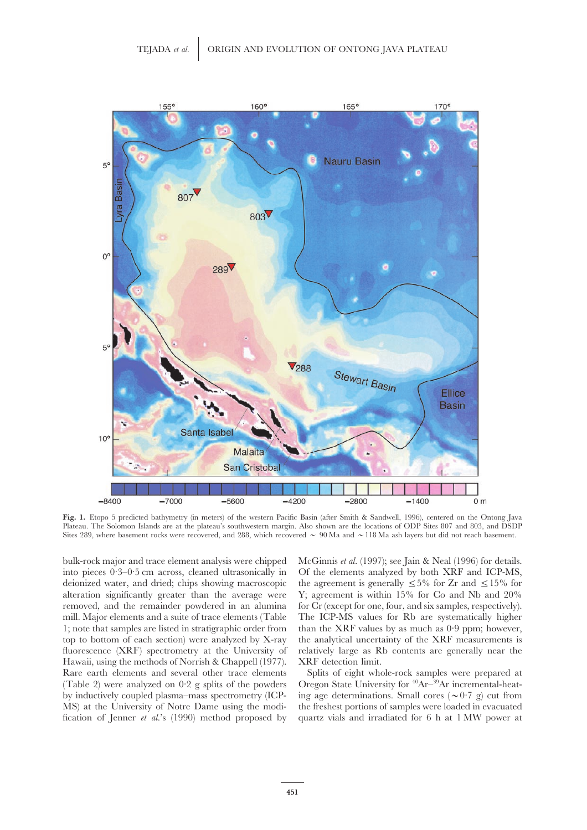

**Fig. 1.** Etopo 5 predicted bathymetry (in meters) of the western Pacific Basin (after Smith & Sandwell, 1996), centered on the Ontong Java Plateau. The Solomon Islands are at the plateau's southwestern margin. Also shown are the locations of ODP Sites 807 and 803, and DSDP Sites 289, where basement rocks were recovered, and 288, which recovered  $\sim$  90 Ma and  $\sim$ 118 Ma ash layers but did not reach basement.

into pieces 0·3–0·5 cm across, cleaned ultrasonically in Of the elements analyzed by both XRF and ICP-MS, Hawaii, using the methods of Norrish & Chappell (1977). XRF detection limit. Rare earth elements and several other trace elements Splits of eight whole-rock samples were prepared at

bulk-rock major and trace element analysis were chipped McGinnis *et al.* (1997); see Jain & Neal (1996) for details. deionized water, and dried; chips showing macroscopic the agreement is generally  $\leq 5\%$  for Zr and  $\leq 15\%$  for alteration significantly greater than the average were Y; agreement is within 15% for Co and Nb and 20% removed, and the remainder powdered in an alumina for Cr (except for one, four, and six samples, respectively). mill. Major elements and a suite of trace elements (Table The ICP-MS values for Rb are systematically higher 1; note that samples are listed in stratigraphic order from than the XRF values by as much as 0·9 ppm; however, top to bottom of each section) were analyzed by X-ray the analytical uncertainty of the XRF measurements is fluorescence (XRF) spectrometry at the University of relatively large as Rb contents are generally near the

(Table 2) were analyzed on 0·2 g splits of the powders Oregon State University for  $40Ar^{-39}Ar$  incremental-heatby inductively coupled plasma–mass spectrometry (ICP- ing age determinations. Small cores ( $\sim 0.7$  g) cut from MS) at the University of Notre Dame using the modi- the freshest portions of samples were loaded in evacuated fication of Jenner *et al.*'s (1990) method proposed by quartz vials and irradiated for 6 h at 1 MW power at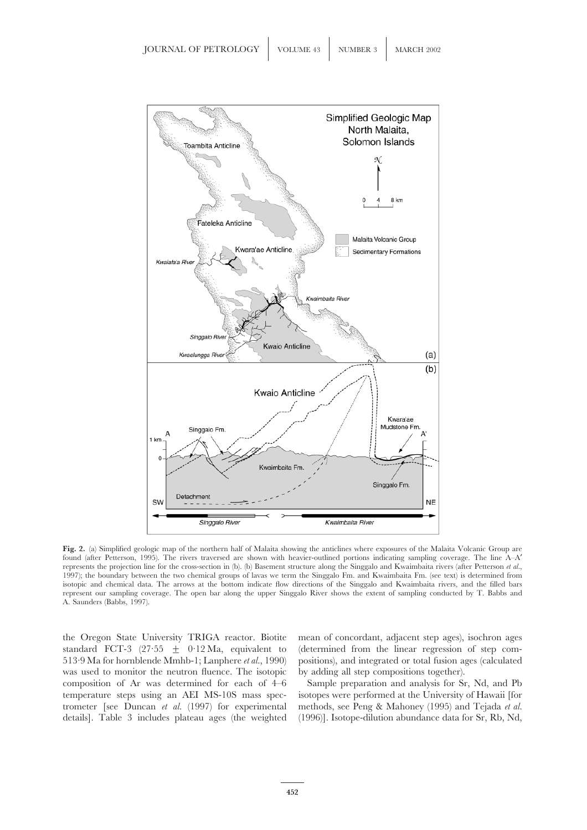

**Fig. 2.** (a) Simplified geologic map of the northern half of Malaita showing the anticlines where exposures of the Malaita Volcanic Group are found (after Petterson, 1995). The rivers traversed are shown with heavier-outlined portions indicating sampling coverage. The line A–A′ represents the projection line for the cross-section in (b). (b) Basement structure along the Singgalo and Kwaimbaita rivers (after Petterson *et al.*, 1997); the boundary between the two chemical groups of lavas we term the Singgalo Fm. and Kwaimbaita Fm. (see text) is determined from isotopic and chemical data. The arrows at the bottom indicate flow directions of the Singgalo and Kwaimbaita rivers, and the filled bars represent our sampling coverage. The open bar along the upper Singgalo River shows the extent of sampling conducted by T. Babbs and A. Saunders (Babbs, 1997).

the Oregon State University TRIGA reactor. Biotite mean of concordant, adjacent step ages), isochron ages standard FCT-3 (27.55  $\pm$  0.12 Ma, equivalent to (determined from the linear regression of step com-513·9 Ma for hornblende Mmhb-1; Lanphere *et al.*, 1990) positions), and integrated or total fusion ages (calculated was used to monitor the neutron fluence. The isotopic by adding all step compositions together). composition of Ar was determined for each of 4–6 Sample preparation and analysis for Sr, Nd, and Pb temperature steps using an AEI MS-10S mass spec- isotopes were performed at the University of Hawaii [for trometer [see Duncan *et al.* (1997) for experimental methods, see Peng & Mahoney (1995) and Tejada *et al.* details]. Table 3 includes plateau ages (the weighted (1996)]. Isotope-dilution abundance data for Sr, Rb, Nd,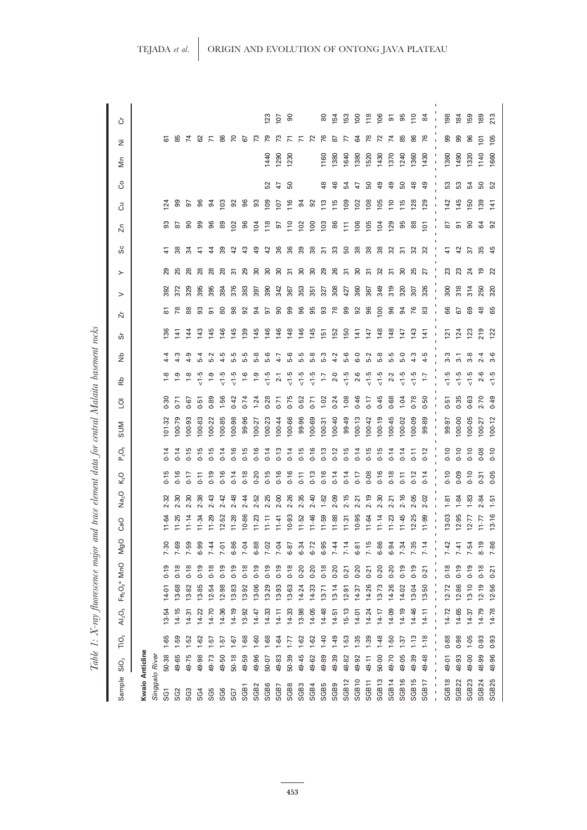| Sample                                  | $\overline{\text{SiO}}_2$ | TiO <sub>2</sub>       | AI <sub>2</sub> O <sub>3</sub> | $Fe2O3* MnO$ |          | $\circ$<br>ğ                 | CaO       | Na <sub>2</sub> O | $K2$ O                     | $P_2O_5$  | <b>NUS</b>       | $\overline{Q}$ | 운                 | đΝ             | Ň<br>ò           | $\rm{~}$       | ≻                              | တိ  | 넘               | ੌ                  | රි             | Σm   | ä                   | Ğ               |
|-----------------------------------------|---------------------------|------------------------|--------------------------------|--------------|----------|------------------------------|-----------|-------------------|----------------------------|-----------|------------------|----------------|-------------------|----------------|------------------|----------------|--------------------------------|-----|-----------------|--------------------|----------------|------|---------------------|-----------------|
| <b>Kwaio Anticline</b>                  |                           |                        |                                |              |          |                              |           |                   |                            |           |                  |                |                   |                |                  |                |                                |     |                 |                    |                |      |                     |                 |
| Singgalo River<br>SG1                   | 50.38                     | 1.65                   | 13-54                          | 14-01        | 0.19     | 7.30                         | 11.64     | 2.32              | $-1.5$                     | 0.14      | 101.32           | 0.30           | $\frac{8}{10}$    |                | 136              | $\overline{8}$ | 29<br>392                      |     | င္တ             | 124                |                |      |                     |                 |
| SG <sub>2</sub>                         | 49.65                     | 1.59                   | 14.15                          | 13-68        | 0.18     | 7.69                         | 11.25     | 2.30              | $-16$                      | 0.14      | 100.79           | $-5$           | $\ddot{5}$        | 4.3            | $\overline{141}$ |                | 372                            | 88  | ౚ               | 99                 |                |      | 5 8 7 8 7 8 7 8 7 8 |                 |
| SG3                                     | 49.75                     | 1.52                   | 14.31                          | 13-82        | 0.18     | 7.59                         |           | 2.30              |                            | $-15$     | 100.93           | 0.67           | $\frac{8}{10}$    | 4.9            | 144              |                | $^{28}$<br>329                 |     | ႜ               |                    |                |      |                     |                 |
| SG4                                     | 49.98                     | 1.62                   | 14.22                          | 13.85        | 0.19     | 6.99                         | 11.34     | 2.38              | 7.77                       | $-15$     | 100-83           | $-51$          | ت:                | $5-4$          | 143              | 3              | $\frac{8}{2}$<br>395           | 근   | ஐ               | 5 S                |                |      |                     |                 |
| SG5                                     | 49.73                     | 1.57                   | 14.70                          | 12.54        | 0.18     | 7.44                         | 11.29     | 2.43              | $-1.6$                     | $-1.5$    | 100-22           | 0.89           | <u>ت</u>          | 5.2            | 145              | 5              | $^{28}$<br>395                 | Ż   | န္တ             | 94                 |                |      |                     |                 |
| SG <sub>6</sub>                         | 49.50                     | $-57$                  | 14.36                          | 12.98        | 0.19     | 7.01                         | 12.52     | 2.42              | $-16$                      | 0.14      | 100-85           | $-56$          | ت.<br>ت           | 4.5            | 146              | 80             | 28<br>384                      | ్లా | 89              | $\frac{2}{2}$      |                |      |                     |                 |
| SG7                                     | 50.18                     | 1.67                   | 14.19                          | 13.83        | 0.19     | 6.86                         | 11.28     | 2.48              | 0.14                       | 0.16      | 100.98           | 0.42           | $\frac{5}{2}$     | 5.5            | 145              | 98             | స్<br>376                      | ₽   | 10 <sup>2</sup> | 92                 |                |      |                     |                 |
| SGB1                                    | 49.59                     | 1.68                   | 13.92                          | 13.92        | 0.18     | 7.04                         | 10.86     | 2.44              | 0.18                       | $-1.5$    | 99.96            | 74             | $\frac{6}{1}$     | 5.5            | 139              | $\overline{9}$ | ని<br>383                      | ఞ   | 8               | 96                 |                |      |                     |                 |
| SGB <sub>2</sub>                        | 49.96                     | $-60$                  | 14.47                          | 13-06        | 0.19     | 6.88                         | $11 - 23$ | 2.52              | 0.20                       | 0.16      | 100.27           | 1.24           | $\ddot{0}$        | 5.8            | 145              | 94             | 80<br>397                      | ఞ   | $\overline{5}$  | ္တ                 |                |      |                     |                 |
| SGB6                                    | 50.07                     | 1.68                   | 14.33                          | 13.29        | 0.19     | 7.02                         | $11 - 11$ | 2.25              | 0.15                       | $-14$     | 100-23           | $-28$          | ن<br>ج            | 5.6            | 146              | 57             | 20<br>390                      | ₽   | 118             | 109                | 52             | 440  |                     | $\overline{23}$ |
| SGB7                                    | 49.83                     | 1.64                   | 14.11                          | 13.93        | 0.19     | 7.04                         | $11 - 41$ |                   | $0.16$<br>$0.16$           | 0.13      |                  | $-5$           | $\overline{2}$ -1 | 4.7            | 146              | 90             | 80<br>342                      | 86  | 5               | 107                | $\overline{4}$ | 1290 | చి                  | IO <sub>7</sub> |
| SGB8                                    | 50.39                     | 1.77                   | 14.33                          | 13.63        | 0.18     | $6-8$                        | 10.93     | 2.36              |                            | 0.14      | 100-44<br>100-66 | 0.75           | 9.<br>∖           | 5.6            | 148              | 99             | స్<br>367                      | 36  | $\approx$       | 116                | င္ဟ            | 230  | Ξ                   | န္တ             |
| SGB3                                    | 49.45                     | $1 - 62$               | 13.98                          | 14.24        | 0.20     | 6.34                         | $11 - 52$ | 2.35              | $\overline{0}$             | 0.15      | 99.96            | $-52$          | ج _<br>^          | 5.5            | 146              | 96             | $\overline{\mathrm{S}}$<br>353 | జ   | $\tilde{5}$     | 64                 |                |      | $\overline{z}$      |                 |
| SGB4                                    | 49.62                     | 1.62                   | 14.05                          | 14.33        | $0 - 20$ | 6.72                         | 11.46     | 2.40              | 0.13                       | 0.16      | 100-69           | 0.71           | ت:                | 5.8            | 145              | 95             | $\overline{30}$<br>351         | 88  | $\overline{5}$  | $\overline{9}$     |                |      | $\overline{r}$      |                 |
| SGB5                                    | 49.89                     | $1 - 40$               | 14.48                          | $13 - 71$    | 0.18     | 6.95                         | 11.59     | 1.82              | 0.16                       | 0.13      | 100-31           | $-02$          | Ŀ,                | 5.3            | $\overline{5}$   | 93             | 29<br>327                      | స్  | $\frac{2}{2}$   | 113                | ఇ              | 160  | 76                  | 8               |
| SGB9                                    | 49.39                     | 1.49                   | 14.51                          | 13.14        | $0 - 20$ | 7.44                         | 11.88     | 2.09              | 0.14                       | 0.12      | 100-40           | 0.24           | $2 - 0$           | $4-2$          | 152              | 78             | 26<br>308                      | ೫   | 86              | 115                | 46             | 1380 | ౚ                   | 154             |
| SGB <sub>12</sub>                       | 48.82                     | 1.53                   | 15.13                          | 12.91        | 0.21     | 7.14                         | 11.31     | 2.15              | 0.14                       | 0.15      | 99.49            | $-08$          | $\frac{6}{2}$     | 5.6            | 150              | 99             | స్<br>427                      | 50  | $\overline{11}$ | 109                | 54             | 1640 |                     | igs             |
| SGB <sub>10</sub>                       | 49.92                     | 1.35                   | 14-01                          | 14-37        | 0.20     |                              | 10.95     | 2.21              |                            | 0.14      | 100.13           | $-46$          | 2.6               | 6.0            | $\frac{14}{1}$   | 92             | ္က<br>360                      | 38  | 106             | 102                | t,             | 1380 | ढ                   | $\overline{5}$  |
| SGB <sub>11</sub>                       | 49.11                     | 1.39                   | 14.24                          | 14-26        | 0.21     |                              | 11.64     | 2.19              | 0.77                       | 0.15      | 100-42           | 0.17           | $\frac{5}{2}$     | 5.2            | 147              | 96             | ్ల<br>367                      | 88  | <b>SOI</b>      | 108                | 50             | 520  | æ                   | $\frac{8}{10}$  |
| SGB <sub>13</sub>                       | 50.00                     | 1.48                   | 14.17                          | 13.73        | $0 - 20$ | 6.51<br>5.68<br>6.34<br>6.34 | 11.14     | 2.30              | 0.16                       | 0.15      | 100.19           | $-1.45$        | $\frac{6}{10}$    | 5.8            | 148              | $\overline{0}$ | 32<br>349                      | 88  | $\overline{5}$  | 105                | Ş.             | 1430 | 52                  | $\frac{8}{2}$   |
| SGB14                                   | 49.70                     | 1.50                   | 14.09                          | 14-26        | $0 - 20$ |                              | $11 - 23$ | 2.21              | 0.18                       | 0.14      | 100-45           | 0.68           | 2.2               | 5.5            | 148              | 96             | $\overline{5}$<br>319          | ೫   | 129             | $\frac{10}{10}$    | ဒ္             | 1370 | 74                  | 5               |
| SGB16                                   | 49.05                     | 1.37                   | 14.19                          | 14-02        | 0.19     |                              | $11 - 45$ | 2.16              | 0.11                       | 0.14      | 100-02           | $\overline{5}$ | ن<br>^            | 5.0            | 147              | 54             | 30<br>320                      | స్  | 95              | 115                | 50             | 1240 | 85                  | 95              |
| SGB15                                   | 49.39                     | 1.13                   | 14.46                          | 13-04        | 0.19     | 7.35                         | 12.25     | 2.05              | 0.12                       | 0.11      | 100-09           | 0.78           | $\frac{5}{2}$     | 4.3            | 143              | 76             | 25<br>307                      | ಜ   | 88              | 128                | $\frac{8}{3}$  | 1360 | 86                  | $\frac{1}{2}$   |
| SGB17                                   | 49.48                     | 1.18                   | 14.11                          | 13-50        | 0.21     | 7.14                         | 11.99     | 2.02              | 0.14                       | 0.12      | 99.89            | 0.50           | $\ddot{ }$ :7     | 4.5            | $\overline{141}$ | 83             | 57<br>326                      | ಜ   | $\overline{5}$  | 129                | QÞ             | 1430 | 76                  | $\mathfrak{A}$  |
| SGB <sub>18</sub><br>t<br>$\frac{1}{1}$ | 49.01<br>$\overline{1}$   | 0.88<br>$\overline{1}$ | 14.72<br>$\frac{1}{1}$         | 12.72        | 0.18     | 7.42<br>$\bar{\phantom{a}}$  | 13.03     | 1.81              | 0.10<br>$\bar{\mathbf{I}}$ | 0.10<br>ï | 99.97            | 0.51           | $\frac{6}{2}$     | 3.3            | $\overline{2}$   | 66             | 23<br>300<br>$\mathbf{I}$      | 근   | 52              | 142<br>$\mathsf I$ | S3             | 1360 | ஐ                   | 198             |
|                                         |                           |                        |                                |              |          |                              |           |                   |                            |           |                  |                |                   |                |                  |                |                                |     |                 |                    |                |      |                     |                 |
| SGB <sub>22</sub>                       | 48.93                     | 0.98                   | 14-65                          | 12.86        | 0.19     | $7-41$                       | 12.95     | 1.84              | 0.09                       | 0.10      | 00.00            | 0.35           | $\frac{6}{2}$     | $\overline{3}$ | 124              | 67             | 23<br>318                      | ੩   | వ్              | 145                | ಜ              | 1490 | 99                  | 184             |
| SGB <sub>23</sub>                       | 49.00                     | 1.05                   | 14.37                          | $13-10$      | 0.19     | 7.54                         | 12.77     | 1.83              | 0.10                       | 0.10      | 100-05           | 0.63           | $\frac{5}{2}$     | 3.8            | 123              | 69             | 24<br>314                      | స్  | ္တ              | 150                | 54             | 1320 | 96                  | 159             |
| SGB24                                   | 48.99                     | 0.93                   | 14.79                          | 12.19        | 0.18     | 8.19                         | $17 - 77$ | 2.84              | 0.31                       | 0.08      | 100-27           | 2.70           | $\frac{6}{2}$     |                | 219              | 48             | മ<br>250                       | జ   | 3               | 139                | ន ន            | 1140 | $\frac{5}{105}$     | 189             |
| SGB25                                   | 48.96                     | 0.93                   | 14.78                          | 12.56        | 0.21     | 7.86                         | 13.16     | $1-51$            | 0.05                       | 0.10      | 100-12           | 0.49           | $\frac{5}{2}$     | 3.6            | 122              | 65             | 22<br>320                      | 45  | 92              | $\overline{14}$    |                | 1660 |                     | 213             |

Table 1: X-ray fluorescence major and trace element data for central Malaita basement rocks *fluorescence major and trace element data for central Malaita basement rocks Table 1: X-ray*

**453**

## TEJADA *et al*. ORIGIN AND EVOLUTION OF ONTONG JAVA PLATEAU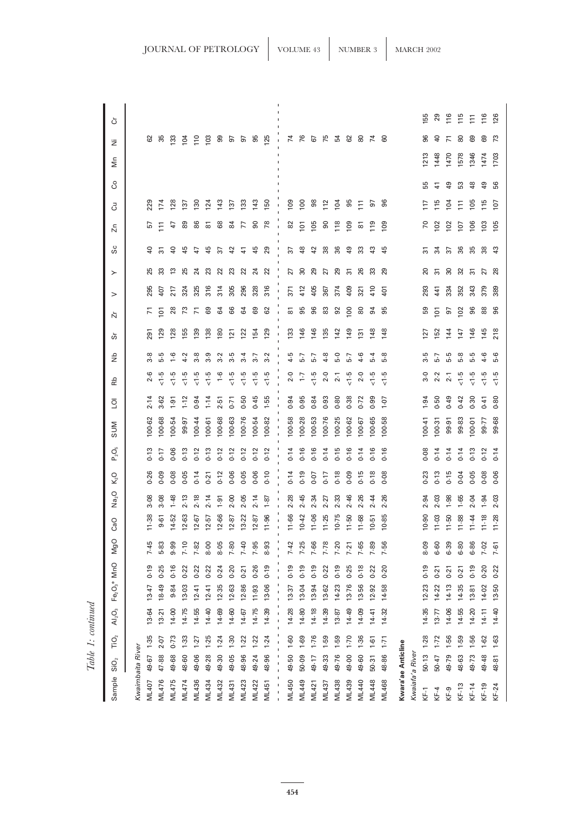| Sample       | SiO <sub>2</sub>   | TiO <sub>2</sub> | AI <sub>2</sub> O <sub>3</sub> | Fe <sub>2</sub> O <sub>3</sub> * MnO |          | NgC      | CaO       | Na <sub>2</sub> O | $K2$ O                                | $P_2O_5$ | <b>MUS</b> | $\overline{Q}$ | 운              | dk     | ທັ             | $\rm{~}$<br>ň      | $\succ$   | Sc                                | ń              | පි              | රි              | Μn         | Ë              | Ğ               |
|--------------|--------------------|------------------|--------------------------------|--------------------------------------|----------|----------|-----------|-------------------|---------------------------------------|----------|------------|----------------|----------------|--------|----------------|--------------------|-----------|-----------------------------------|----------------|-----------------|-----------------|------------|----------------|-----------------|
|              | Kwaimbaita River   |                  |                                |                                      |          |          |           |                   |                                       |          |            |                |                |        |                |                    |           |                                   |                |                 |                 |            |                |                 |
| <b>ML407</b> | 49.67              | 1.35             | 13.64                          | $13-47$                              | 0.19     | 7.45     | 11.38     | 3.08              | 0.26                                  | 0.13     | 100-62     | 2.14           |                | 3.8    | 291            | $\overline{r}$     | 295       | ş<br>25                           |                | 229             |                 |            |                |                 |
| ML476        | 47.88              | 2.07             | $13-21$                        | 18.49                                | 0.25     | 5.83     | $9-61$    | 3.08              | 0.09                                  | 0.17     | 100-68     | 3.62           | $\frac{5}{2}$  | 5.5    | 129            | $\overline{5}$     | 407       | స్<br>္က                          | Ξ              | 174             |                 |            | ಜ ಜ            |                 |
| ML475        | 49.68              | $0 - 73$         | 14.00                          | 9.84                                 | 0.16     | 9.99     | 14.52     | $1 - 48$          | 0.08                                  | 0.06     | 100-54     | 1.91           | $\frac{6}{2}$  | $-1.6$ | 128            | 28                 | 217       | ş<br>≌                            | 47             | 128             |                 |            | 133            |                 |
| <b>ML474</b> | 48.60              | 1.33             | 14.75                          | 13.03                                | 0.22     | $7 - 10$ | 12.63     | 2.13              | 0.05                                  | 0.13     | 99.97      | $1 - 72$       | $\frac{5}{2}$  | 4.2    | 155            | 73                 | 324       | 45<br>25                          | 89             | 137             |                 |            | 104            |                 |
| ML436        | 49.06              | 1.27             | 14.55                          | $12 - 41$                            | 0.22     | 7.82     | $12 - 67$ | 2.18              | 0.14                                  | 0.12     | 100-44     | 0.94           | $\frac{6}{2}$  | 3.8    | 139            | $\overline{r}$     | 325       | A                                 | 86             | $\frac{8}{2}$   |                 |            | $\frac{1}{2}$  |                 |
| ML434        | 49.28              | 1.25             | 14.40                          | $12 - 41$                            | 0.22     | 8.00     | 12.57     | 2.14              | 0.21                                  | 0.13     | 100-61     | $1 - 14$       | $\frac{6}{2}$  | 3.9    | 138            | 69                 | 316       | 45<br>23                          | 6              | 124             |                 |            | 103            |                 |
| ML432        | 49.30              | 1.24             | 14.69                          | 12.35                                | 0.24     | 8.05     | 12.66     | 1.91              | 0.12                                  | 0.12     | 100-68     | 2.51           | $\frac{6}{1}$  | 3.2    | $\frac{80}{2}$ | 64                 | 314       | స్<br>22                          | 68             | 143             |                 |            | ၜ              |                 |
| ML431        | 49.05              | $-30$            | 14.60                          | 12.63                                | $0 - 20$ | $7 - 80$ | 12.87     | 2.00              | 0.06                                  | 0.12     | 100-63     | 0.71           | $\frac{6}{2}$  | 3.5    | $\overline{2}$ | 66                 | 305       | ₽<br>23                           | 84             | 137             |                 |            | 57             |                 |
| ML423        | 48.96              | 1.22             | 14.67                          | 12.86                                | 0.21     | $7 - 40$ | 13-22     | 2.05              | 0.05                                  | 0.12     | 100.76     | 0.50           | $\frac{6}{2}$  | $3-4$  | 122            | 64                 | 296       | $\frac{4}{7}$<br>22               | 77             | 133             |                 |            | 5              |                 |
| ML422        | 49.24              | 1.22             | 14.75                          | 11.93                                | 0.26     | 7.95     | 12.87     | 2.14              | 0.06                                  | 0.12     | 100-54     | 0.45           | $\frac{6}{2}$  | 3.7    | 154            | 69                 | 328       | 45<br>$\overline{24}$             | 90             | 143             |                 |            | 95             |                 |
| ML451        | 48.96              | 1.24             | 14.39                          | 13.06                                | 0.19     | 8.93     | 11.96     | 1.87              | 0.10                                  | 0.12     | 100-82     | 1.55           | $\frac{6}{2}$  | 3.2    | 129            | 62                 | 316       | 29<br>22                          | 78             | 150             |                 |            | <b>125</b>     |                 |
|              |                    |                  |                                |                                      |          |          |           |                   | $\mathsf{I}\hspace{-1.5pt}\mathsf{I}$ |          |            |                |                |        |                |                    | ı         |                                   |                | 1               |                 |            |                |                 |
| ML450        | 49.50              | $1-60$           | 14.28                          | 13.37                                | 0.19     | 7.42     | 11.66     | 2.28              | 0.14                                  | 0.14     | 100-58     | 0.94           | $2 - 0$        | 4.5    | 133            | $\overline{\circ}$ | 371       | 57<br>27                          | $82\,$         | 109             |                 |            | 74             |                 |
| ML449        | 50.09              | 1.69             | 14.80                          | 13-04                                | 0.19     | 7.25     | 10.42     | 2.45              | 0.19                                  | 0.16     | 100.28     | 0.95           | $\ddot{ }$ :1  | 5.7    | 146            | 95                 | 412       | $\frac{8}{3}$<br>$\overline{30}$  | $\overline{5}$ | 100             |                 |            | 76             |                 |
| ML421        | 49.17              | 1.76             | 14.18                          | 13.94                                | 0.19     | 7.66     | 11.06     | 2.34              | 0.07                                  | 0.16     | 100-53     | 0.84           | $\frac{5}{2}$  | 5.7    | 146            | 96                 | 405       | $\overline{4}$<br>29              | 105            | 98              |                 |            | 67             |                 |
| ML437        | 49.33              | 1.59             | 14.39                          | 13-62                                | 0.22     | 7.78     | 11.25     | 2.27              | 0.17                                  | 0.14     | 100.76     | 0.93           | 2.0            | 4.8    | 135            | 83                 | 57<br>367 | 38                                | $\mathsf{S}$   | 112             |                 |            | 75             |                 |
| <b>ML438</b> | 49.76              | 1.59             | 13.87                          | 14.23                                | 0.19     | 7.20     | 10.75     | 2.33              | 0.18                                  | 0.15     | 100-25     | 0.80           | $2-1$          | 5.0    | 142            | 92                 | 374       | 36<br>29                          | 118            | 104             |                 |            |                |                 |
| ML439        | 49.00              | 1.70             | 14.49                          | 13.76                                | 0.25     | 7.21     | 11.50     | 2.46              | 0.09                                  | 0.16     | 100-62     | 0.38           | $\frac{6}{2}$  | 5.7    | 149            | $\overline{0}$     | స్<br>409 | $\overline{6}$                    | 109            | 95              |                 |            | 54<br>62       |                 |
| <b>ML440</b> | 49.60              | 1.36             | 14.09                          | 13.56                                | 0.18     | 7.65     | 11.68     | 2.26              | 0.15                                  | 0.14     | 100-67     | 0.72           | 2.0            | $4-6$  | $\overline{5}$ | $^{\circ}$         | 321       | జ<br>26                           | ౚ              | $\Xi$           |                 |            | 8 Z            |                 |
| ML448        | 50.31              | $-1.61$          | 14.41                          | 12.92                                | 0.22     | 7.89     | 10.51     | 2.44              | 0.18                                  | 0.16     | 100.65     | 0.99           | $\frac{6}{10}$ | $5-4$  | 148            | $\overline{5}$     | 410       | $\frac{3}{4}$<br>೫                | $\frac{9}{2}$  | 5               |                 |            |                |                 |
| ML468        | 48.86              | 1.71             | 14.32                          | 14-58                                | 0.20     | 7.56     | 10.85     | 2.26              | 0.08                                  | 0.16     | 100-58     | $-0.1$         | $\frac{6}{2}$  | 5.8    | 148            | 95                 | 401       | 45<br>29                          | $\frac{8}{2}$  | 96              |                 |            | 60             |                 |
|              | Kwara'ae Anticline |                  |                                |                                      |          |          |           |                   |                                       |          |            |                |                |        |                |                    |           |                                   |                |                 |                 |            |                |                 |
|              | Kwaiafa'a River    |                  |                                |                                      |          |          |           |                   |                                       |          |            |                |                |        |                |                    |           |                                   |                |                 |                 |            |                |                 |
| KF-1         | 50.13              | 1.28             | 14.35                          | 12.23                                | 0.19     | 8.09     | 10.90     | 2.94              | 0.23                                  | 0.08     | 100-41     | 1.94           | 3.0            | 3.5    | 127            | 59                 | 293       | స్<br>20                          | $\sqrt{2}$     | 117             | 55              | <b>213</b> | 96             | <b>155</b>      |
| $KF-4$       | 50.47              | $1 - 72$         | 13.77                          | 14-22                                | $0 - 21$ | $6 - 60$ | 11.03     | 2.03              | 0.13                                  | 0.14     | 100-31     | 0.50           | 2.2            | 5.7    | 152            | $\overline{5}$     | 441       | 34<br>$\overline{5}$              | 102            | $\frac{5}{11}$  | $\mathcal{A}$   | 1448       | $\overline{a}$ | 29              |
| KF-9         | 49.79              | 1.56             | 14-06                          | 14.13                                | 0.21     | 6.39     | $11 - 50$ | 1.98              | 0.15                                  | 0.14     | 99.91      | 0.49           | 2.1            | 5.5    | 144            | 57                 | 334       | 57<br>30                          | 102            | 104             | $\overline{49}$ | 1470       | Σ              | 116             |
| KF-13        | 48.63              | 1.59             | 14.55                          | 14.35                                | 0.21     | 6.80     | 11.88     | 1.65              | 0.04                                  | 0.14     | 99.83      | 0.42           | $\frac{6}{2}$  | 5.8    | 147            | 10 <sup>2</sup>    | 352       | 36<br>32                          | 107            | $\overline{11}$ | S3              | 1578       | 80             | $\frac{5}{15}$  |
| $KF-14$      | 49.73              | 1.56             | 14-20                          | 13-81                                | 0.19     | 6.86     | 11.44     | 2.04              | 0.05                                  | 0.13     | 100-01     | 0.30           | $\frac{6}{2}$  | 5.5    | 146            | 96                 | 343       | 35<br>స్                          | 106            | 105             | 48              | 1346       | 69             | $\overline{11}$ |
| $KF-19$      | 49.48              | 1.62             | 14.11                          | 14.02                                | 0.20     | $7 - 02$ | 11.18     | 1.94              | 0.08                                  | 0.12     | 99.77      | 0.41           | $\frac{5}{2}$  | $4-6$  | 145            | 88                 | 379       | 38<br>27                          | 103            | $\frac{5}{115}$ | $\overline{49}$ | 1474       | ගි             | 116             |
| $KF-24$      | 48.81              | $1-63$           | 14-40                          | 13-50                                | 0.22     | 7.61     | 11.28     | 2.03              | 0.06                                  | 0.14     | 99.68      | 0.80           | $\frac{6}{2}$  | 5.6    | 218            | 96                 | 389       | $\boldsymbol{\mathfrak{P}}$<br>28 | 105            | 107             | 56              | 1703       | $\tilde{7}$    | 126             |

JOURNAL OF PETROLOGY  $\Big|\$  vOLUME 43  $\Big|\$  NUMBER 3  $\Big|\$  MARCH 2002

 $Table~1: continued \label{table}$ *Table 1: continued*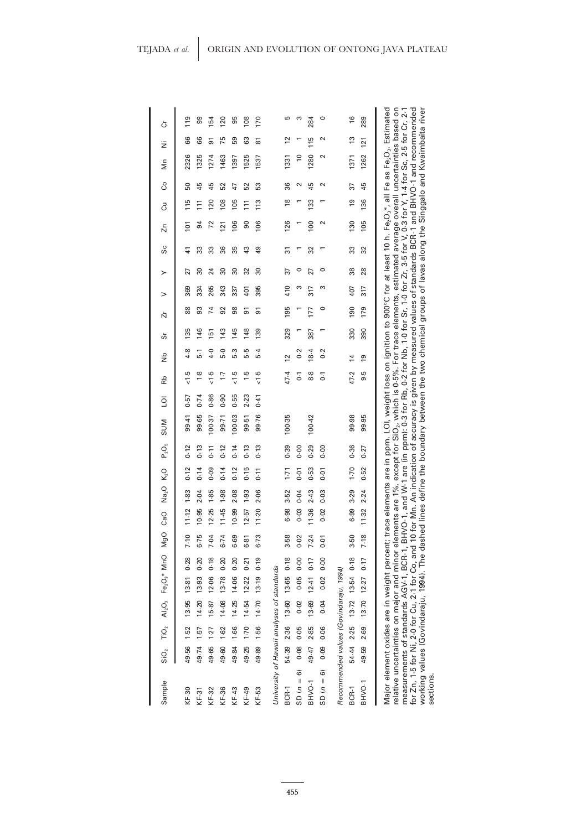| Sample                                                                                                                                                                                                                                                                                                                                                                                                                                                                                 |            |            | $\overline{O}_2$ $\overline{O}_2$ $\overline{O}_3$ $\overline{O}_3$ $\overline{Fe}_2O_3$ $\overline{O}_3$ $\overline{O}_1$ |                  |      | MgO      | CaO       | Na <sub>2</sub> O K <sub>2</sub> O |          | $P_2O_5$ | <b>MIDS</b>                                                                                                                                                                                                                                                                                                                                                                  | $\overline{O}$ | Rb             | ŝ                 | တ်  | ή              | >   | ≻               | ပိပ | $\overline{z}$  | Ğ               | S  | Σm             | ż              | ò             |
|----------------------------------------------------------------------------------------------------------------------------------------------------------------------------------------------------------------------------------------------------------------------------------------------------------------------------------------------------------------------------------------------------------------------------------------------------------------------------------------|------------|------------|----------------------------------------------------------------------------------------------------------------------------|------------------|------|----------|-----------|------------------------------------|----------|----------|------------------------------------------------------------------------------------------------------------------------------------------------------------------------------------------------------------------------------------------------------------------------------------------------------------------------------------------------------------------------------|----------------|----------------|-------------------|-----|----------------|-----|-----------------|-----|-----------------|-----------------|----|----------------|----------------|---------------|
| KF-30                                                                                                                                                                                                                                                                                                                                                                                                                                                                                  | 49.56      | 1.52       |                                                                                                                            | 13.95 13-81 0-28 |      | 7.10     | $11 - 12$ | 1.83                               | 0.12     | 0.12     | 99.41                                                                                                                                                                                                                                                                                                                                                                        | (9.5)          | $-1.5$         | 4.8               | 135 | 88             | 369 | 27              | 41  | 101             | 115             | 50 | 2326           | 66             | 119           |
| $KF-31$                                                                                                                                                                                                                                                                                                                                                                                                                                                                                | 49.74      | $1 - 57$   |                                                                                                                            | 14.20 13.93 0.20 |      | 6.75     | 10.95     | 2-04                               | 0.14     | 0.13     | 99.65                                                                                                                                                                                                                                                                                                                                                                        | 0.74           | $\frac{8}{10}$ | 5.1               | 146 | 93             | 334 | 30              | ౢ   | 94              | $\overline{11}$ | 45 | 1325           | 66             | 99            |
| KF-32                                                                                                                                                                                                                                                                                                                                                                                                                                                                                  | 49.65      | 1.27       |                                                                                                                            | 15-87 12-06      | 0.18 | $7 - 04$ | 12.25     | 1.85                               | 0.09     | $5 - 1$  | 100.37                                                                                                                                                                                                                                                                                                                                                                       | 0.86           | $-1.5$         | $-4.0$            | 151 | $\overline{1}$ | 265 | 24              | တ္တ | $\overline{72}$ | 120             | 45 | 1274           | 51             | 154           |
| KF-36                                                                                                                                                                                                                                                                                                                                                                                                                                                                                  | 49.60      | 1.62       |                                                                                                                            | 14.08 13.78      | 0.20 | 6.74     | 11.45     | 1.98                               | 0.14     | 0.12     | 99.71                                                                                                                                                                                                                                                                                                                                                                        | 0.90           | $\overline{.}$ | c,q               | 143 | 92             | 343 | 80              | 36  | $\overline{21}$ | 108             | 52 | 1463           | 75             | <b>20</b>     |
| $KF-43$                                                                                                                                                                                                                                                                                                                                                                                                                                                                                | 49.84      | 1.66       | 14.25                                                                                                                      | 14.06            | 0.20 | 6-69     | 10.99     | 2.08                               | 0.12     | 0.14     | 100.03                                                                                                                                                                                                                                                                                                                                                                       | 0.55           | $\frac{5}{2}$  | ς.ά               | 145 | 98             | 337 | 30              | 55  | 106             | 105             | 47 | 1397           | 59             | 95            |
| $KF-49$                                                                                                                                                                                                                                                                                                                                                                                                                                                                                | 49.25      | 1.70       |                                                                                                                            | 14.54 12.22      | 0.21 | 6.81     | 12-57     | 1.93                               | 0.15     | 0.13     | 99.51                                                                                                                                                                                                                                                                                                                                                                        | 2.23           | $\frac{1}{2}$  | 5.5               | 148 | 5              | 401 | 32              | 43  | 80              | $\overline{11}$ | 52 | 1525           | 63             | 108           |
| KF-53                                                                                                                                                                                                                                                                                                                                                                                                                                                                                  | 49.89      | 1.56       |                                                                                                                            | 14.70 13.19      | 0.19 | 6.73     | $11 - 20$ | 2.06                               | 0.11     | 0.13     | 99.76                                                                                                                                                                                                                                                                                                                                                                        | $0 - 41$       | $\frac{6}{2}$  | $5-4$             | 139 | 5              | 395 | $\overline{30}$ | ą,  | 106             | 113             | 53 | <b>1537</b>    | ౚ              | 170           |
| University of Hawaii analyses of standards                                                                                                                                                                                                                                                                                                                                                                                                                                             |            |            |                                                                                                                            |                  |      |          |           |                                    |          |          |                                                                                                                                                                                                                                                                                                                                                                              |                |                |                   |     |                |     |                 |     |                 |                 |    |                |                |               |
| BCR-1                                                                                                                                                                                                                                                                                                                                                                                                                                                                                  |            | 54.39 2.36 |                                                                                                                            | 13-60 13-65 0-18 |      | 3.58     | 6.98      | 3.52                               | 1.71     | 0.39     | 100.35                                                                                                                                                                                                                                                                                                                                                                       |                | 47.4           | $\overline{c}$    | 329 | 195            | 410 | 57              | స్  | 126             | $\frac{8}{2}$   | 36 | 1331           |                | ഥ             |
| $SD(n = 6)$                                                                                                                                                                                                                                                                                                                                                                                                                                                                            |            | 0.08 0.05  |                                                                                                                            | $0.02$ 0.05 0.00 |      | $0 - 02$ | 0.03      | 0.04                               | 0.01     | 0.00     |                                                                                                                                                                                                                                                                                                                                                                              |                | 5              | $\sim$            |     |                |     | 0               |     |                 |                 |    | $\overline{c}$ |                | S             |
| BHVO-1                                                                                                                                                                                                                                                                                                                                                                                                                                                                                 | 49.47 2.85 |            |                                                                                                                            | 13.69 12.41 0.17 |      | 7.24     | 11.36     | 2.43                               | 0.53     | 0.29     | 100-42                                                                                                                                                                                                                                                                                                                                                                       |                | 8.8            | 18.4              | 387 | 177            | 317 | 27              | 32  | $\overline{00}$ | 133             | 45 | 1280           | $\frac{5}{10}$ | 284           |
| $SD(n = 6)$                                                                                                                                                                                                                                                                                                                                                                                                                                                                            |            | 0.09 0.06  | 0.04                                                                                                                       | $0.02$ 0.00      |      | $0 - 01$ | 0.02      | 0.03                               | 0.01     | 0.00     |                                                                                                                                                                                                                                                                                                                                                                              |                | $\overline{5}$ | $\overline{0}$ :2 |     |                |     |                 |     |                 |                 |    |                |                |               |
| Recommended values (Govindaraju, 1994)                                                                                                                                                                                                                                                                                                                                                                                                                                                 |            |            |                                                                                                                            |                  |      |          |           |                                    |          |          |                                                                                                                                                                                                                                                                                                                                                                              |                |                |                   |     |                |     |                 |     |                 |                 |    |                |                |               |
| BCR-1                                                                                                                                                                                                                                                                                                                                                                                                                                                                                  |            |            | 54.44 2-25 13-72 13-54 0-18                                                                                                |                  |      | 3.50     | 6.99      | 3.29                               | $1 - 70$ | 0.36     | 99.98                                                                                                                                                                                                                                                                                                                                                                        |                | 47.2           | $\overline{4}$    | 330 | 190            | 407 | 38              | ౢ   | 130             | $\overline{9}$  | 57 | 1371           | $\frac{3}{2}$  | $\frac{6}{2}$ |
| BHVO-1                                                                                                                                                                                                                                                                                                                                                                                                                                                                                 |            |            | 49.59 2.69 13.70 12.27 0.17                                                                                                |                  |      | 7.18     | 11.32     | 2.24                               | 0.52     | 0.27     | 99.95                                                                                                                                                                                                                                                                                                                                                                        |                | 9.5            | <u>ღ</u>          | 390 | 179            | 317 | 28              | 32  | 105             | 136             | 45 | 1262           | 121            | 289           |
| Major element oxides are in weight percent; trace elements are in ppm. LOI, weight loss on ignition to 900°C for at least 10 h. Fe,O,*, all Fe as Fe,O,. Estimated<br>for Zn, 1-5 for Ni, 2-0 for Cu, 2-1 for Co, and 10 for Mn. An indication of accuracy is given by measured values of standards BCR-1 and BHVO-1 and recommended<br>measurements of standards AGV-1, BCR-1,<br>working values (Govindaraju, 1994). The d<br>relative uncertainties on major and minor<br>sections. |            |            |                                                                                                                            |                  |      |          |           |                                    |          |          | elements are 1%, except for SiO,, which is 0.5%. For trace elements, estimated average overall uncertainties based on<br>BHVO-1, and W-1 are (in ppm): 0-3 for Rb, 0-2 for Nb, 1-0 for Sr, 1-0 for Zr, 3-5 for V, 0-3 for Y, 1-4 for Sc, 2-5 for Cr, 2-1<br>ashed lines define the boundary between the two chemical groups of lavas along the Singgalo and Kwaimbaita river |                |                |                   |     |                |     |                 |     |                 |                 |    |                |                |               |

### **455**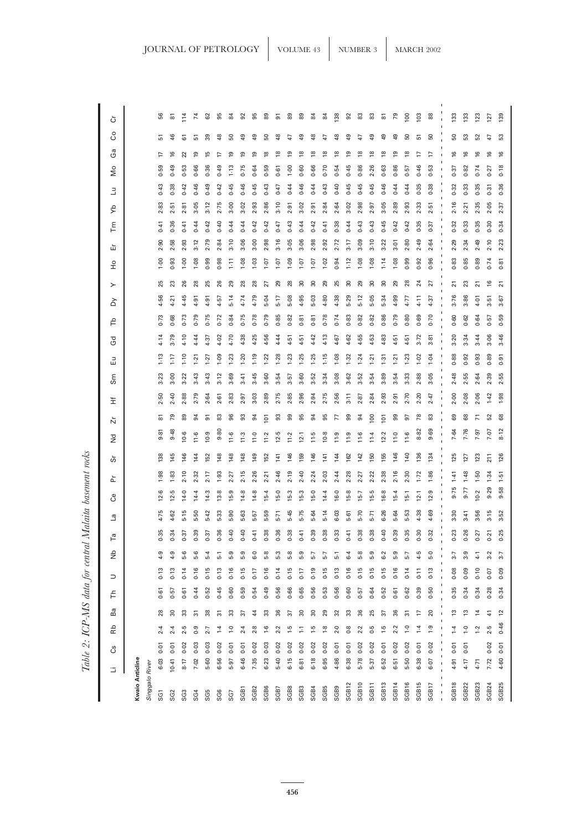| ⋍                         |            | යී            | Βb                  | Вa              | ᅻ                   | コ         | ξ          | e,              | e,         | පී               | ՟          | ώ              | ň<br>š              |                | Ĕ          | 品<br>Sm             | යි                      | ΡF        | ≿         | ≻                 | $\frac{1}{2}$ | 屲               | Γm        | ₹         | ∃          | δ         | යී                      | ပိ             | ò                  |
|---------------------------|------------|---------------|---------------------|-----------------|---------------------|-----------|------------|-----------------|------------|------------------|------------|----------------|---------------------|----------------|------------|---------------------|-------------------------|-----------|-----------|-------------------|---------------|-----------------|-----------|-----------|------------|-----------|-------------------------|----------------|--------------------|
| Kwaio Anticline           |            |               |                     |                 |                     |           |            |                 |            |                  |            |                |                     |                |            |                     |                         |           |           |                   |               |                 |           |           |            |           |                         |                |                    |
| Singgalo River            |            |               |                     |                 |                     |           |            |                 |            |                  |            |                |                     |                |            |                     |                         |           |           |                   |               |                 |           |           |            |           |                         |                |                    |
| SG <sub>1</sub>           | 6.03       | 0.01          | 2.4                 | 28              | 0.61                | 0.13      | 4.9        | -35             | 4.75       | 6<br>$\tilde{5}$ | 1.98       | $\frac{8}{36}$ | 9.81                | ౚ              | ន          | ಔ                   | 4.14<br>$1-13$          | 0.73      | 4.56      | 25                | 1.00          | 2.90            | 0.41      | 2.83      | 0.43       | 59        | 17                      | 5              | 56                 |
| SG <sub>2</sub>           | $10-41$    | 0.01          | 2.4                 | ౚ               | 0.57                | 0.13      |            | $\ddot{3}$      | 4.62       | டி<br>12.        | 1.83       | 145            | 9.48                | 54             | 2.40       | 3.00                | 3.79<br>$1 - 17$        | 0.68      | 4.21      | 23                | 0.93          | 2.58            | 0.36      | 2.51      | 0.38       | 0.49      | $\overline{6}$          | 46             | 5                  |
| SG3                       | 8.17       | 0.02          | 2.5                 | ౢ               | 0.61                | 0.14      | 5.6        | 57              | 5.15       | $14-0$           | 2.10       | $\frac{46}{5}$ | 10.6                | 89             | 2.88       | 3.22                | 4.10<br>1.10            | 0.73      | 4.45      | 26                | 1.00          | 2.93            | 0.41      | 2.81      | 0.42       | 0.53      | $\overline{2}$          | 5              | 114                |
| SG <sub>4</sub>           | 7.02       | 0.03          | $\overline{0}$      | 5               | 0.44                | 0.16      | 5.6        | ్రె             | 5-50       | 14.4             | 2.32       | $\overline{4}$ | 11.6                | 54             | 2.79       | 3.43                | 4.44<br>1.21            | 0.79      | 4.91      | 28                | 1.08          | 3.12            | 0.44      | 3.05      | 0.46       | 0.66      | ഇ                       | 5              | $\overline{7}$     |
| SG5                       | 5.60       | 0.03          | 2.7                 | 8               | 0.52                | 0.15      | $-5.4$     | $\ddot{3}$      | 5.42       | 14.3             | 2.17       | 152            | 10.9                | 5              | 2.64       | 3.43                | 4.37<br>1.27            | 0.75      | 4.91      | 25                | 0.99          | 2.79            | 0.42      | 3.12      | 0.49       | 0.36      | 의                       | 39             | 62                 |
| SG <sub>6</sub>           | 6.56       | 0.02          | 74                  | స్              | 0.45                | 0.13      | 2          | $\overline{36}$ | 5.33       | 13.8             | 1.93       | 148            | 9.80                | 83             | 2.61       | 3.12                | 4.02<br>1.09            | 0.72      | 4.57      | 26                | 0.98          | 2.84            | 0.40      | 2.75      | 0.42       | 0.49      | F                       | 48             | 95                 |
| SG7                       | 5.97       | 0.01          | $\overline{1}$ .0   | 33              | 0.60                | 0.16      | 5.9        | $\overline{a}$  | 5.90       | 15.9             | 2.27       | 148            | 11.6                | 96             | 2.83       | 3.69                | 4.70<br>1.23            | 0.84      | 5.14      | 29                | 1.11          | 3.10            | 0.44      | $3-00$    | 0.45       | $1 - 13$  | ഇ                       | 50             | 84                 |
| SGB <sub>1</sub>          | 6.46       | 0.01          | 2.4                 | 57              | 0.59                | 0.15      | <u>و.</u>  | $\ddot{ }$      | 5.63       | 14.8             | 2.15       | 148            | 11.3                | 93             | 2.97       | 3.41                | 4.38<br>.20             | 0.75      | 4.74      | 28                | 1.08          | 3.06            | 0.44      | 3.02      | 0.46       | 0.75      | ഇ                       | $\overline{6}$ | 92                 |
| SGB2                      | 7.35       | 0.02          | 2.8                 | 44              | 0.54                | 0.17      | ွ့         | 4               | 5.57       | 14.8             | 2.26       | 149            | $\frac{0}{11}$      | ಕ              | 3.03       | 3.45                | 4.25<br>$\frac{9}{2}$   | 0.78      | 4.79      | 28                | 1.03          | $3-00$          | 0.42      | 2.93      | 0.45       | 0.64      | ഇ                       | និ             | 95                 |
| SGB6                      | 6.23       | 0.03          | $\frac{6}{1}$       | 33              | 0.49                | 0.16      | 5.8        | 38              | 5.59       | $15-4$           | 2.21       | <b>152</b>     | 11.2                | $\overline{5}$ | 2.89       | 3.60                | 4.56<br>1.22            | 0.79      | 5.04      | 27                | 10.1          | 2.98            | 0.42      | 2.86      | 0.43       | 0.59      | $\overline{8}$          | <u>ន</u>       | 89                 |
| SGB7                      | $5-40$     | 0.02          | 2.2                 | 36              | 0.56                | 0.14      | 5.3        | $\overline{36}$ | $5 - 71$   | 15.0             | 2.46       | 141            | 12.5                | 33             | 2.75       | 3.54                | 4.44<br>1.28            | 0.85      | $5 - 17$  | 29                | 1.07          | 3.16            | 0.47      | $3-10$    | 0.47       | 0.61      | $\overline{8}$          | ఇ              | 5                  |
| SGB8                      | 6.15       | 0.02          | $\frac{5}{1}$       | 55              | 0.66                | 0.15      | 5.8        | $\ddot{\rm s}$  | 5-45       | $15-3$           | 2.19       | 146            | 11.2                | ஐ              | 2.85       | 3.57                | 4.51<br>$1 - 23$        | 0.82      | 5.08      | 28                | 1.09          | 3.05            | 0.43      | 2.91      | 0.44       | 00.1      | ഇ                       | A              | $_{89}$            |
| SGB3                      | 6.81       | 0.02          | Ξ                   | $\overline{30}$ | 0.65                | 0.17      | 5.9        | $\frac{4}{3}$   | 5.75       | 15.3             | 2.40       | <b>59</b>      | 12.1                | 95             | 2.96       | 3.60                | 4.51<br>1.25            | 0.81      | 4.95      | $\overline{30}$   | 1.07          | 3.06            | 0.44      | 3.02      | 0.46       | 0.60      | $\overline{8}$          | ą              | 89                 |
| SGB4                      | 6.18       | 0.02          | 5-1                 | $\overline{30}$ | 0.56                | 0.19      | 5.7        | $\overline{39}$ | 5.64       | 15.0             | 2.24       | 146            | 11.5                | 34             | က်<br>2.94 | 52                  | 4.42<br>1.25            | 0.81      | 5.03      | $\overline{30}$   | 1.07          | 2.98            | 0.42      | 2.91      | 0.44       | 0.66      | $\overline{8}$          | \$             | $\overline{8}$     |
| SGB5                      | 6.95       | 0.02          | $\frac{8}{10}$      | 29              | 0.53                | 0.15      | 5.7        | 88              | $-14$      | 14.4             | 2.03       | 141            | 10.8                | 95             | 2.75       | 3.34                | 4.13<br>1.15            | 0.78      | 4.80      | 29                | 1.02          | 2.92            | 0.41      | 2.84      | 0.43       | 0.70      | $\frac{8}{2}$           | t+             | 84                 |
| SGB9                      | 4.86       | 0.01          | 2.0                 | $\overline{3}$  | 0.56                | 0.13      | ة          | ္က              | 6.03       | 16.0             | 2.44       | 144            | 11.9                | F              | 2.56       | 3.08                | 4.67<br>1.08            | 0.74      | 4.38      | 25                | 0.94          | 2.72            | 0.38      | 2.64      | 0.40       | 0.54      | $\overline{8}$          | 유              | 138                |
| <b>SGB12</b>              | 6.38       | 0.01          | 0.8                 | 33              | 0.60                | 0.16      | $\ddot{6}$ | $\frac{4}{1}$   | 5.61       | 15.8             | 2.28       | 162            | 11.9                | ஐ              | 3.11       | 3.62                | 4.62<br>1.32            | 0.83      | 5.29      | $\overline{30}$   | $1 - 12$      | 3.17            | 0.44      | 3.02      | 0.45       | 0.45      | ഉ                       | ᇢ              | $\overline{9}$     |
| SGB10                     | 5.78       | 0.02          | 2.2                 | 36              | 0.57                | 0.15      | 5.8        | $\ddot{3}8$     | $5 - 70$   | $15-7$           | 2.27       | 142            | $\frac{6}{11}$      | 34             | 2.87       | 3.52                | 4.55<br>1.24            | 0.82      | 5.12      | 29                | 1.08          | 3.09            | 0.43      | 2.98      | 0.45       | 0.86      | ≌                       | t,             | 83                 |
| SGB11                     | 5.37       | 0.02          | 0.5                 | 25              | 0.64                | 0.15      | 5.9        | $\overline{38}$ | $5 - 71$   | 15.5             | 2.22       | 150            | 11.4                | 100            | 2.84       | 3.54                | 4.53<br>1.21            | 0.82      | 5.05      | 8                 | 1.08          | 3.10            | 0.43      | 2.97      | 0.45       | 2.26      | $\frac{8}{2}$           | ₽              | 83                 |
| SGB13                     | 6.52       | 0.01          | ှု                  | 57              | 0.52                | 0.15      | 6.2        | $\ddot{ }$      | 6.26       | 16.8             | 2.38       | 155            | 12.2                | $\overline{5}$ | 2.93       | 3.89                | 4.83<br>$\overline{31}$ | 0.86      | 5.34      | $\overline{30}$   | 1.14          | 3.22            | 0.45      | 3.05      | 0.46       | 0.63      | ≌                       | ą,             | $\overline{\circ}$ |
| SGB14                     | 6.51       | 0.02          | 2.2                 | 36              | 0.61                | 0.16      | 5.9        | 39              | 5.64       | 15.4             | 2.16       | 146            | 11.0                | 99             | က်<br>2.91 | $\overline{5}$      | 4.51<br>1:21            | 0.79      | 4.99      | 29                | 1.08          | 3.01            | 0.42      | 2.89      | 0.44       | 0.86      | ഉ                       | ą9             | 79                 |
| SGB16                     | 5.50       | 0.02          | $\overline{0}$      | 51              | 0.62                | 0.14      | 5.7        | $\ddot{35}$     | 5.53       | $15-1$           | 2.30       | 140            | 11.6                | 5              | 2.70       | 3.33                | 4.51<br>$1 - 23$        | 0.80      | 4.77      | 28                | 0.99          | 2.80            | 0.42      | 2.93      | 0.44       | 0.57      | $\frac{8}{2}$           | 69             | $\overline{100}$   |
| SGB15                     | 6.38       | 0.01          | 74                  | F               | 0.39                | 0.11      | 4.5        | $\ddot{30}$     | 4.38       | 12.1             | $1 - 72$   | 136            | 8.82                | 78             | 2.20       | 2.88                | 3.72<br>$1-02$          | 0.69      | $4 - 11$  | 24                | 0.92          | 2.49            | 0.35      | 2.33      | 0.35       | 0.46      | F                       | 5              | 103                |
| SGB17                     | 6.07       | 0.02          | $\frac{0}{2}$       | $\overline{c}$  | 0.50                | 0.13      | 5.0        | $\ddot{3}$      | 4.69       | 12.9             | 1.86       | 134            | 9.69                | 83             | 2.47       | 3.05                | 3.81<br>1.04            | 0.70      | 4.37      | 27                | 0.96          | 2.64            | 0.37      | 5<br>Ŵ    | 0.38       | 0.53      | 17                      | SO             | $88$               |
| SGB18<br>1<br>$\mathbf I$ | 4.91<br>J. | $0 - 01$<br>ı | ٠<br>$\overline{1}$ | 5t              | 0.35<br>$\mathbf I$ | 0.08<br>1 | 7.7<br>٠   | 23<br>I.        | 3.30<br>J. | 9.75             | 1.41<br>I. | 125<br>J.      | 7.64<br>$\mathbf I$ | 69             | 2.00<br>I. | 2.48<br>$\mathbf I$ | $3 - 20$<br>I.<br>0.88  | 0.60<br>ı | 3.76<br>1 | 21<br>$\mathbf I$ | 0.83<br>I.    | 2.29<br>т<br>I. | 0.32<br>ı | 2.16<br>٠ | 0.32<br>f, | 0.37<br>1 | $\overline{6}$          | 50             | 133                |
|                           |            |               |                     |                 |                     |           |            |                 |            |                  |            |                |                     |                |            |                     |                         |           |           |                   |               |                 |           |           |            |           |                         |                |                    |
| SGB <sub>22</sub>         | 4.17       | 0.01          | $\tilde{c}$         | 13              | 0.34                | 0.09      | 3.9        | -26             | 3.41       | 9.77             | 1.48       | 127            | 7.76                | 68             | 2.08       | 2.55                | 3.34<br>0.92            | 0.62      | 3.86      | 23                | 0.85          | 2.34            | 0.33      | 2.21      | 0.33       | 0.82      | $\frac{6}{2}$           | S3             | 133                |
| SGB <sub>23</sub>         | 4.71       |               | 1.2                 | $\overline{4}$  | 0.34                | 0.10      | 11         | -27             | 3.56       | 10.2             | 1.50       | 123            | 7.97                | $\overline{1}$ | 2.06       | 2.64                | 3.44<br>0.93            | 0.64      | $4 - 01$  | 21                | 0.89          | 2.49            | 0.35      | 2.35      | 0.35       | 0.74      | $\overline{6}$          | 52             | 123                |
| SGB24                     | 7.72       | $0 - 02$      | 2.5                 | $\frac{4}{1}$   | 0.28                | 0.07      | ್ಲ         | $\ddot{5}$      | 3.15       | 9.29             | 1.34       | 211            | 7.07                | 52             | 1.42       | 2.39                | 3.06<br>0.89            | 0.57      | 3.51      | $\frac{6}{5}$     | 0.74          | 2.10            | 0.30      | 2.05      | 0.31       | 0.27      | $\overline{\mathbf{6}}$ | 47             | $\overline{27}$    |
| SGB25                     | 4.60       | 0.01          | 0.46                | $\overline{c}$  | 0.34                | 0.09      | 3.7        | .25             | 3.52       | 9.58             | 1.51       | 126            | 8.12                | 89             | 1.98       | 2.55                | 3.46<br>0.91            | 0.59      | 3.67      | $\overline{21}$   | 0.81          | 2.23            | 0.34      | 2.37      | 0.36       | 0.18      | $\frac{6}{2}$           | S3             | 139                |

Table 2: ICP-MS data for central Malaita basement rocks *Table 2: ICP-MS data for central Malaita basement rocks*

**456**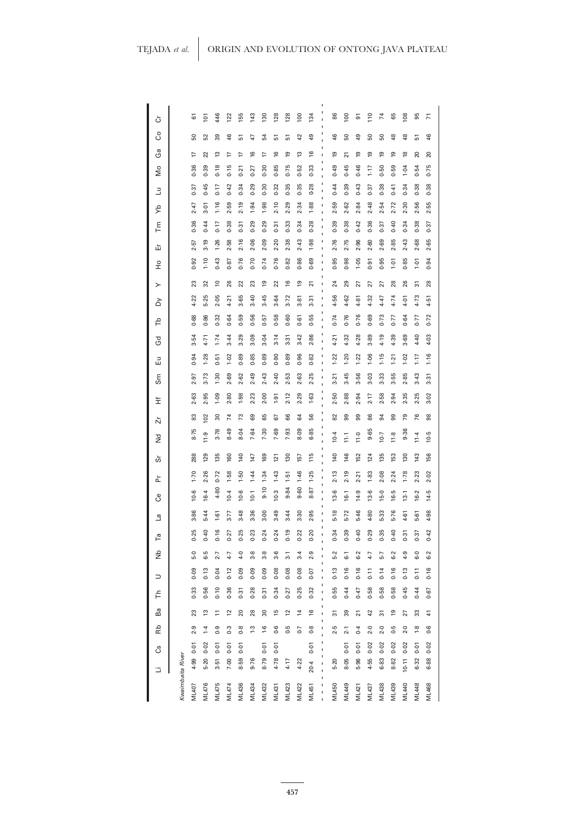| ò             |                  | 5            | $\overline{101}$ | 446            | 122            | 155   | 143           | 130           | 128           | 128            | 100            | 134           |    | 86       | 100            | 5              | 110       | $\overline{1}$ | 89        | 108           | 95            | π     |
|---------------|------------------|--------------|------------------|----------------|----------------|-------|---------------|---------------|---------------|----------------|----------------|---------------|----|----------|----------------|----------------|-----------|----------------|-----------|---------------|---------------|-------|
| ပိ            |                  | ន            | 52               | 39             | 46             | 5     | 47            | 54            | 5             | 5              | ₽              | ą             |    | 46       | ន              | $\overline{6}$ | 50        | 50             | 48        | $\frac{8}{3}$ | 5             | 46    |
| යී            |                  | 17           | 22               | 13             | 17             | 17    | $\frac{6}{2}$ | 17            | $\frac{6}{2}$ | <b>01</b>      | 13             | $\frac{6}{2}$ |    | <u>ღ</u> | 21             | $\overline{9}$ | <b>e1</b> | <u>ღ</u>       | <b>e1</b> | $\frac{8}{2}$ | 20            | 20    |
| δg            |                  | 0.36         | 0.39             | 0.18           | 0.15           | 0.21  | 0.27          | 0.30          | 0.85          | 0.75           | 0.52           | 0.33          | ı  | 0.49     | 0.45           | 0.46           | $1 - 7$   | 0.50           | 0.59      | 1.04          | 0.54          | 0.75  |
| Ε             |                  | 0.37         | 0.45             | 0.17           | 0.42           | 0.34  | 0.29          | 0.30          | 0.32          | 0.35           | 0.35           | 0.28          | ı  | 0.44     | 0.39           | 0.43           | 0.37      | 0.38           | 0.41      | 0.34          | 0.38          | 0.38  |
| ξÀ            |                  | 2.47         | 3.01             | 1.16           | 2.59           | 2.19  | 1.94          | 1.98          | 2.10          | 2.29           | 2.34           | 1.88          | ı  | 2.59     | 2.62           | 2.84           | 2.48      | 2.54           | 2.72      | 2.30          | 2.56          | 2.55  |
| Γm            |                  | 0.36         | 0.44             | 0.17           | 0.38           | 0.31  | 0.29          | 0.29          | 0.31          | 0.33           | 0.34           | 0.28          |    | 0.39     | 0.38           | 0.42           | 0.36      | 0.37           | 0.40      | 0.34          | 0.38          | 0.37  |
| 岀             |                  | 2.57         | 3.19             | 1.26           | 2.58           | 2.16  | 2.06          | 2.09          | 2.20          | 2.38           | 2.43           | 1.98          |    | 2.76     | 2.75           | 2.96           | 2.60      | 2.69           | 2.85      | 2.43          | 2.68          | 2.65  |
| $\frac{1}{2}$ |                  | 0.92         | $1 - 10$         | 0.43           | 0.87           | 0.76  | 0.70          | 0.74          | 0.76          | 0.82           | 0.86           | 0.69          |    | 0.95     | 0.98           | 1.05           | 0.91      | 0.95           | $-1.01$   | 0.85          | 7.01          | 0.94  |
| ≻             |                  | 23           | 32               | $\overline{0}$ | 26             | 22    | 23            | e,            | 22            | $\frac{6}{2}$  | <u>ღ</u>       | 21            |    | $^{24}$  | 29             | 27             | 27        | 27             | 28        | 26            | స్            | 28    |
| ठ             |                  | 4.22         | 5.25             | 2.05           | 4.21           | 3.65  | 3.40          | 3.45          | 3.64          | 3.72           | 3.81           | 3.31          | ı  | 4.56     | 4.62           | 4.81           | 4.32      | 4.47           | 4.74      | 4.01          | 4.73          | 4.51  |
| ۴             |                  | 0.68         | 0.86             | 0.32           | 0.64           | 0.59  | 0.56          | 0.57          | 0.58          | 0.60           | 0.61           | 0.55          | ı  | 0.74     | 0.76           | 0.76           | 0.69      | 0.73           | 0.77      | 0.64          | 0.77          | 0.72  |
| Gd            |                  | 3.54         | 4.71             | 1.74           | 3.44           | 3.29  | 3.09          | 3.04          | 3.14          | 3.31           | 3.42           | 2.86          | ı  | 4.21     | 4.32           | 4.28           | 3.89      | 4.19           | 4.39      | 3.69          | 4.40          | 4.03  |
| 밈             |                  | 0.94         | 1.28             | 0.51           | 1.02           | 0.89  | 0.85          | 0.89          | 0.90          | 0.89           | 0.96           | 0.82          |    | 1.22     | 1.20           | 1.22           | 1.06      | 1.15           | 1.21      | 1.02          | $1 - 17$      | 1.16  |
| Sm            |                  | 2.97         | $3 - 73$         | 1.30           | 2.69           | 2.62  | 2.49          | 2.43          | 2.40          | 2.53           | 2.63           | 2.25          | ı  | 3.21     | 3.45           | 3.56           | 3.03      | 3.33           | 3.55      | 2.85          | 3.43          | 3.31  |
| 主             |                  | 2.63         | 2.95             | 0.09           | 2.80           | 1.98  | 2.23          | 2.00          | 1.91          | 2.12           | 2.29           | 1.63          | ı  | 2.50     | 2.88           | 2.94           | 2.17      | 2.58           | 2.94      | 2.35          | 2.25          | 3.02  |
| ň             |                  | 83           | 102              | 30             | $\overline{7}$ | 73    | 69            | 65            | 67            | 8              | 3              | 99            |    | 82       | 99             | 99             | 86        | 94             | 99        | 79            | 76            | 88    |
| 2d            |                  | 8.75         | 11.9             | 3.78           | 8.49           | 8.04  | 7.64          | 7.30          | 7.69          | 7.93           | 8.09           | 6.85          | ı  | 10.4     | $\frac{1}{2}$  | 11.0           | 9.65      | 10.7           | 11.8      | 9.36          | 11.4          | 10.5  |
| ဟ             |                  | 288          | 129              | 135            | 160            | 140   | 147           | 169           | 121           | 130            | 157            | 115           | ı  | 140      | 146            | 152            | 124       | 135            | 153       | 130           | 143           | 156   |
| ՟             |                  | 1.70         | 2.26             | 0.72           | 1.58           | 1.50  | 1.44          | 1.34          | 1.43          | $1-51$         | 1.46           | 1.25          | ı  | 2.13     | 2.19           | 2.21           | 1.83      | 2.08           | 2.24      | 1.78          | 2.23          | 2.02  |
| පී            |                  | 10.6         | 16.4             | 4.80           | 10.4           | 10.6  | 10.7          | 9.10          | 10.3          | 9.84           | 0.60           | 18.<br>œ      | ı  | 13.6     | 16.1           | 14.9           | 13.6      | $-91$          | 16.5      | 13.1          | 16.2          | 14.5  |
| e,            |                  | 3.86         | 5.44             | 1.61           | 3.77           | 3.48  | 3.36          | $3 - 00$      | 3.49          | 3.44           | 3.30           | 2.95          |    | 5.18     | 5.72           | 5-46           | 4.80      | 5.33           | 5.76      | 4.61          | 5.61          | 4.98  |
| ۴ā            |                  | 0.25         | 0.40             | 0.16           | 0.27           | 0.25  | $0 - 23$      | 0.24          | 0.24          | 0.19           | 0.22           | 0.20          |    | 0.34     | 0.39           | 0.40           | 0.29      | 0.35           | 0.40      | 0.31          | 0.37          | 0.42  |
| ξ             |                  | 5.0          | 6.5              | 2.7            | 4.7            | 4.0   | 3.8           | 3.8           | 3.6           | $\overline{3}$ | $3-4$          | 2.9           | ı  | $5-2$    | $\overline{6}$ | 6.2            | 4.7       | 5.7            | 6.2       | 4.9           | 6.0           | 6.2   |
| ⊃             |                  | 0.09         | 0.13             | 0.04           | 0.12           | 0.09  | 0.09          | 0.09          | 0.08          | 0.08           | 0.08           | 0.07          | f, | 0.13     | 0.16           | 0.16           | 0.11      | 0.14           | 0.16      | 0.13          | 0.11          | 0.16  |
| Ę             |                  | 0.33         | 0.56             | 0.10           | 0.36           | 0.31  | 0.28          | 0.31          | 0.34          | 0.27           | 0.25           | 0.32          |    | 0.55     | 0.44           | 0.47           | 0.58      | 0.58           | 0.58      | 0.45          | 0.44          | 0.67  |
| Ba            |                  | 23           | 13               | $\Xi$          | 2              | 20    | 28            | 30            | 15            | $\overline{c}$ | $\frac{4}{3}$  | $\frac{6}{2}$ | ı  | 57       | 89             | ភ              | ₽         | స్             | e,        | 27            | 33            | 41    |
| Rb            |                  | 2.9          | $\ddot{ }$       | 0.9            | 0.3            | 0.8   | $\ddot{.}3$   | $\frac{6}{1}$ | 0.6           | 0.5            | $\overline{0}$ | 0.8           |    | 2.5      | 2.1            | 0.4            | 2.0       | 2.0            | 0.5       | 2.0           | $\frac{8}{1}$ | 0.6   |
| යී            |                  | 0.01         | 0.02             | 0.01           | 0.01           | 0.01  |               | $0 - 01$      | 0.01          |                |                | 0.01          | ı  |          | 0.01           | 0.01           | 0.02      | 0.02           | 0.02      | 0.02          | 0.01          | 0.02  |
| ⋍             |                  | 4.99         | $5 - 20$         | 3.51           | 7.00           | 8.59  | 9.76          | 8.79          | 4.78          | 4.17           | 4.22           | $20-4$        |    | $5 - 20$ | 8.05           | 5.96           | 4.55      | 6.83           | 8.82      | $10-11$       | 6.32          | 6.88  |
|               | Kwaimbaita River | <b>ML407</b> | ML476            | ML475          | <b>ML474</b>   | ML436 | ML434         | ML432         | ML431         | ML423          | ML422          | ML451         |    | ML450    | ML449          | <b>ML421</b>   | ML437     | ML438          | ML439     | <b>ML440</b>  | ML448         | ML468 |
|               |                  |              |                  |                |                |       |               |               |               |                |                |               |    |          |                |                |           |                |           |               |               |       |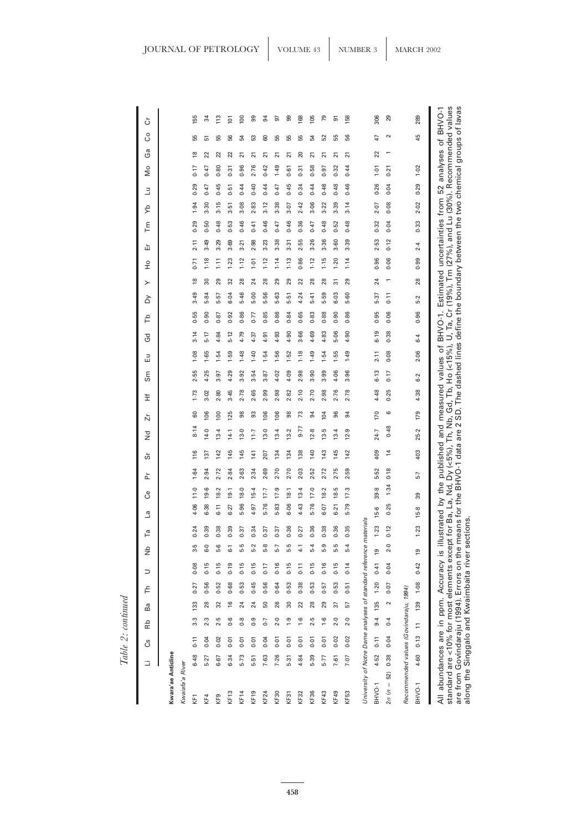| P.<br>ì,<br>×<br>⋷<br>LO. |  |
|---------------------------|--|
| c                         |  |
| ≍<br>≊                    |  |

|                                                                                                                                                                                              | G      | ඊ    | Rb             | Ba              | ᅼ    | $\supset$ | å                | Гā       | ما     | පී                 | ՟    | တ်            | ù<br>š  |                 | Ï             | Sm                                                                                                                                                                                                                                                                                                                                                  | 띰    | යි        | ΡF   | ≻<br>≿ | 운                     | 岀            | ξ    | ₽    | ∃    | δ      | ථි             | ပိ     | ڻ   |
|----------------------------------------------------------------------------------------------------------------------------------------------------------------------------------------------|--------|------|----------------|-----------------|------|-----------|------------------|----------|--------|--------------------|------|---------------|---------|-----------------|---------------|-----------------------------------------------------------------------------------------------------------------------------------------------------------------------------------------------------------------------------------------------------------------------------------------------------------------------------------------------------|------|-----------|------|--------|-----------------------|--------------|------|------|------|--------|----------------|--------|-----|
| Kwara'ae Anticline                                                                                                                                                                           |        |      |                |                 |      |           |                  |          |        |                    |      |               |         |                 |               |                                                                                                                                                                                                                                                                                                                                                     |      |           |      |        |                       |              |      |      |      |        |                |        |     |
| Kwaiafa'a River                                                                                                                                                                              |        |      |                |                 |      |           |                  |          |        |                    |      |               |         |                 |               |                                                                                                                                                                                                                                                                                                                                                     |      |           |      |        |                       |              |      |      |      |        |                |        |     |
| KF <sub>1</sub>                                                                                                                                                                              | 6.48   | 0.11 | 3.3            | $\frac{33}{2}$  | 0.27 | 0.08      | 3.5              | 0.24     | 4.06   | 11.0               | 1.64 | 116           | 8.14    | 60              | Ń<br>$1 - 73$ | 55                                                                                                                                                                                                                                                                                                                                                  | 1.08 | ö<br>3.14 | 55   | 3.49   | 0.71<br>$\frac{8}{1}$ | 2.11         | 0.29 | 1.94 | 0.29 | 0.17   | $\frac{8}{1}$  | 55     | 155 |
| KF4                                                                                                                                                                                          | 5.27   | 0.04 | 2.3            | 28              | 0.56 | 0.15      | 6.0              | 0.39     | 6.38   | 19.6               | 2.94 | 137           | 14.0    | 106             | 3.02          | 4.25                                                                                                                                                                                                                                                                                                                                                | 1.65 | 5.17      | 0.90 | 5.84   | ౢ                     | 3.49<br>1.18 | 0.50 | 3.30 | 0.47 | 0.47   | 22             | 51     | 34  |
| KF <sub>9</sub>                                                                                                                                                                              | 6.67   | 0.02 | 2.5            | 32              | 0.52 | 0.15      | 5.6              | 0.38     | $6-11$ | 18.2               | 2.72 | 142           | 13.4    | 100             | 2.80          | 3.97                                                                                                                                                                                                                                                                                                                                                | 1.54 | 4.84      | 0.87 | 5.57   | $\frac{1}{2}$<br>29   | 3.29         | 0.48 | 3.15 | 0.45 | 0.80   | 22             | 55     | 113 |
| KF13                                                                                                                                                                                         | 6.34   | 0.01 | 0.6            | $\frac{6}{2}$   | 0.68 | 0.19      | $\overline{6}$ . | 0.39     | 6.27   | 19.1               | 2.84 | 145           | 14.1    | 125             | 3.45          | 4.29                                                                                                                                                                                                                                                                                                                                                | 1.59 | 5.12      | 0.92 | 6.04   | 1.23<br>32            | 3.69         | 0.53 | 3.51 | 0.51 | 0.31   | 22             | 56     | 101 |
| KF14                                                                                                                                                                                         | 5.73   | 0.01 | $\overline{0}$ | 24              | 0.53 | 0.15      | 5.5              | 0.37     | 5.96   | 18.0               | 2.63 | 145           | 13.0    | 98              | 2.78          | 3.92                                                                                                                                                                                                                                                                                                                                                | 1.48 | 4.79      | 0.86 | 5.46   | $1 - 12$<br>28        | 3.21         | 0.46 | 3.08 | 0.44 | 0.96   | 21             | 54     | 100 |
| KF19                                                                                                                                                                                         | $5-51$ | 0.01 | 0.9            | 24              | 0.45 | 0.15      | 5.2              | 0.34     | 4.97   | $15-4$             | 2.34 | 141           | 7:7     | 93              | 2.65          | 3.54                                                                                                                                                                                                                                                                                                                                                | 1.40 | 4.37      | 0.77 | 5.00   | 1.01<br>24            | 2.98         | 0.41 | 2.83 | 0.40 |        | 21<br>2.76     | S3     | ஐ   |
| KF24                                                                                                                                                                                         | 7.63   | 0.04 | $\overline{C}$ | 50              | 0.56 | 0.17      | 5.8              | 0.37     | 5.76   | 7.7                | 2.69 | 207           | 13.0    | 106             | 2.99          | 3.87                                                                                                                                                                                                                                                                                                                                                | 1.54 | 4.91      | 0.85 | 5.56   | $1 - 12$<br>28        | 3.23         | 0.46 | 3.12 | 0.44 | 0.42   | ត              | 60     | 54  |
| KF30                                                                                                                                                                                         | 7.26   | 0.01 | 2.0            | 26              | 0.64 | 0.16      | 5.7              | 0.37     | 5.83   | 17.9               | 2.70 | 134           | 13.4    | 106             | 2.98          | 4.02                                                                                                                                                                                                                                                                                                                                                | 1.56 | 4.93      | 0.86 | 5-63   | 29                    | 3.38<br>1.14 | 0.47 | 3.38 | 0.47 |        | ត<br>1.49      | 55     | 91  |
| KF31                                                                                                                                                                                         | $5-31$ | 0.01 | $\ddot{6}$ .   | $\overline{30}$ | 0.53 | 0.15      | 5.5              | 0.36     | 6.06   | 18.1               | 2.70 | 134           | 13.2    | 98              | 2.82          | 4.09                                                                                                                                                                                                                                                                                                                                                | 1.52 | 4.90      | 0.84 | 5.51   | $1 - 13$<br>29        | 3.31         | 0.46 | 3.07 | 0.45 | 0.61   | $\overline{2}$ | 55     | 8   |
| KF32                                                                                                                                                                                         | 4.84   | 0.01 | $-1.6$         | 22              | 0.38 | 0.11      | $\frac{1}{4}$    | 0.27     | 4.43   | 13.4               | 2.03 | 138           | 9.77    | 73              | 2.10          | 2.98                                                                                                                                                                                                                                                                                                                                                | 1.18 | 3.66      | 0.65 | 4.24   | 0.86<br>22            | 2.55         | 0.36 | 2.42 | 0.34 | 0.31   | 20             | 55     | 168 |
| KF36                                                                                                                                                                                         | 5.39   | 0.01 | 2.5            | 28              | 0.53 | 0.15      | 5.4              | 0.36     | 5.76   | 17.0               | 2.52 | 140           | 12.8    | $\overline{94}$ | 2.70          | 3.90                                                                                                                                                                                                                                                                                                                                                | 1.49 | 4.69      | 0.83 | $5-41$ | 1.12<br>28            | 3.26         | 0.47 | 3.06 | 0.44 | 0.58   | 21             | 54     | 105 |
| KF43                                                                                                                                                                                         | 5.77   | 0.01 | $\frac{6}{1}$  | 29              | 0.57 | 0.16      | 5.9              | 0.38     | 6.07   | 18.2               | 2.72 | 143           | 13.5    | 104             | 2.98          | 3.99                                                                                                                                                                                                                                                                                                                                                | 1-54 | 4.83      | 0.88 | 5.59   | 28                    | 3.36<br>1.15 | 0.48 | 3.22 | 0.46 | 0.97   | $\overline{2}$ | 52     | 79  |
| KF49                                                                                                                                                                                         | 7.61   | 0.02 | 2.0            | 57              | 0.53 | 0.15      | 5.5              | 0.36     | 6.21   | ۻ<br>$\frac{8}{2}$ | 2.75 | 145           | 4<br>ற் | 96              | 2.76          | 4.06                                                                                                                                                                                                                                                                                                                                                | 1.55 | 5.06      | 0.90 | 6.03   | స్                    | 3.60<br>1.20 | 0.52 | 3.39 | 0.48 | 0.32   | ត              | 55     | 5   |
| KF53                                                                                                                                                                                         | 7.07   | 0.02 | 2.0            | 57              | 0.51 | 0.14      | 5.4              | 0.35     | 5.79   | 17.3               | 2.59 | 142           | 12.9    | 94              | 2.78          | 3.96                                                                                                                                                                                                                                                                                                                                                | 1.49 | 4.90      | 0.86 | 5-60   | 29                    | 3.39<br>1.14 | 0.48 | 3.14 | 0.46 | 0.44   | ត              | 56     | 158 |
| University of Notre Dame analyses of standard reference m                                                                                                                                    |        |      |                |                 |      |           |                  | aterials |        |                    |      |               |         |                 |               |                                                                                                                                                                                                                                                                                                                                                     |      |           |      |        |                       |              |      |      |      |        |                |        |     |
| BHVO-1                                                                                                                                                                                       | 4.52   | 0.11 | 9.4            | 135             | 1.20 | 0.41      | $\overline{9}$   | 1.23     | 15.6   | 39.8               | 5.52 | 409           | 24.7    | 170             | 4.48          | 6.13                                                                                                                                                                                                                                                                                                                                                | 2.11 | 6.19      | 0.95 | 5.37   | 0.96<br>24            | 2.53         | 0.32 | 2.07 | 0.26 | $-0.1$ | 22             | 47     | 306 |
| $2\sigma (n = 52)$                                                                                                                                                                           | 0.38   | 0.04 | 0.4            | $\sim$          | 0.07 | 0.04      | 2.0              | 0.12     | 0.25   | 1.34               | 0.18 | $\frac{4}{3}$ | 0.48    | ဖ               | 0.25          | 0.17                                                                                                                                                                                                                                                                                                                                                | 0.08 | 0.38      | 0.06 | 0.11   | 0.06                  | 0.12         | 0.04 | 0.08 | 0.04 | 0.21   |                | $\sim$ | 29  |
| Recommended values (Govindaraju, 1994)                                                                                                                                                       |        |      |                |                 |      |           |                  |          |        |                    |      |               |         |                 |               |                                                                                                                                                                                                                                                                                                                                                     |      |           |      |        |                       |              |      |      |      |        |                |        |     |
| BHVO-1                                                                                                                                                                                       | 4.60   | 0.13 | $\Xi$          | 139             | 1.08 | 0.42      | <u>(a</u>        | 1.23     | 15-8   | 39                 | 5.7  | 403           | 25.2    | 179             | 4.38          | 6.2                                                                                                                                                                                                                                                                                                                                                 | 2.06 | $6-4$     | 0.96 | 5.2    | 0.99<br>28            | 2.4          | 0.33 | 2.02 | 0.29 | 1.02   |                | 45     | 289 |
| along the Singgalo and Kwaimbaita river sections<br>standard are <10% for most elements except<br>are from Govindaraju (1994). Errors on the m<br>All abundances are in ppm. Accuracy is ill |        |      |                |                 |      |           |                  |          |        |                    |      |               |         |                 |               | eans for the BHVO-1 data are 2 SD. The dashed lines define the boundary between the two chemical groups of lavas<br>for Ba, La, Nd, Dy (<5%), Th, Nb, Gd, Tb, Ho (<15%), U, Ta, Cr (19%), Tm (27%), and Lu (30%). Recommended values<br>ustrated by the published and measured values of BHVO-1. Estimated uncertainties from 52 analyses of BHVO-1 |      |           |      |        |                       |              |      |      |      |        |                |        |     |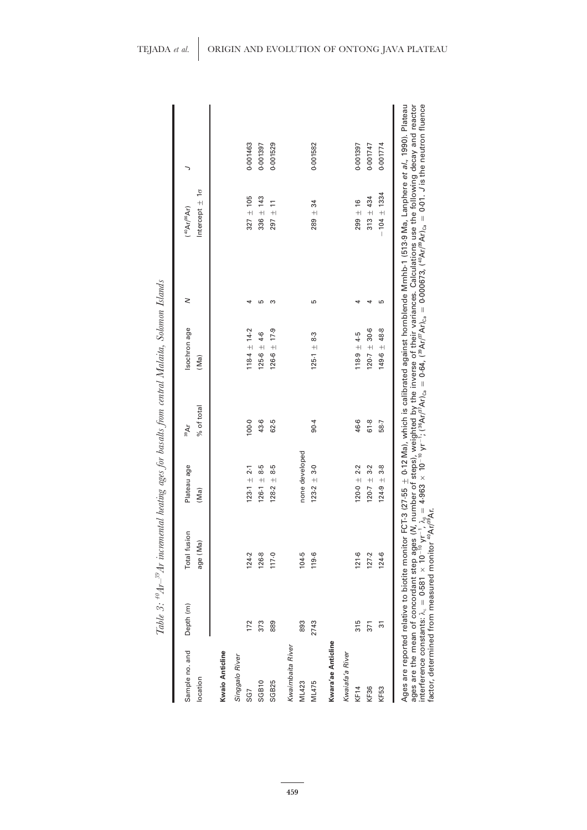| Sample no. and<br>location | Depth (m) | Total fusion<br>age (Ma) | Plateau age<br>(Ma) | % of total<br>39Ar | Isochron age<br>(Ma) | z | Intercept $\pm 1\sigma$<br>$(^{40}Ar/^{36}Ar)$ | ╮        |
|----------------------------|-----------|--------------------------|---------------------|--------------------|----------------------|---|------------------------------------------------|----------|
| Kwaio Anticline            |           |                          |                     |                    |                      |   |                                                |          |
| Singgalo River             |           |                          |                     |                    |                      |   |                                                |          |
| SG7                        | 172       | 124.2                    | $123.1 + 2.1$       | 100.0              | $118.4 \pm 14.2$     | ᆉ | $327 + 105$                                    | 0.001463 |
| SGB10                      | 373       | 126-8                    | $126.1 + 8.5$       | 43.6               | $125-6 \pm 4-6$      | 5 | $336 \pm 143$                                  | 0.001397 |
| SGB25                      | 889       | 117.0                    | $128.2 \pm 8.5$     | 62.5               | $126.6 \pm 17.9$     | S | $297 \pm 11$                                   | 0.001529 |
| Kwaimbaita River           |           |                          |                     |                    |                      |   |                                                |          |
| ML 423                     | 893       | 104.5                    | none developed      |                    |                      |   |                                                |          |
| ML475                      | 2743      | 119.6                    | $123.2 \pm 3.0$     | 90.4               | $125.1 \pm 8.3$      | Ю | $289 \pm 34$                                   | 0.001582 |
| Kwara'ae Anticline         |           |                          |                     |                    |                      |   |                                                |          |
| Kwaiafa'a River            |           |                          |                     |                    |                      |   |                                                |          |
| KF14                       | 315       | 121.6                    | $120.0 \pm 2.2$     | 46-6               | $118.9 \pm 4.5$      |   | $299 \pm 16$                                   | 0.001397 |
| KF36                       | 371       | 127.2                    | $120 - 7 \pm 3 - 2$ | 61.8               | $120.7 \pm 30.6$     | ᆉ | $313 + 434$                                    | 0.001747 |
| KF53                       | 51        | 124.6                    | $124.9 + 3.8$       | 58.7               | $149.6 \pm 48.8$     | Б | $-104 \pm 1334$                                | 0.001774 |

factor, determined from measured monitor  $^{40}$ Ar/<sup>39</sup>Ar.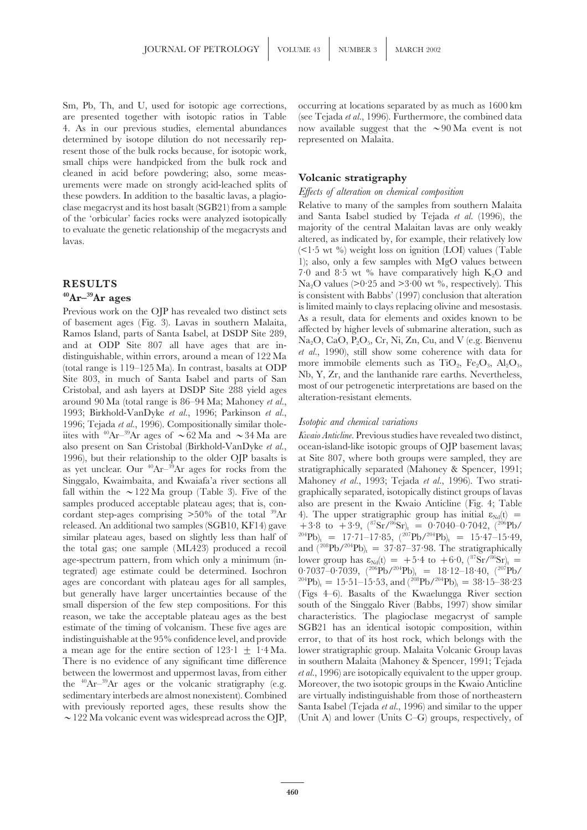Sm, Pb, Th, and U, used for isotopic age corrections, occurring at locations separated by as much as 1600 km are presented together with isotopic ratios in Table (see Tejada *et al.*, 1996). Furthermore, the combined data 4. As in our previous studies, elemental abundances now available suggest that the  $\sim 90$  Ma event is not determined by isotope dilution do not necessarily rep- represented on Malaita. resent those of the bulk rocks because, for isotopic work, small chips were handpicked from the bulk rock and cleaned in acid before powdering; also, some meas-<br>urements were made on strongly acid-leached splits of<br>these powders. In addition to the basaltic lavas, a plagio-<br> $\frac{E\text{f}fects \text{ of alteration on chemical composition}}{E\text{f}fects \text{ of alteration on chemical composition}}$ clase megacryst and its host basalt (SGB21) from a sample Relative to many of the samples from southern Malaita of the 'orbicular' facies rocks were analyzed isotopically and Santa Isabel studied by Tejada *et al.* (1996), the to evaluate the genetic relationship of the megacrysts and majority of the central Malaitan lavas are only weakly lavas. altered, as indicated by, for example, their relatively low

Previous work on the OJP has revealed two distinct sets<br>of basement ages (Fig. 3). Lavas in southern Malaita,<br>Ramos Island, parts of Santa Isabel, at DSDP Site 289,<br>and at ODP Site 807 all have ages that are in-<br>distingui 1993; Birkhold-VanDyke *et al.*, 1996; Parkinson *et al.*, 1996; Tejada et al., 1996). Compositionally similar thole-<br> *et and chemical variations* iites with <sup>40</sup>Ar–<sup>39</sup>Ar ages of  $\sim$  62 Ma and  $\sim$  34 Ma are *Kwaio Anticline*. Previous studies have revealed two distinct, also present on San Cristobal (Birkhold-VanDyke *et al.*, ocean-island-like isotopic groups of OJP basement lavas; 1996), but their relationship to the older OJP basalts is at Site 807, where both groups were sampled, they are as yet unclear. Our <sup>40</sup>Ar<sup>-39</sup>Ar ages for rocks from the stratigraphically separated (Mahoney & Spencer, 1991; Singgalo, Kwaimbaita, and Kwaiafa'a river sections all Mahoney *et al.*, 1993; Tejada *et al.*, 1996). Two stratifall within the  $\sim$ 122 Ma group (Table 3). Five of the graphically separated, isotopically distinct groups of lavas samples produced acceptable plateau ages; that is, con- also are present in the Kwaio Anticline (Fig. 4; Table cordant step-ages comprising  $>50\%$  of the total <sup>39</sup>Ar 4). The upper stratigraphic group has initial  $\varepsilon_{Nd}(t)$  = released. An additional two samples (SGB10, KF14) gave  $+3.8$  to  $+3.9$ ,  $(^{87}Sr/^{86}Sr)$ <sub>t</sub> = 0.7040–0.7042,  $(^{206}Pb/$ similar plateau ages, based on slightly less than half of  $^{204}Pb)_t = 17.71-17.85$ ,  $(^{207}Pb/^{204}Pb)_t = 15.47-15.49$ , the total gas; one sample (ML423) produced a recoil and  $(^{208}Pb/^{204}Pb)_t = 37.87-37.98$ . The stratig the total gas; one sample (ML423) produced a recoil age-spectrum pattern, from which only a minimum (in-<br>lower group has  $\varepsilon_{Nd}(t) = +5.4$  to  $+6.0$ ,  $({}^{87}Sr)^{86}Sr)_{t} =$ tegrated) age estimate could be determined. Isochron  $0.7037-0.7039$ ,  $(^{206}Pb/^{204}Pb)_t = 18.12-18.40$ ,  $(^{207}Pb/$ ages are concordant with plateau ages for all samples,  $^{204}Pb<sub>1</sub> = 15.51-15.53$ , and  $(^{208}Pb/^{204}Pb<sub>1</sub> = 38.15-38.23$ but generally have larger uncertainties because of the (Figs 4–6). Basalts of the Kwaelungga River section small dispersion of the few step compositions. For this south of the Singgalo River (Babbs, 1997) show similar reason, we take the acceptable plateau ages as the best characteristics. The plagioclase megacryst of sample estimate of the timing of volcanism. These five ages are SGB21 has an identical isotopic composition, within indistinguishable at the 95% confidence level, and provide error, to that of its host rock, which belongs with the a mean age for the entire section of  $123 \cdot 1 + 1 \cdot 4$  Ma. lower stratigraphic group. Malaita Volcanic Group lavas There is no evidence of any significant time difference in southern Malaita (Mahoney & Spencer, 1991; Tejada between the lowermost and uppermost lavas, from either *et al.*, 1996) are isotopically equivalent to the upper group. the  ${}^{40}\text{Ar}^{-39}\text{Ar}$  ages or the volcanic stratigraphy (e.g. Moreover, the two isotopic groups in the Kwaio Anticline sedimentary interbeds are almost nonexistent). Combined are virtually indistinguishable from those of northeastern with previously reported ages, these results show the Santa Isabel (Tejada *et al.*, 1996) and similar to the upper

 $(\leq 1.5$  wt %) weight loss on ignition (LOI) values (Table 1); also, only a few samples with MgO values between 7.0 and 8.5 wt % have comparatively high  $K_2O$  and **RESULTS** Na<sub>2</sub>O values (>0·25 and >3·00 wt %, respectively). This <sup>40</sup>Ar<sup>-39</sup>Ar ages<br> **Arger is consistent with Babbs'** (1997) conclusion that alteration<br> **Provisions work on the OIB** has revealed two distinct ests is limited mainly to clays replacing olivine and mesostasis.

 $\sim$ 122 Ma volcanic event was widespread across the OJP, (Unit A) and lower (Units C–G) groups, respectively, of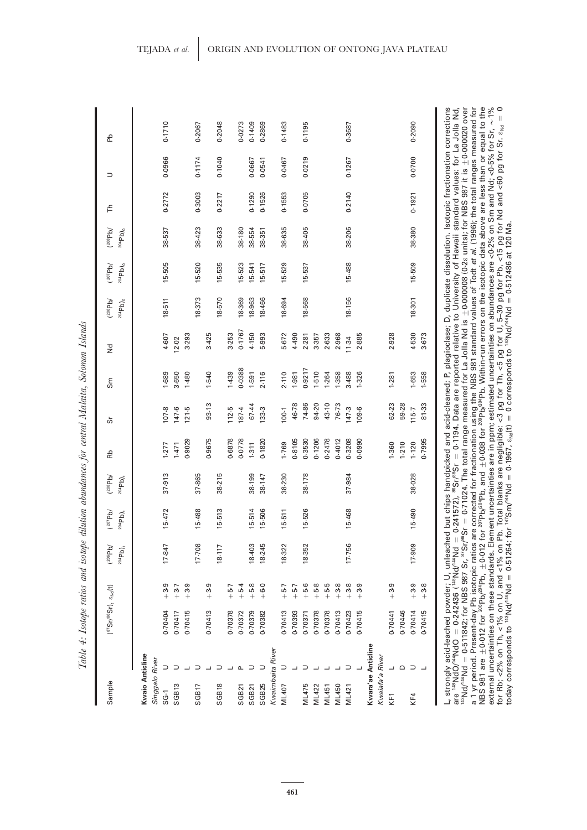| Ì                                       |
|-----------------------------------------|
| Č                                       |
| en en<br>ï                              |
| $\sim$ $\sim$ $\sim$<br>j               |
| $\ddot{\phantom{0}}$<br>١               |
|                                         |
| . ההתמדונו                              |
| $\ddot{ }$<br>ł<br>.<br>.<br>.          |
| र<br>१<br>u na                          |
| 3.2.003                                 |
| ł<br>I<br>l<br>Ì                        |
| :<br>I                                  |
| ֜<br>$\sim$<br>$\mathcal{T}_{\sim L}$ : |

| Sample                            |                    | $(^{87}Sr/^{86}Sr)$ , $\varepsilon_{Nd}(t)$                                                                                                                                                                    |          | (206Pb)<br>$204Pb)$ <sub>t</sub> | (207Pb)<br>204Pb) | (308Pb)<br>204Pb) | Rb     | Ğ     | Sm     | š      | $(10^{100}P)$<br>$^{204}\mathsf{Pb})_0$ | (207Pb)<br>$204Pb$ <sub>0</sub> | (1208Pb)<br>$204Pb$ <sub>0</sub> | 는      | $\supset$ | 움                                                                                                                                                        |
|-----------------------------------|--------------------|----------------------------------------------------------------------------------------------------------------------------------------------------------------------------------------------------------------|----------|----------------------------------|-------------------|-------------------|--------|-------|--------|--------|-----------------------------------------|---------------------------------|----------------------------------|--------|-----------|----------------------------------------------------------------------------------------------------------------------------------------------------------|
| Kwaio Anticline<br>Singgalo River |                    |                                                                                                                                                                                                                |          |                                  |                   |                   |        |       |        |        |                                         |                                 |                                  |        |           |                                                                                                                                                          |
| $SG-1$                            |                    | 0.70404                                                                                                                                                                                                        | $+3.9$   | 17.847                           | 15-472            | 37.913            | 1.277  | 107.8 | 1.689  | 4.607  | $18 - 511$                              | 15-505                          | 38-537                           | 0.2772 | 0.0966    | 0.1710                                                                                                                                                   |
| SGB <sub>13</sub>                 |                    | 0.70417                                                                                                                                                                                                        | $+3.7$   |                                  |                   |                   | 1.471  | 147-6 | 3.650  | 12.02  |                                         |                                 |                                  |        |           |                                                                                                                                                          |
|                                   |                    | 0.70415                                                                                                                                                                                                        | $+3.9$   |                                  |                   |                   | 0.9029 | 121.5 | 1.480  | 3.293  |                                         |                                 |                                  |        |           |                                                                                                                                                          |
| SGB17                             |                    |                                                                                                                                                                                                                |          | 17.708                           | 15-488            | 37.865            |        |       |        |        | 18.373                                  | 15-520                          | 38-423                           | 0.3003 | 0.1174    | 0.2067                                                                                                                                                   |
|                                   |                    | 0.70413                                                                                                                                                                                                        | $+3.9$   |                                  |                   |                   | 0.9675 | 93-13 | 1-540  | 3.425  |                                         |                                 |                                  |        |           |                                                                                                                                                          |
| SGB18                             |                    |                                                                                                                                                                                                                |          | 18.117                           | 15-513            | 38-215            |        |       |        |        | 18-570                                  | 15-535                          | 38-633                           | 0.2217 | 0.1040    | 0.2048                                                                                                                                                   |
|                                   |                    | 0.70378                                                                                                                                                                                                        | $-5 - 7$ |                                  |                   |                   | 0.6878 | 112.5 | 1.439  | 3.253  |                                         |                                 |                                  |        |           |                                                                                                                                                          |
| SGB21                             |                    | 0.70372                                                                                                                                                                                                        | $+5.4$   |                                  |                   |                   | 0.0778 | 187.4 | 0.0388 | 0.1767 | 18.369                                  | 15-523                          | 38.180                           |        |           | 0.0273                                                                                                                                                   |
| SGB21                             |                    | 0.70379                                                                                                                                                                                                        | $+5.8$   | 18-403                           | 15-514            | 38.199            | 1.311  | 67.44 | 1.591  | 4.150  | 18.963                                  | 15-541                          | 38-554                           | 0.1290 | 0-0667    | 0.1409                                                                                                                                                   |
| SGB25                             |                    | 0.70382                                                                                                                                                                                                        | $+6.0$   | 18-245                           | 15-506            | 38.147            | 0.1820 | 133.3 | 2.116  | 5.993  | 18-466                                  | 15-517                          | 38.351                           | 0.1526 | 0.0541    | 0.2869                                                                                                                                                   |
| Kwaimbaita River                  |                    |                                                                                                                                                                                                                |          |                                  |                   |                   |        |       |        |        |                                         |                                 |                                  |        |           |                                                                                                                                                          |
| ML407                             |                    | 0.70413                                                                                                                                                                                                        | $-5 - 7$ | 18-322                           | $15-511$          | 38-230            | 1.769  | 100.1 | 2.110  | 5.672  | 18-694                                  | 15-529                          | 38-635                           | 0.1553 | 0.0467    | 0.1483                                                                                                                                                   |
|                                   |                    | 0.70393                                                                                                                                                                                                        | $-5 - 7$ |                                  |                   |                   | 0.8105 | 46.78 | 1.981  | 4.490  |                                         |                                 |                                  |        |           |                                                                                                                                                          |
| ML475                             |                    | 0.70371                                                                                                                                                                                                        | $+5.6$   | 18-352                           | 15-526            | 38.178            | 0.3530 | 74-86 | 0.9217 | 2.281  | 18-568                                  | 15-537                          | 38-405                           | 0.0705 | 0.0219    | 0.1195                                                                                                                                                   |
| ML422                             |                    | 0.70378                                                                                                                                                                                                        | $+5.8$   |                                  |                   |                   | 0.1206 | 94.20 | 1.510  | 3.357  |                                         |                                 |                                  |        |           |                                                                                                                                                          |
| ML451                             |                    | 0.70378                                                                                                                                                                                                        | $-5 - 5$ |                                  |                   |                   | 0.2478 | 43.10 | 1.264  | 2.633  |                                         |                                 |                                  |        |           |                                                                                                                                                          |
| ML450                             |                    | 0.70413                                                                                                                                                                                                        | $+3.8$   |                                  |                   |                   | 0.4012 | 76.73 | 1.358  | 2.968  |                                         |                                 |                                  |        |           |                                                                                                                                                          |
| ML421                             |                    | 0.70423                                                                                                                                                                                                        | $+3.8$   | 17.756                           | 15-468            | 37.984            | 0.3208 | 147.3 | 3.488  | 11.34  | 18-156                                  | 15-488                          | 38-206                           | 0.2140 | 0.1267    | 0.3687                                                                                                                                                   |
|                                   |                    | 0.70415                                                                                                                                                                                                        | $+3.9$   |                                  |                   |                   | 0.0990 | 109.6 | 1.326  | 2.885  |                                         |                                 |                                  |        |           |                                                                                                                                                          |
|                                   | Kwara'ae Anticline |                                                                                                                                                                                                                |          |                                  |                   |                   |        |       |        |        |                                         |                                 |                                  |        |           |                                                                                                                                                          |
| Kwaiafa'a River                   |                    |                                                                                                                                                                                                                |          |                                  |                   |                   |        |       |        |        |                                         |                                 |                                  |        |           |                                                                                                                                                          |
| KF1                               |                    | 0.70441                                                                                                                                                                                                        | $+3.9$   |                                  |                   |                   | 1.360  | 62-23 | 1.281  | 2.928  |                                         |                                 |                                  |        |           |                                                                                                                                                          |
|                                   | $\Omega$           | 0-70446                                                                                                                                                                                                        |          |                                  |                   |                   | 1.210  | 59.28 |        |        |                                         |                                 |                                  |        |           |                                                                                                                                                          |
| KF4                               | ⊃                  | 0.70414                                                                                                                                                                                                        | $+3.9$   | 17.909                           | 15-490            | 38.028            | 1.120  | 115-7 | 1.653  | 4.530  | 18-301                                  | 15-509                          | 38-380                           | 0.1921 | 0.0700    | 0-2090                                                                                                                                                   |
|                                   |                    | 0.70415                                                                                                                                                                                                        | $+3.8$   |                                  |                   |                   | 0.7995 | 81.33 | 1.558  | 3.673  |                                         |                                 |                                  |        |           |                                                                                                                                                          |
|                                   |                    | L, strongly acid-leached powder; U, unleached but chips handpicked and acid-cleaned; P, plagioclase; D, duplicate dissolution. Isotopic fractionation corrections<br>are 148NdO/144NdO = 0.242436 (148Nd/144Nd |          |                                  |                   |                   |        |       |        |        |                                         |                                 |                                  |        |           | = 0.241572), <sup>86</sup> Str <sup>88</sup> Sr = 0.1194. Data are reported relative to University of Hawaii standard values: for La Jolla Nd,           |
|                                   |                    | $^{143}$ Nd/ $^{44}$ Nd = 0.511842; for NBS 987 Sr, $^{87}$ Sr                                                                                                                                                 |          |                                  |                   |                   |        |       |        |        |                                         |                                 |                                  |        |           | / <sup>86</sup> Sr = 0.71024. The total range measured for La Jolla Nd is $\pm$ 0.00008 (0.2 $\varepsilon$ units); for NBS 987 it is $\pm$ 0.000020 over |

a 1 yr period. Present-day Pb isotopic ratios are corrected for fractionation using the NBS 981 standard values of Todt *et al.* (1996); the total ranges measured for

external uncertainties on these standards. Element uncertainties are in ppm; estimated uncertainties on abundances are <0·2% on Sm and Nd; <0·5% for Sr,

for Rb; <2% on Th, <1% on U, and <1% on Pb. Total blanks are negligible: <3 pg for Th, <5 pg for U, 5–30 pg for Pb, <15 pg for Nd and <60 pg for Sr. Nd

 $=0.1967$ ,  $\varepsilon_{\rm Nd}$ (t)

 $= 0$  corresponds to  $143$ Nd/ $444$ Nd

 $= 0.512486$  at 120 Ma.

 $\pm$ 0.038 for  $^{208}$ Pb. Within-run errors on the isotopic data above are less than or equal to the

0<br>∘7<br>√ ا

NBS 981 are

 $\pm$  0.012 for  $^{206}$ Pb/ $^{204}$ Pb,

today corresponds to 143Nd/144Nd

 $= 0.51264$ ; for  $147$ Sm/ $44$ Nd

 $\pm$ 0.012 for  $^{207}$ Pb/ $^{204}$ Pb, and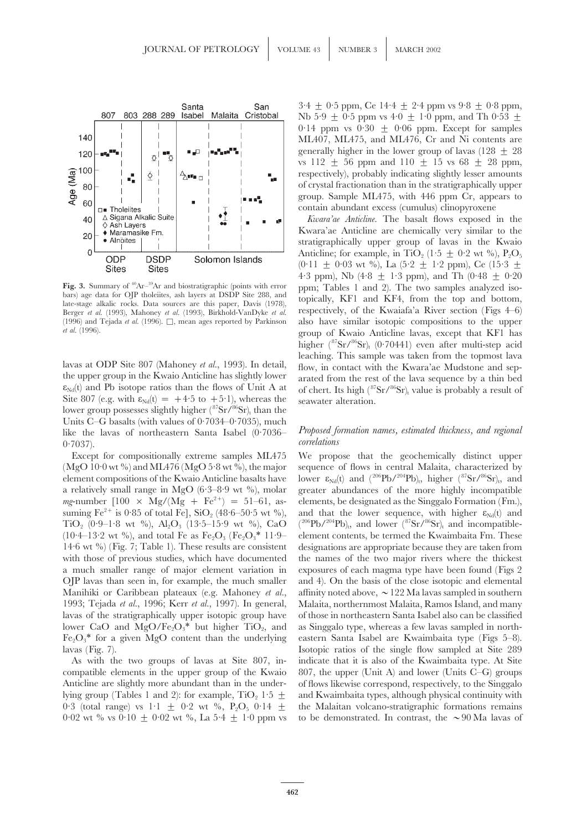

Berger *et al.* (1993), Mahoney *et al.* (1993), Birkhold-VanDyke *et al.* (1996) and Tejada *et al.* (1996).  $\Box$ , mean ages reported by Parkinson

lower group possesses slightly higher ( ${}^{87}Sr/{}^{86}Sr$ )<sub>t</sub> than the Units C–G basalts (with values of 0.7034–0.7035), much 0 *correlations* ·7037).

a relatively small range in MgO (6·3-8·9 wt %), molar TiO<sub>2</sub> (0.9–1.8 wt %),  $Al_2O_3$  (13.5–15.9 wt %), CaO

 $3.4 \pm 0.5$  ppm, Ce  $14.4 \pm 2.4$  ppm vs  $9.8 \pm 0.8$  ppm, Nb 5·9  $\pm$  0·5 ppm vs 4·0  $\pm$  1·0 ppm, and Th 0·53  $\pm$ 0.14 ppm vs 0.30  $\pm$  0.06 ppm. Except for samples ML407, ML475, and ML476, Cr and Ni contents are generally higher in the lower group of lavas  $(128 \pm 28)$ vs 112  $\pm$  56 ppm and 110  $\pm$  15 vs 68  $\pm$  28 ppm, respectively), probably indicating slightly lesser amounts of crystal fractionation than in the stratigraphically upper group. Sample ML475, with 446 ppm Cr, appears to contain abundant excess (cumulus) clinopyroxene

*Kwara'ae Anticline.* The basalt flows exposed in the Kwara'ae Anticline are chemically very similar to the stratigraphically upper group of lavas in the Kwaio Anticline; for example, in TiO<sub>2</sub> (1.5  $\pm$  0.2 wt %), P<sub>2</sub>O<sub>5</sub>  $(0.11 \pm 0.03 \text{ wt } \%)$ , La  $(5.2 \pm 1.2 \text{ ppm})$ , Ce  $(15.3 \pm 1.2 \text{ atm})$ 4.3 ppm), Nb  $(4.8 + 1.3$  ppm), and Th  $(0.48 + 0.20)$ Fig. 3. Summary of <sup>40</sup>Ar<sup>-39</sup>Ar and biostratigraphic (points with error<br>bars) age data for OJP tholeiites, ash layers at DSDP Site 288, and<br>late-stage alkalic rocks. Data sources are this paper, Davis (1978),<br>late-stage (1996) and Tejada *et al.* (1996).  $\square$ , mean ages reported by Parkinson also have similar isotopic compositions to the upper *et al.* (1996). group of Kwaio Anticline lavas, except that KF1 has higher  $({}^{87}Sr/{}^{86}Sr)_{t}$  (0.70441) even after multi-step acid leaching. This sample was taken from the topmost lava<br>taken from the topmost lava<br>the upper group in the Kwaio Anticline has slightly lower<br>taken from the Kwaia' ae Mudstone and sep-<br> $\varepsilon_{\text{Nd}}(t)$  and Pb isotope ratios t  $\varepsilon_{Nd}(t)$  and Pb isotope ratios than the flows of Unit A at of chert. Its high ( $^{87}Sr/^{86}Sr$ )<sub>t</sub> value is probably a result of Site 807 (e.g. with  $\varepsilon_{Nd}(t) = +4.5$  to  $+5.1$ ), whereas the seawater alteration.

# like the lavas of northeastern Santa Isabel (0·7036– *Proposed formation names, estimated thickness, and regional*

Except for compositionally extreme samples ML475 We propose that the geochemically distinct upper (MgO 10·0 wt %) and ML476 (MgO 5·8 wt %), the major sequence of flows in central Malaita, characterized by element compositions of the Kwaio Anticline basalts have lower  $\varepsilon_{Nd}(t)$  and  $({}^{206}Pb/{}^{204}Pb)_{t}$ , higher  $({}^{87}Sr/{}^{86}Sr)_{t}$ , and a relatively small range in MgO (6.3–8.9 wt %), molar greater abundances of the more *mg*-number  $[100 \times Mg/(Mg + Fe^{2+}) = 51-61$ , as- elements, be designated as the Singgalo Formation (Fm.), suming  $Fe^{2+}$  is 0.85 of total Fe], SiO<sub>2</sub> (48.6–50.5 wt %), and that the lower sequence, with higher  $\varepsilon_{Nd}(t)$  and  $(206Pb/204Pb)$ <sub>t</sub>, and lower  $(87Sr/86Sr)$ <sub>t</sub> and incompatible-(10·4–13·2 wt %), and total Fe as Fe<sub>2</sub>O<sub>3</sub> (Fe<sub>2</sub>O<sub>3</sub>\* 11·9– element contents, be termed the Kwaimbaita Fm. These 14·6 wt %) (Fig. 7; Table 1). These results are consistent designations are appropriate because they are t designations are appropriate because they are taken from with those of previous studies, which have documented the names of the two major rivers where the thickest a much smaller range of major element variation in exposures of each magma type have been found (Figs 2 OJP lavas than seen in, for example, the much smaller and 4). On the basis of the close isotopic and elemental Manihiki or Caribbean plateaux (e.g. Mahoney *et al.*, affinity noted above,  $\sim$  122 Ma lavas sampled in southern 1993; Tejada *et al.*, 1996; Kerr *et al.*, 1997). In general, Malaita, northernmost Malaita, Ramos Island, and many lavas of the stratigraphically upper isotopic group have of those in northeastern Santa Isabel also can be classified lower CaO and MgO/Fe<sub>2</sub>O<sub>3</sub><sup>\*</sup> but higher TiO<sub>2</sub>, and as Singgalo type, whereas a few lavas sampled in north-Fe2O3∗ for a given MgO content than the underlying eastern Santa Isabel are Kwaimbaita type (Figs 5–8). lavas (Fig. 7). Isotopic ratios of the single flow sampled at Site 289 As with the two groups of lavas at Site 807, in- indicate that it is also of the Kwaimbaita type. At Site compatible elements in the upper group of the Kwaio 807, the upper (Unit A) and lower (Units C–G) groups Anticline are slightly more abundant than in the under- of flows likewise correspond, respectively, to the Singgalo lying group (Tables 1 and 2): for example,  $TiO<sub>2</sub> 1.5  $\pm$$  and Kwaimbaita types, although physical continuity with 0.3 (total range) vs  $1.1 \pm 0.2$  wt %, P<sub>2</sub>O<sub>5</sub> 0.14  $\pm$  the Malaitan volcano-stratigraphic formations remains 0.02 wt % vs 0.10 + 0.02 wt %, La 5.4 + 1.0 ppm vs to be demonstrated. In contrast, the  $\sim$ 90 Ma lavas of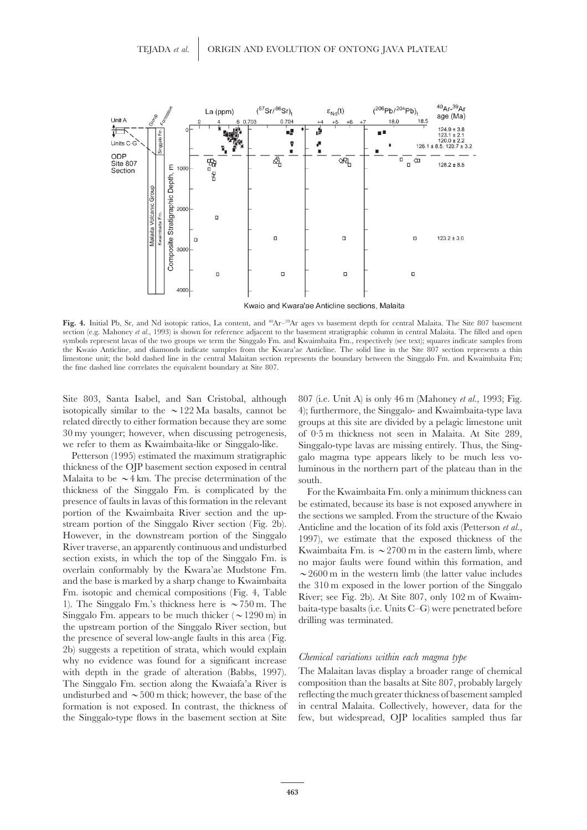

Fig. 4. Initial Pb, Sr, and Nd isotopic ratios, La content, and <sup>40</sup>Ar<sup>-39</sup>Ar ages vs basement depth for central Malaita. The Site 807 basement section (e.g. Mahoney *et al.*, 1993) is shown for reference adjacent to the basement stratigraphic column in central Malaita. The filled and open symbols represent lavas of the two groups we term the Singgalo Fm. and Kwaimbaita Fm., respectively (see text); squares indicate samples from the Kwaio Anticline, and diamonds indicate samples from the Kwara'ae Anticline. The solid line in the Site 807 section represents a thin limestone unit; the bold dashed line in the central Malaitan section represents the boundary between the Singgalo Fm. and Kwaimbaita Fm; the fine dashed line correlates the equivalent boundary at Site 807.

Site 803, Santa Isabel, and San Cristobal, although 807 (i.e. Unit A) is only 46 m (Mahoney *et al.*, 1993; Fig.

Malaita to be  $\sim$  4 km. The precise determination of the south. thickness of the Singgalo Fm. is complicated by the For the Kwaimbaita Fm. only a minimum thickness can<br>presence of faults in lavas of this formation in the relevant be estimated because its base is not exposed anywhere in presence of faults in lavas of this formation in the relevant<br>portion of the Kwaimbaita River section and the up-<br>the sections we sampled. From the structure of the Kwaio<br>stream portion of the Singgla River section (Fig. the presence of several low-angle faults in this area (Fig. 2b) suggests a repetition of strata, which would explain *Chemical variations within each magma type* why no evidence was found for a significant increase The Singgalo Fm. section along the Kwaiafa'a River is

isotopically similar to the  $\sim$ 122 Ma basalts, cannot be 4); furthermore, the Singgalo- and Kwaimbaita-type lava related directly to either formation because they are some groups at this site are divided by a pelagic limestone unit 30 my younger; however, when discussing petrogenesis, of 0·5 m thickness not seen in Malaita. At Site 289, we refer to them as Kwaimbaita-like or Singgalo-like. Singgalo-type lavas are missing entirely. Thus, the Sing-Petterson (1995) estimated the maximum stratigraphic galo magma type appears likely to be much less vo-<br>thickness of the OJP basement section exposed in central luminous in the northern part of the plateau than in the luminous in the northern part of the plateau than in the

with depth in the grade of alteration (Babbs, 1997). The Malaitan lavas display a broader range of chemical<br>The Singgalo Fm. section along the Kwaiafa'a River is composition than the basalts at Site 807, probably largely undisturbed and  $\sim$  500 m thick; however, the base of the reflecting the much greater thickness of basement sampled formation is not exposed. In contrast, the thickness of in central Malaita. Collectively, however, data for the the Singgalo-type flows in the basement section at Site few, but widespread, OJP localities sampled thus far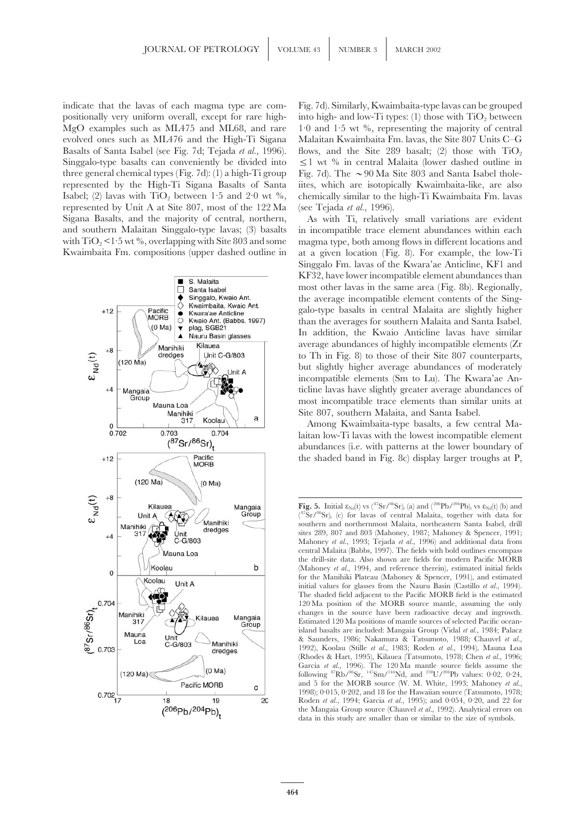indicate that the lavas of each magma type are com- Fig. 7d). Similarly, Kwaimbaita-type lavas can be grouped positionally very uniform overall, except for rare high- into high- and low-Ti types: (1) those with  $TiO<sub>2</sub>$  between MgO examples such as ML475 and ML68, and rare 1·0 and 1·5 wt %, representing the majority of central evolved ones such as ML476 and the High-Ti Sigana Malaitan Kwaimbaita Fm. lavas, the Site 807 Units C–G Basalts of Santa Isabel (see Fig. 7d; Tejada *et al.*, 1996). flows, and the Site 289 basalt; (2) those with TiO<sub>2</sub> Singgalo-type basalts can conveniently be divided into  $\leq 1$  wt % in central Malaita (lower dashed outline in three general chemical types (Fig. 7d): (1) a high-Ti group Fig. 7d). The  $\sim$ 90 Ma Site 803 and Santa Isabel tholerepresented by the High-Ti Sigana Basalts of Santa iites, which are isotopically Kwaimbaita-like, are also Isabel; (2) lavas with TiO<sub>2</sub> between 1.5 and 2.0 wt %, chemically similar to the high-Ti Kwaimbaita Fm. lavas represented by Unit A at Site 807, most of the 122 Ma (see Tejada *et al.*, 1996). Sigana Basalts, and the majority of central, northern, As with Ti, relatively small variations are evident and southern Malaitan Singgalo-type lavas; (3) basalts in incompatible trace element abundances within each with TiO<sub>2</sub> < 1.5 wt %, overlapping with Site 803 and some magma type, both among flows in different locations an Kwaimbaita Fm. compositions (upper dashed outline in at a given location (Fig. 8). For example, the low-Ti



magma type, both among flows in different locations and Singgalo Fm. lavas of the Kwara'ae Anticline, KF1 and KF32, have lower incompatible element abundances than most other lavas in the same area (Fig. 8b). Regionally, the average incompatible element contents of the Singgalo-type basalts in central Malaita are slightly higher than the averages for southern Malaita and Santa Isabel. In addition, the Kwaio Anticline lavas have similar average abundances of highly incompatible elements (Zr to Th in Fig. 8) to those of their Site 807 counterparts, but slightly higher average abundances of moderately incompatible elements (Sm to Lu). The Kwara'ae Anticline lavas have slightly greater average abundances of most incompatible trace elements than similar units at Site 807, southern Malaita, and Santa Isabel.

Among Kwaimbaita-type basalts, a few central Malaitan low-Ti lavas with the lowest incompatible element abundances (i.e. with patterns at the lower boundary of the shaded band in Fig. 8c) display larger troughs at P,

**Fig. 5.** Initial  $\varepsilon_{Nd}(t)$  vs  $({}^{87}Sr/{}^{86}Sr)_{t}$  (a) and  $({}^{206}Pb/{}^{204}Pb)_{t}$  vs  $\varepsilon_{Nd}(t)$  (b) and  $({}^{87}\text{Sr}}/{}^{86}\text{Sr})$ <sub>t</sub> (c) for lavas of central Malaita, together with data for southern and northernmost Malaita, northeastern Santa Isabel, drill sites 289, 807 and 803 (Mahoney, 1987; Mahoney & Spencer, 1991; Mahoney *et al.*, 1993; Tejada *et al.*, 1996) and additional data from central Malaita (Babbs, 1997). The fields with bold outlines encompass the drill-site data. Also shown are fields for modern Pacific MORB (Mahoney *et al.*, 1994, and reference therein), estimated initial fields for the Manihiki Plateau (Mahoney & Spencer, 1991), and estimated initial values for glasses from the Nauru Basin (Castillo *et al.*, 1994). The shaded field adjacent to the Pacific MORB field is the estimated 120 Ma position of the MORB source mantle, assuming the only changes in the source have been radioactive decay and ingrowth. Estimated 120 Ma positions of mantle sources of selected Pacific oceanisland basalts are included: Mangaia Group (Vidal *et al.*, 1984; Palacz & Saunders, 1986; Nakamura & Tatsumoto, 1988; Chauvel *et al.*, 1992), Koolau (Stille *et al.*, 1983; Roden *et al.*, 1994), Mauna Loa (Rhodes & Hart, 1995), Kilauea (Tatsumoto, 1978; Chen *et al.*, 1996; Garcia *et al.*, 1996). The 120 Ma mantle source fields assume the following  ${}^{87}Rb/{}^{86}Sr$ ,  ${}^{147}Sm/{}^{144}Nd$ , and  ${}^{238}U/{}^{204}Pb$  values: 0·02, 0·24, and 5 for the MORB source (W. M. White, 1993; Mahoney *et al.*, 1998); 0·015, 0·202, and 18 for the Hawaiian source (Tatsumoto, 1978; Roden *et al.*, 1994; Garcia *et al.*, 1995); and 0·054, 0·20, and 22 for the Mangaia Group source (Chauvel *et al.*, 1992). Analytical errors on data in this study are smaller than or similar to the size of symbols.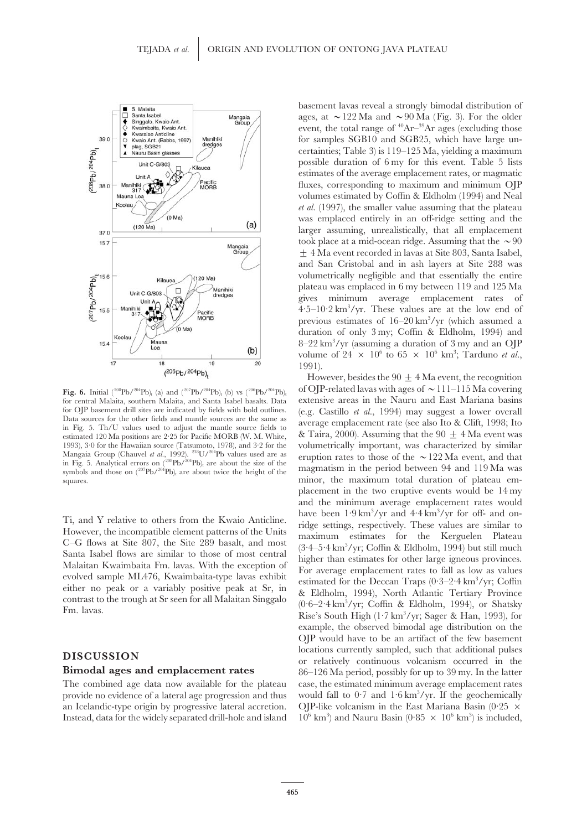

The combined age data now available for the plateau case, the estimated minimum average emplacement rates provide no evidence of a lateral age progression and thus would fall to  $0.7$  and  $1.6 \text{ km}^3/\text{yr}$ . If the geochemically an Icelandic-type origin by progressive lateral accretion. OJP-like volcanism in the East Mariana Basin (0.25  $\times$ Instead, data for the widely separated drill-hole and island

basement lavas reveal a strongly bimodal distribution of ages, at  $\sim$ 122 Ma and  $\sim$ 90 Ma (Fig. 3). For the older event, the total range of  $40Ar-39Ar$  ages (excluding those for samples SGB10 and SGB25, which have large uncertainties; Table 3) is 119–125 Ma, yielding a maximum possible duration of 6 my for this event. Table 5 lists estimates of the average emplacement rates, or magmatic fluxes, corresponding to maximum and minimum OJP volumes estimated by Coffin & Eldholm (1994) and Neal *et al.* (1997), the smaller value assuming that the plateau was emplaced entirely in an off-ridge setting and the larger assuming, unrealistically, that all emplacement took place at a mid-ocean ridge. Assuming that the  $\sim\!90$ ± 4 Ma event recorded in lavas at Site 803, Santa Isabel, and San Cristobal and in ash layers at Site 288 was volumetrically negligible and that essentially the entire plateau was emplaced in 6 my between 119 and 125 Ma gives minimum average emplacement rates of  $4.5-10.2 \text{ km}^3/\text{yr}$ . These values are at the low end of previous estimates of  $16-20 \text{ km}^3/\text{yr}$  (which assumed a duration of only 3 my; Coffin & Eldholm, 1994) and 8–22 km<sup>3</sup>/yr (assuming a duration of 3 my and an OJP volume of  $24 \times 10^6$  to  $65 \times 10^6$  km<sup>3</sup>; Tarduno *et al.*, 1991).

However, besides the  $90 \pm 4$  Ma event, the recognition **Fig. 6.** Initial (<sup>208</sup>Pb/<sup>204</sup>Pb)<sub>t</sub> (a) and (<sup>207</sup>Pb/<sup>204</sup>Pb)<sub>t</sub> (b) vs (<sup>206</sup>Pb/<sup>204</sup>Pb)<sub>t</sub> of OJP-related lavas with ages of  $\sim$ 111–115 Ma covering for central Malaita, southern Malaita, and Santa Isabel basalts. Da extensive areas in the Nauru and East Mariana basins. for OJP basement drill sites are indicated by fields with bold outlines. (e.g. Castillo *et al.*, 1994) may suggest a lower overall Data sources for the other fields and mantle sources are the same as in Fig. 5. Th/U valu estimated 120 Ma positions are 2.25 for Pacific MORB (W. M. White, & Taira, 2000). Assuming that the 90  $\pm$  4 Ma event was 1993), 3.0 for the Hawaiian source (Tatsumoto, 1978), and 3.2 for the volumetrically important, w volumetrically important, was characterized by similar Mangaia Group (Chauvel *et al.*, 1992).<sup>238</sup>U/<sup>204</sup>Pb values used are as<br>in Fig. 5. Analytical errors on  $\binom{208}{2}$  is  $\binom{204}{2}$  is  $\binom{204}{2}$  of the  $\binom{207}{2}$  are about twice the height of the<br>symbols and those minor, the maximum total duration of plateau emplacement in the two eruptive events would be 14 my and the minimum average emplacement rates would have been  $1.9 \text{ km}^3/\text{yr}$  and  $4.4 \text{ km}^3$ Ti, and Y relative to others from the Kwaio Anticline.<br>
However, the incompatible element patterns of the Units<br>
C-G flows at Site 807, the Site 289 basalt, and most<br>
Santa Isabel flows are similar to those of most centra C-G hows at she cor, the she 203 basal, and host<br>Santa Isabel flows are similar to those of most central<br>Malaitan Kwaimbaita Fm. lavas. With the exception of<br>evolved sample MI476, Kwaimbaita-type lavas exhibit<br>it is a ser Exercise or a variably positive peak at Sr, in estimated for the Deccan Traps  $(0.3-2.4 \text{ km}^3/\text{yr})$ ; Coffin exercitions contrast to the trough at Sr seen for all Malaitan Singgalo  $(0.6-2.4 \text{ km}^3/\text{yr})$ ; Coffin & Eldholm Fm. lavas.<br>
Fm. lavas. **Rise's South High (1·7 km<sup>3</sup>/yr; Sager & Han, 1993**), for Shatsky Rise's South High (1·7 km<sup>3</sup>/yr; Sager & Han, 1993), for example, the observed bimodal age distribution on the OJP would have to be an artifact of the few basement **DISCUSSION**<br> **DISCUSSION**<br> **DISCUSSION**<br> **Bimodal ages and emplacement rates**<br> **Bimodal ages and emplacement rates**<br>  $86-126$  Ma period, possibly for up to 39 my. In the latter ) and Nauru Basin (0.85  $\times$  10<sup>6</sup> km<sup>3</sup>) is included,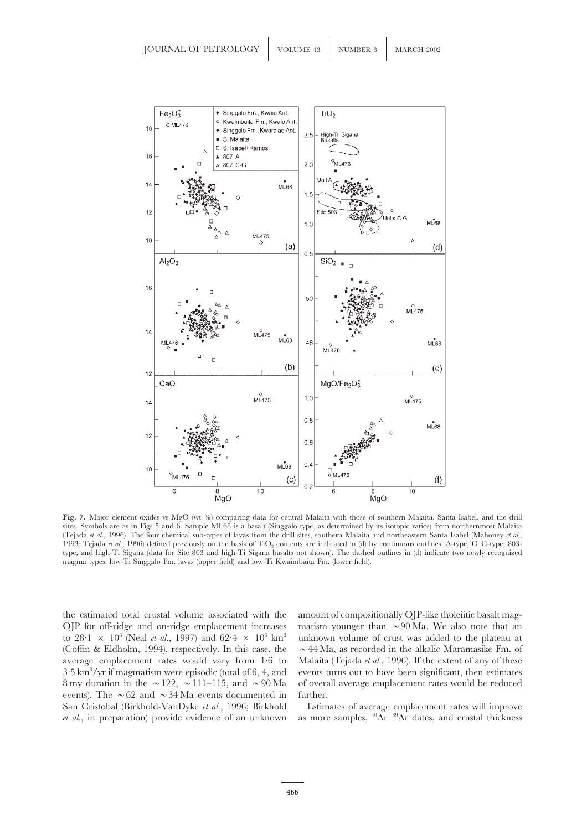![](_page_17_Figure_1.jpeg)

**Fig. 7.** Major element oxides vs MgO (wt %) comparing data for central Malaita with those of southern Malaita, Santa Isabel, and the drill sites. Symbols are as in Figs 5 and 6. Sample ML68 is a basalt (Singgalo type, as determined by its isotopic ratios) from northernmost Malaita (Tejada *et al.*, 1996). The four chemical sub-types of lavas from the drill sites, southern Malaita and northeastern Santa Isabel (Mahoney *et al.*, 1993; Tejada et al., 1996) defined previously on the basis of TiO<sub>2</sub> contents are indicated in (d) by continuous outlines: A-type, C–G-type, 803type, and high-Ti Sigana (data for Site 803 and high-Ti Sigana basalts not shown). The dashed outlines in (d) indicate two newly recognized magma types: low-Ti Singgalo Fm. lavas (upper field) and low-Ti Kwaimbaita Fm. (lower field).

the estimated total crustal volume associated with the amount of compositionally OJP-like tholeiitic basalt mag-OJP for off-ridge and on-ridge emplacement increases matism younger than  $\sim$ 90 Ma. We also note that an to  $28 \cdot 1 \times 10^6$  (Neal *et al.*, 1997) and  $62 \cdot 4 \times 10^6$  km<sup>3</sup> unknown volume of crust was added to the plateau at (Coffin & Eldholm, 1994), respectively. In this case, the  $\sim 44$  Ma, as recorded in the alkalic Maramasike Fm. of average emplacement rates would vary from 1·6 to Malaita (Tejada *et al.*, 1996). If the extent of any of these  $3.5 \text{ km}^3/\text{yr}$  if magmatism were episodic (total of 6, 4, and 8 my duration in the  $\sim$  122,  $\sim$  111–115, and  $\sim$  90 Ma of overall average emplacement rates would be reduced events). The  $\sim 62$  and  $\sim 34$  Ma events documented in further. San Cristobal (Birkhold-VanDyke *et al.*, 1996; Birkhold Estimates of average emplacement rates will improve *et al.*, in preparation) provide evidence of an unknown as more samples,  ${}^{40}Ar-{}^{39}Ar$  dates, and crustal thickness

events turns out to have been significant, then estimates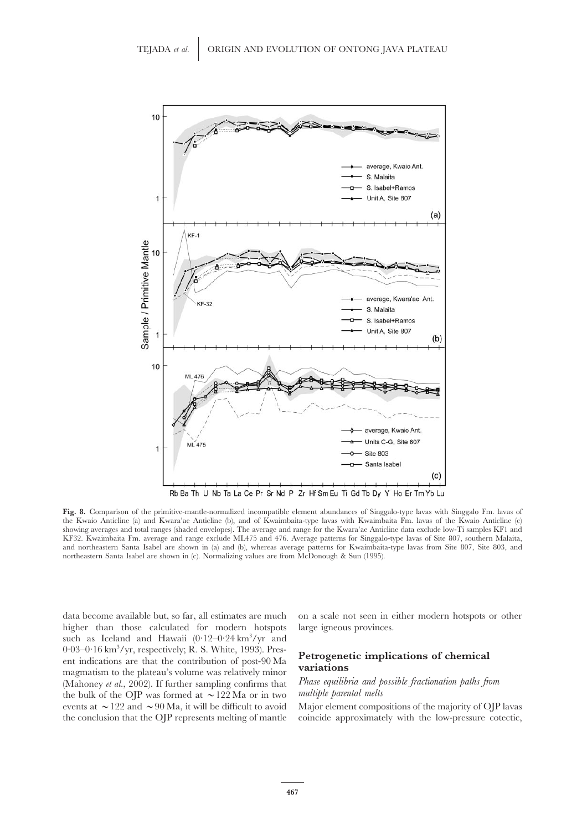![](_page_18_Figure_1.jpeg)

Fig. 8. Comparison of the primitive-mantle-normalized incompatible element abundances of Singgalo-type lavas with Singgalo Fm. lavas of the Kwaio Anticline (a) and Kwara'ae Anticline (b), and of Kwaimbaita-type lavas with Kwaimbaita Fm. lavas of the Kwaio Anticline (c) showing averages and total ranges (shaded envelopes). The average and range for the Kwara'ae Anticline data exclude low-Ti samples KF1 and KF32. Kwaimbaita Fm. average and range exclude ML475 and 476. Average patterns for Singgalo-type lavas of Site 807, southern Malaita, and northeastern Santa Isabel are shown in (a) and (b), whereas average patterns for Kwaimbaita-type lavas from Site 807, Site 803, and northeastern Santa Isabel are shown in (c). Normalizing values are from McDonough & Sun (1995).

data become available but, so far, all estimates are much on a scale not seen in either modern hotspots or other higher than those calculated for modern hotspots large igneous provinces. such as Iceland and Hawaii  $(0.12-0.24 \text{ km}^3/\text{yr})$  and  $0.03-0.16$  km<sup>3</sup>/yr, respectively; R. S. White, 1993). Pres-Provided and *yr*, respectively; R. S. White, 1993). Pres-<br>ent indications are that the contribution of post-90 Ma<br>magmatism to the plateau's volume was relatively minor<br>(Mahoney *et al.* 2002). If further sampling confirm (Mahoney *et al.*, 2002). If further sampling confirms that *Phase equilibria and p* the bulk of the OIP was formed at  $\sim$  122 Ma or in two *multiple parental melts* the bulk of the OJP was formed at  $\sim$ 122 Ma or in two events at  $\sim$  122 and  $\sim$  90 Ma, it will be difficult to avoid Major element compositions of the majority of OJP lavas

the conclusion that the OJP represents melting of mantle coincide approximately with the low-pressure cotectic,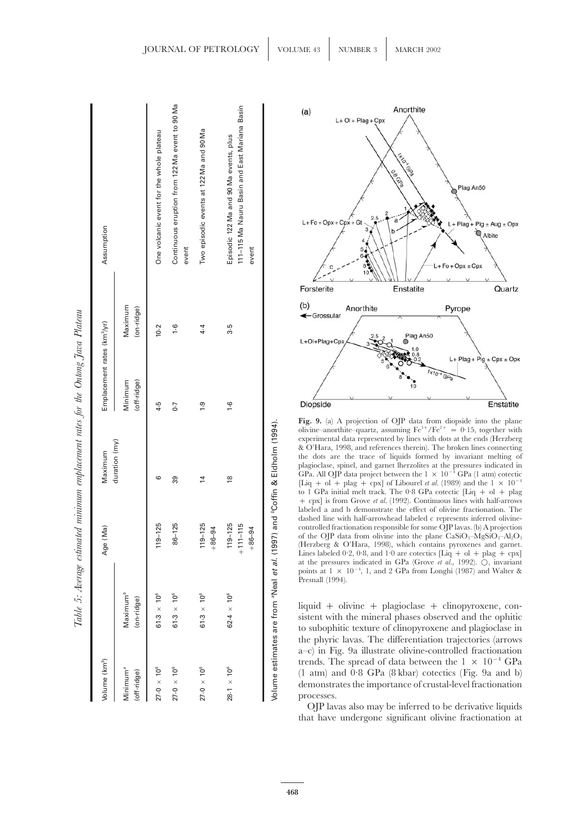| ĩ                                              |
|------------------------------------------------|
| $ \mu$ $\alpha$ $\mu$ $\alpha$ $\mu$<br>ì<br>J |
| $\mathcal{I}$<br>Ι                             |
| š                                              |
| $\frac{1}{2}$<br>$\overline{ }$                |
| i<br>֚֚֞<br>֧֚֝<br>֚֝<br>֚֝                    |
| ł                                              |
|                                                |
|                                                |
| ŋ<br>i<br>Í                                    |
| ţ                                              |
|                                                |
|                                                |
| n<br>A<br>ï<br>$\ddot{\phantom{0}}$            |

| Volume (km <sup>3</sup> )           |                                             | Ma)<br>Age (                            | Maximum       | Emplacement rates (km <sup>3</sup> /yr) |                       | Assumption                                                                                       |
|-------------------------------------|---------------------------------------------|-----------------------------------------|---------------|-----------------------------------------|-----------------------|--------------------------------------------------------------------------------------------------|
| Minimum <sup>ª</sup><br>(off-ridge) | $\mathsf{Maximum}^\mathit{b}$<br>(on-ridge) |                                         | duration (my) | (off-ridge)<br>Minimum                  | Maximum<br>(on-ridge) |                                                                                                  |
| $27.0 \times 10^6$                  | $61.3 \times 10^{6}$                        | $119 - 125$                             | ဖ             | 4.5                                     | 10.2                  | One volcanic event for the whole plateau                                                         |
| $27.0 \times 10^6$                  | $61.3 \times 10^{6}$                        | $86 - 125$                              | 39            | $\overline{0}$                          | $\frac{6}{1}$         | Continuous eruption from 122 Ma event to 90 Ma<br>event                                          |
| $27.0 \times 10^6$                  | $61.3 \times 10^{6}$                        | $119 - 125$<br>$+8-04$                  |               | <u>ှ</u>                                | $4 - 4$               | Two episodic events at 122 Ma and 90 Ma                                                          |
| $28.1 \times 10^{6}$                | $62.4 \times 10^{6}$                        | $119 - 125$<br>$+111 - 115$<br>$+8-08+$ | $\frac{8}{1}$ | $\frac{6}{1}$                           | 3.5                   | 111-115 Ma Nauru Basin and East Mariana Basin<br>Episodic 122 Ma and 90 Ma events, plus<br>event |

![](_page_19_Figure_2.jpeg)

**Fig. 9.** (a) A projection of OJP data from diopside into the plane olivine–anorthite–quartz, assuming  $Fe^{3+}/Fe^{2+} = 0.15$ , together with experimental data represented by lines with dots at the ends (Herzberg & O'Hara, 1998, and references therein). The broken lines connecting the dots are the trace of liquids formed by invariant melting of plagioclase, spinel, and garnet lherzolites at the pressures indicated in GPa. All OJP data project between the  $1 \times 10^{-4}$  GPa (1 atm) cotectic [Liq + ol + plag + cpx] of Libourel *et al.* (1989) and the 1  $\times$  10<sup>-4</sup> to 1 GPa initial melt track. The 0.8 GPa cotectic  $[Liq + ol + plag]$ + cpx] is from Grove *et al.* (1992). Continuous lines with half-arrows labeled a and b demonstrate the effect of olivine fractionation. The dashed line with half-arrowhead labeled c represents inferred olivinecontrolled fractionation responsible for some OJP lavas. (b) A projection of the OJP data from olivine into the plane  $CaSiO_3-MgSiO_3-Al_2O_3$ (Herzberg & O'Hara, 1998), which contains pyroxenes and garnet. Lines labeled 0.2, 0.8, and 1.0 are cotectics  $[\text{Liq} + \text{ol} + \text{play} + \text{cpx}]$ at the pressures indicated in GPa (Grove *et al.*, 1992). Β, invariant points at  $1 \times 10^{-4}$ , 1, and 2 GPa from Longhi (1987) and Walter & Presnall (1994).

liquid + olivine + plagioclase + clinopyroxene, consistent with the mineral phases observed and the ophitic to subophitic texture of clinopyroxene and plagioclase in the phyric lavas. The differentiation trajectories (arrows a–c) in Fig. 9a illustrate olivine-controlled fractionation trends. The spread of data between the 1 × 10<sup>−</sup><sup>4</sup> GPa (1 atm) and 0·8 GPa (8 kbar) cotectics (Fig. 9a and b) demonstrates the importance of crustal-level fractionation processes.

OJP lavas also may be inferred to be derivative liquids that have undergone significant olivine fractionation at

Volume estimates are from *a*Neal *et al.* (1997) and *b*Coffin & Eldholm (1994).

Volume estimates are from <sup>a</sup>Neal et al. (1997) and <sup>b</sup>Coffin & Eldholm (1994)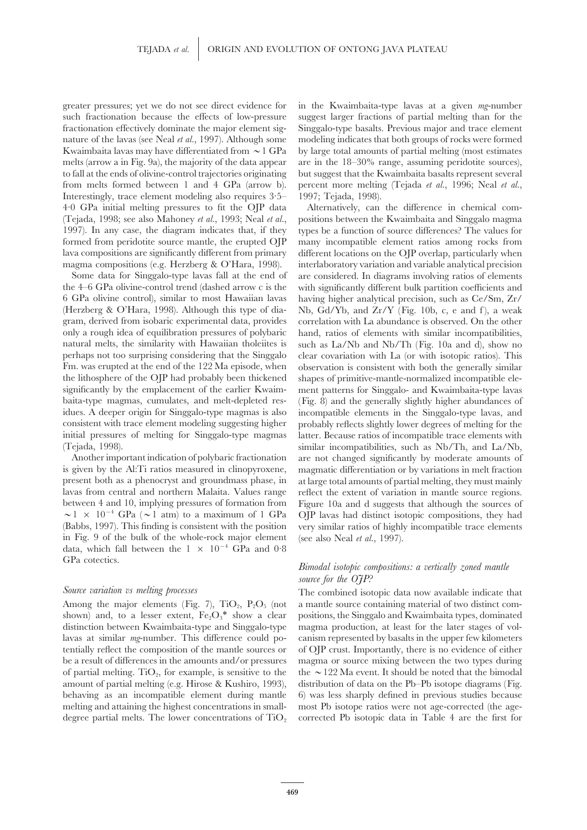Interestingly, trace element modeling also requires 3·5– 1997; Tejada, 1998). 4·0 GPa initial melting pressures to fit the OJP data Alternatively, can the difference in chemical com- (Tejada, 1998; see also Mahoney *et al.*, 1993; Neal *et al.*, positions between the Kwaimbaita and Singgalo magma 1997). In any case, the diagram indicates that, if they types be a function of source differences? The values for formed from peridotite source mantle, the erupted OJP many incompatible element ratios among rocks from lava compositions are significantly different from primary different locations on the OJP overlap, particularly when

the 4–6 GPa olivine-control trend (dashed arrow c is the with significantly different bulk partition coefficients and 6 GPa olivine control), similar to most Hawaiian lavas having higher analytical precision, such as Ce/Sm, Zr/ (Herzberg & O'Hara, 1998). Although this type of dia- Nb, Gd/Yb, and Zr/Y (Fig. 10b, c, e and f), a weak gram, derived from isobaric experimental data, provides correlation with La abundance is observed. On the other only a rough idea of equilibration pressures of polybaric hand, ratios of elements with similar incompatibilities, natural melts, the similarity with Hawaiian tholeities is such as La/Nb and Nb/Th (Fig. 10a and d), show no perhaps not too surprising considering that the Singgalo clear covariation with La (or with isotopic ratios). This Fm. was erupted at the end of the 122 Ma episode, when observation is consistent with both the generally similar the lithosphere of the OJP had probably been thickened shapes of primitive-mantle-normalized incompatible elesignificantly by the emplacement of the earlier Kwaim- ment patterns for Singgalo- and Kwaimbaita-type lavas baita-type magmas, cumulates, and melt-depleted res- (Fig. 8) and the generally slightly higher abundances of idues. A deeper origin for Singgalo-type magmas is also incompatible elements in the Singgalo-type lavas, and consistent with trace element modeling suggesting higher probably reflects slightly lower degrees of melting for the initial pressures of melting for Singgalo-type magmas latter. Because ratios of incompatible trace elements with

is given by the Al:Ti ratios measured in clinopyroxene, magmatic differentiation or by variations in melt fraction present both as a phenocryst and groundmass phase, in at large total amounts of partial melting, they must mainly lavas from central and northern Malaita. Values range reflect the extent of variation in mantle source regions. (Babbs, 1997). This finding is consistent with the position very similar ratios of highly incompatible trace elements in Fig. 9 of the bulk of the whole-rock major element (see also Neal *et al.*, 1997). data, which fall between the  $1 \times 10^{-4}$  GPa and 0.8 GPa cotectics.<br>*Bimodal isotopic compositions: a vertically zoned mantle* 

greater pressures; yet we do not see direct evidence for in the Kwaimbaita-type lavas at a given *mg*-number such fractionation because the effects of low-pressure suggest larger fractions of partial melting than for the fractionation effectively dominate the major element sig- Singgalo-type basalts. Previous major and trace element nature of the lavas (see Neal *et al.*, 1997). Although some modeling indicates that both groups of rocks were formed Kwaimbaita lavas may have differentiated from  $\sim 1$  GPa by large total amounts of partial melting (most estimates melts (arrow a in Fig. 9a), the majority of the data appear are in the 18–30% range, assuming peridotite sources), to fall at the ends of olivine-control trajectories originating but suggest that the Kwaimbaita basalts represent several from melts formed between 1 and 4 GPa (arrow b). percent more melting (Tejada *et al.*, 1996; Neal *et al.*,

magma compositions (e.g. Herzberg & O'Hara, 1998). interlaboratory variation and variable analytical precision Some data for Singgalo-type lavas fall at the end of are considered. In diagrams involving ratios of elements such as La/Nb and Nb/Th (Fig. 10a and d), show no (Tejada, 1998). similar incompatibilities, such as Nb/Th, and La/Nb, Another important indication of polybaric fractionation are not changed significantly by moderate amounts of between 4 and 10, implying pressures of formation from Figure 10a and d suggests that although the sources of  $\sim 1 \times 10^{-4}$  GPa ( $\sim 1$  atm) to a maximum of 1 GPa (OIP lavas had distinct isotopic compositions, they had OJP lavas had distinct isotopic compositions, they had

# *source for the OJP?*

*Source variation vs melting processes* The combined isotopic data now available indicate that Among the major elements (Fig. 7),  $TiO_2$ ,  $P_2O_5$  (not a mantle source containing material of two distinct comshown) and, to a lesser extent,  $Fe<sub>2</sub>O<sub>3</sub><sup>*</sup>$  show a clear positions, the Singgalo and Kwaimbaita types, dominated distinction between Kwaimbaita-type and Singgalo-type magma production, at least for the later stages of vollavas at similar *mg*-number. This difference could po- canism represented by basalts in the upper few kilometers tentially reflect the composition of the mantle sources or of OJP crust. Importantly, there is no evidence of either be a result of differences in the amounts and/or pressures magma or source mixing between the two types during of partial melting. TiO<sub>2</sub>, for example, is sensitive to the the  $\sim$  122 Ma event. It should be noted that the bimodal amount of partial melting (e.g. Hirose & Kushiro, 1993), distribution of data on the Pb–Pb isotope diagrams (Fig. behaving as an incompatible element during mantle 6) was less sharply defined in previous studies because melting and attaining the highest concentrations in small- most Pb isotope ratios were not age-corrected (the agedegree partial melts. The lower concentrations of TiO<sub>2</sub> corrected Pb isotopic data in Table 4 are the first for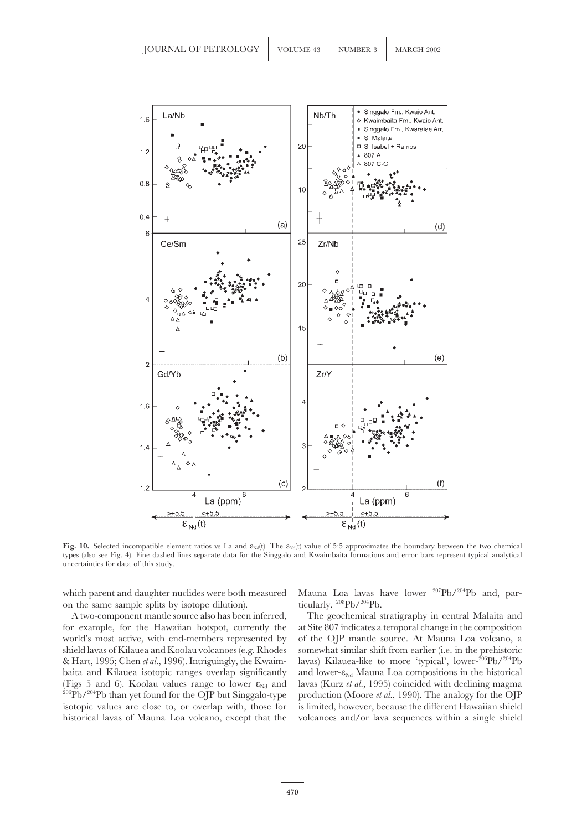![](_page_21_Figure_1.jpeg)

Fig. 10. Selected incompatible element ratios vs La and  $\varepsilon_{Nd}(t)$ . The  $\varepsilon_{Nd}(t)$  value of 5.5 approximates the boundary between the two chemical types (also see Fig. 4). Fine dashed lines separate data for the Singgalo and Kwaimbaita formations and error bars represent typical analytical uncertainties for data of this study.

on the same sample splits by isotope dilution).

for example, for the Hawaiian hotspot, currently the at Site 807 indicates a temporal change in the composition world's most active, with end-members represented by of the OJP mantle source. At Mauna Loa volcano, a shield lavas of Kilauea and Koolau volcanoes (e.g. Rhodes somewhat similar shift from earlier (i.e. in the prehistoric & Hart, 1995; Chen *et al.*, 1996). Intriguingly, the Kwaim- lavas) Kilauea-like to more 'typical', lower-206Pb/204Pb baita and Kilauea isotopic ranges overlap significantly and lower- $\varepsilon_{Nd}$  Mauna Loa compositions in the historical (Figs 5 and 6). Koolau values range to lower  $\varepsilon_{Nd}$  and lavas (Kurz *et al.*, 1995) coincided with decl (Figs 5 and 6). Koolau values range to lower  $\varepsilon_{Nd}$  and  $^{206}Pb/^{204}Pb$  than yet found for the OJP but Singgalo-type isotopic values are close to, or overlap with, those for is limited, however, because the different Hawaiian shield historical lavas of Mauna Loa volcano, except that the volcanoes and/or lava sequences within a single shield

which parent and daughter nuclides were both measured Mauna Loa lavas have lower  $^{207}Pb/^{204}Pb$  and, par-<br>on the same sample splits by isotope dilution). <br>incularly,  $^{208}Pb/^{204}Pb$ .

A two-component mantle source also has been inferred, The geochemical stratigraphy in central Malaita and production (Moore *et al.*, 1990). The analogy for the OJP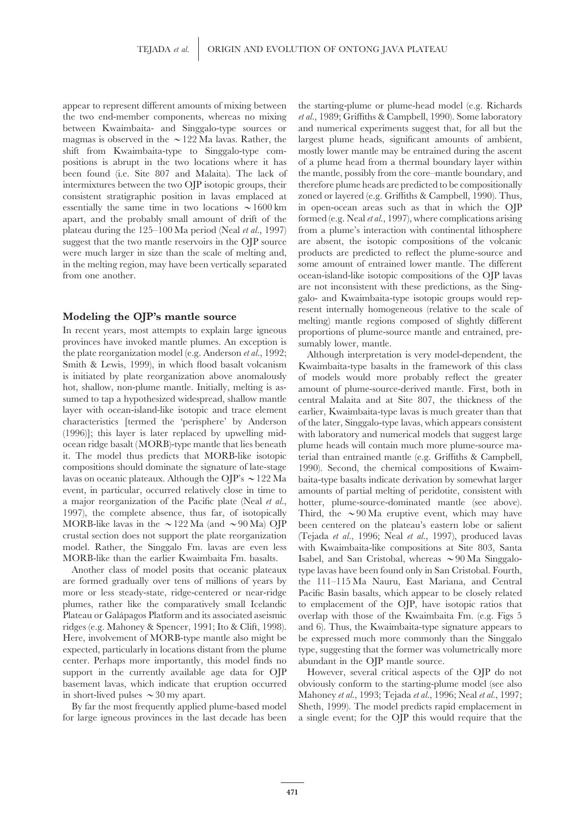appear to represent different amounts of mixing between the starting-plume or plume-head model (e.g. Richards the two end-member components, whereas no mixing *et al.*, 1989; Griffiths & Campbell, 1990). Some laboratory between Kwaimbaita- and Singgalo-type sources or and numerical experiments suggest that, for all but the magmas is observed in the  $\sim$ 122 Ma lavas. Rather, the largest plume heads, significant amounts of ambient, shift from Kwaimbaita-type to Singgalo-type com- mostly lower mantle may be entrained during the ascent positions is abrupt in the two locations where it has of a plume head from a thermal boundary layer within been found (i.e. Site 807 and Malaita). The lack of the mantle, possibly from the core–mantle boundary, and intermixtures between the two OJP isotopic groups, their therefore plume heads are predicted to be compositionally consistent stratigraphic position in lavas emplaced at zoned or layered (e.g. Griffiths & Campbell, 1990). Thus, essentially the same time in two locations  $\sim 1600 \text{ km}$  in open-ocean areas such as that in which the OJP apart, and the probably small amount of drift of the formed (e.g. Neal *et al.*, 1997), where complications arising plateau during the 125–100 Ma period (Neal *et al.*, 1997) from a plume's interaction with continental lithosphere suggest that the two mantle reservoirs in the OJP source are absent, the isotopic compositions of the volcanic were much larger in size than the scale of melting and, products are predicted to reflect the plume-source and in the melting region, may have been vertically separated some amount of entrained lower mantle. The different from one another. ocean-island-like isotopic compositions of the OJP lavas

provinces have invoked mantle plumes. An exception is sumably lower, mantle. the plate reorganization model (e.g. Anderson *et al.*, 1992; Although interpretation is very model-dependent, the Smith & Lewis, 1999), in which flood basalt volcanism Kwaimbaita-type basalts in the framework of this clas is initiated by plate reorganization above anomalously of models would more probably reflect the greater hot, shallow, non-plume mantle. Initially, melting is as- amount of plume-source-derived mantle. First, both in sumed to tap a hypothesized widespread, shallow mantle central Malaita and at Site 807, the thickness of the layer with ocean-island-like isotopic and trace element earlier, Kwaimbaita-type lavas is much greater than that characteristics [termed the 'perisphere' by Anderson of the later, Singgalo-type lavas, which appears consistent (1996)]; this layer is later replaced by upwelling mid- with laboratory and numerical models that suggest large ocean ridge basalt (MORB)-type mantle that lies beneath plume heads will contain much more plume-source mait. The model thus predicts that MORB-like isotopic terial than entrained mantle (e.g. Griffiths & Campbell, compositions should dominate the signature of late-stage 1990). Second, the chemical compositions of Kwaim-<br>lavas on oceanic plateaux. Although the OIP's  $\sim$  122 Ma baita-type basalts indicate derivation by somewhat larg lavas on oceanic plateaux. Although the OJP's  $\sim$ 122 Ma baita-type basalts indicate derivation by somewhat larger<br>event, in particular, occurred relatively close in time to amounts of partial melting of peridotite, consi a major reorganization of the Pacific plate (Neal *et al.*, hotter, plume-source-dominated mantle (see above). 1997), the complete absence, thus far, of isotopically Third, the  $\sim 90$  Ma eruptive event, which may have MORB-like lavas in the  $\sim$ 122 Ma (and  $\sim$ 90 Ma) OJP been centered on the plateau's eastern lobe or salient crustal section does not support the plate reorganization (Tejada *et al.*, 1996; Neal *et al.*, 1997), produced lavas model. Rather, the Singgalo Fm. lavas are even less with Kwaimbaita-like compositions at Site 803, Santa MORB-like than the earlier Kwaimbaita Fm. basalts. Isabel, and San Cristobal, whereas  $\sim 90$  Ma Singgalo-

are formed gradually over tens of millions of years by the 111–115 Ma Nauru, East Mariana, and Central more or less steady-state, ridge-centered or near-ridge Pacific Basin basalts, which appear to be closely related plumes, rather like the comparatively small Icelandic to emplacement of the OJP, have isotopic ratios that Plateau or Galápagos Platform and its associated aseismic overlap with those of the Kwaimbaita Fm. (e.g. Figs 5 ridges (e.g. Mahoney & Spencer, 1991; Ito & Clift, 1998). and 6). Thus, the Kwaimbaita-type signature appears to Here, involvement of MORB-type mantle also might be be expressed much more commonly than the Singgalo expected, particularly in locations distant from the plume type, suggesting that the former was volumetrically more center. Perhaps more importantly, this model finds no abundant in the OJP mantle source. support in the currently available age data for OJP However, several critical aspects of the OJP do not basement lavas, which indicate that eruption occurred obviously conform to the starting-plume model (see also

for large igneous provinces in the last decade has been a single event; for the OJP this would require that the

are not inconsistent with these predictions, as the Singgalo- and Kwaimbaita-type isotopic groups would rep-**Modeling the OJP's mantle source** resent internally homogeneous (relative to the scale of melting) mantle regions composed of slightly different In recent years, most attempts to explain large igneous proportions of plume proportions of plume-source mantle and entrained, pre-

Kwaimbaita-type basalts in the framework of this class amounts of partial melting of peridotite, consistent with Third, the  $\sim 90$  Ma eruptive event, which may have Another class of model posits that oceanic plateaux type lavas have been found only in San Cristobal. Fourth,

in short-lived pulses >30 my apart. Mahoney *et al.*, 1993; Tejada *et al.*, 1996; Neal *et al.*, 1997; By far the most frequently applied plume-based model Sheth, 1999). The model predicts rapid emplacement in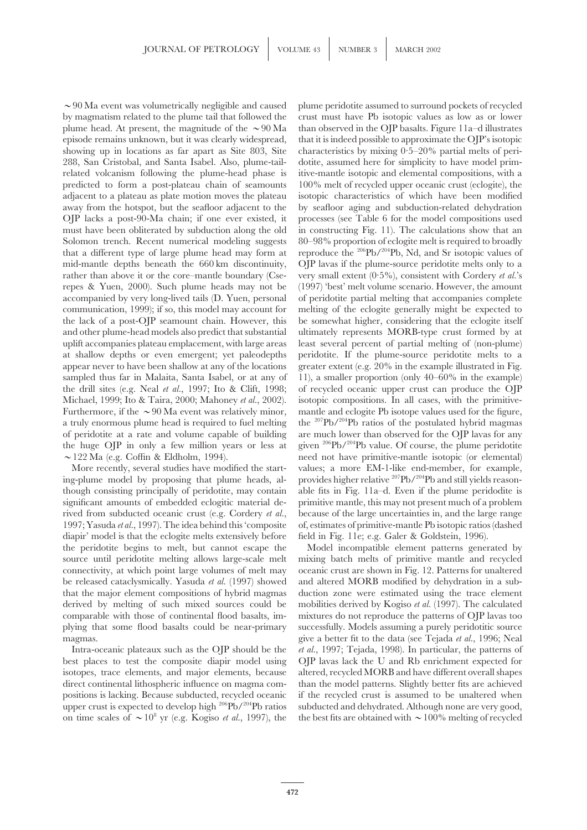by magmatism related to the plume tail that followed the crust must have Pb isotopic values as low as or lower plume head. At present, the magnitude of the  $\sim 90$  Ma than observed in the OJP basalts. Figure 11a–d illustrates episode remains unknown, but it was clearly widespread, that it is indeed possible to approximate the OJP's isotopic showing up in locations as far apart as Site 803, Site characteristics by mixing  $0.5-20\%$  partial melts of peri-288, San Cristobal, and Santa Isabel. Also, plume-tail- dotite, assumed here for simplicity to have model primrelated volcanism following the plume-head phase is itive-mantle isotopic and elemental compositions, with a predicted to form a post-plateau chain of seamounts 100% melt of recycled upper oceanic crust (eclogite), the adjacent to a plateau as plate motion moves the plateau isotopic characteristics of which have been modified away from the hotspot, but the seafloor adjacent to the by seafloor aging and subduction-related dehydration OJP lacks a post-90-Ma chain; if one ever existed, it processes (see Table 6 for the model compositions used must have been obliterated by subduction along the old in constructing Fig. 11). The calculations show that an Solomon trench. Recent numerical modeling suggests 80-98% proportion of eclogite melt is required to broadly that a different type of large plume head may form at reproduce the <sup>206</sup>Pb/<sup>204</sup>Pb, Nd, and Sr isotopic values of mid-mantle depths beneath the 660 km discontinuity, OJP lavas if the plume-source peridotite melts only to a rather than above it or the core–mantle boundary (Cse- very small extent  $(0.5\%)$ , consistent with Cordery *et al.*'s repes & Yuen, 2000). Such plume heads may not be (1997) 'best' melt volume scenario. However, the amount accompanied by very long-lived tails (D. Yuen, personal of peridotite partial melting that accompanies complete communication, 1999); if so, this model may account for melting of the eclogite generally might be expected to the lack of a post-OJP seamount chain. However, this be somewhat higher, considering that the eclogite itself and other plume-head models also predict that substantial ultimately represents MORB-type crust formed by at uplift accompanies plateau emplacement, with large areas least several percent of partial melting of (non-plume) at shallow depths or even emergent; yet paleodepths peridotite. If the plume-source peridotite melts to a appear never to have been shallow at any of the locations greater extent (e.g.  $20\%$  in the example illustrated in Fig. sampled thus far in Malaita, Santa Isabel, or at any of 11), a smaller proportion (only 40–60% in the example) the drill sites (e.g. Neal *et al.*, 1997; Ito & Clift, 1998; of recycled oceanic upper crust can produce the OJP Michael, 1999; Ito & Taira, 2000; Mahoney *et al.*, 2002). isotopic compositions. In all cases, with the primitive-Furthermore, if the  $\sim$ 90 Ma event was relatively minor, mantle and eclogite Pb isotope values used for the figure, a truly enormous plume head is required to fuel melting the  $^{207}Pb/^{204}Pb$  ratios of the postulated hybrid magmas of peridotite at a rate and volume capable of building are much lower than observed for the OJP lavas for any the huge OJP in only a few million years or less at given <sup>206</sup>Pb/<sup>204</sup>Pb value. Of course, the plume peridotite  $\sim$ 122 Ma (e.g. Coffin & Eldholm, 1994). need not have primitive-mantle isotopic (or elemental)

ing-plume model by proposing that plume heads, although consisting principally of peridotite, may contain able fits in Fig. 11a–d. Even if the plume peridodite is significant amounts of embedded eclogitic material de- primitive mantle, this may not present much of a problem rived from subducted oceanic crust (e.g. Cordery *et al.*, because of the large uncertainties in, and the large range 1997; Yasuda *et al.*, 1997). The idea behind this 'composite of, estimates of primitive-mantle Pb isotopic ratios (dashed diapir' model is that the eclogite melts extensively before field in Fig. 11e; e.g. Galer & Goldstein, 1996). the peridotite begins to melt, but cannot escape the Model incompatible element patterns generated by source until peridotite melting allows large-scale melt mixing batch melts of primitive mantle and recycled connectivity, at which point large volumes of melt may oceanic crust are shown in Fig. 12. Patterns for unaltered be released cataclysmically. Yasuda *et al.* (1997) showed and altered MORB modified by dehydration in a subthat the major element compositions of hybrid magmas duction zone were estimated using the trace element derived by melting of such mixed sources could be mobilities derived by Kogiso *et al.* (1997). The calculated comparable with those of continental flood basalts, im- mixtures do not reproduce the patterns of OJP lavas too plying that some flood basalts could be near-primary successfully. Models assuming a purely peridotitic source magmas. **give a better fit to the data (see Tejada** *et al.***, 1996; Neal** 

best places to test the composite diapir model using OJP lavas lack the U and Rb enrichment expected for isotopes, trace elements, and major elements, because altered, recycled MORB and have different overall shapes direct continental lithospheric influence on magma com- than the model patterns. Slightly better fits are achieved positions is lacking. Because subducted, recycled oceanic if the recycled crust is assumed to be unaltered when upper crust is expected to develop high <sup>206</sup>Pb/<sup>204</sup>Pb ratios subducted and dehydrated. Although none are very good, on time scales of  $\sim 10^8$  yr (e.g. Kogiso *et al.*, 1997), the the best fits are obtained with  $\sim 10$ 

 $\sim$ 90 Ma event was volumetrically negligible and caused plume peridotite assumed to surround pockets of recycled More recently, several studies have modified the start-<br>g-plumes; a more EM-1-like end-member, for example,<br>g-plume model by proposing that plume heads, al-<br>provides higher relative  $^{207}Pb/^{204}Pb$  and still yields reas

Intra-oceanic plateaux such as the OJP should be the *et al.*, 1997; Tejada, 1998). In particular, the patterns of the best fits are obtained with  $\sim$  100% melting of recycled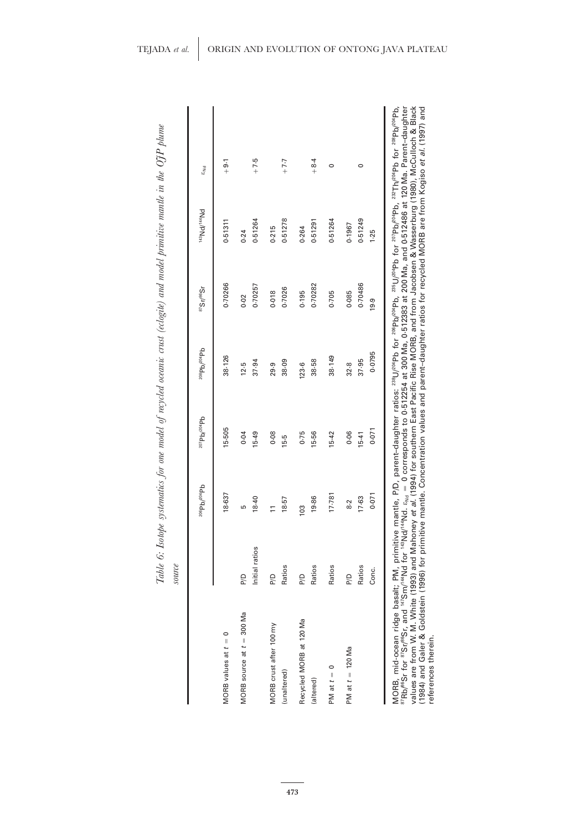|                                                                                                                                                                                                                                                                                                                                                                                                                                                                                                                                                                                                                                                                                                                                                                                                                                                                                                               | source         |                     |                     |             |                     | Table 6: Isotope systematics for one model of recycled oceanic crust (eclogite) and model primitive mantle in the OJP plume |                 |
|---------------------------------------------------------------------------------------------------------------------------------------------------------------------------------------------------------------------------------------------------------------------------------------------------------------------------------------------------------------------------------------------------------------------------------------------------------------------------------------------------------------------------------------------------------------------------------------------------------------------------------------------------------------------------------------------------------------------------------------------------------------------------------------------------------------------------------------------------------------------------------------------------------------|----------------|---------------------|---------------------|-------------|---------------------|-----------------------------------------------------------------------------------------------------------------------------|-----------------|
|                                                                                                                                                                                                                                                                                                                                                                                                                                                                                                                                                                                                                                                                                                                                                                                                                                                                                                               |                | $^{206}Pb/^{204}Pb$ | $2^{07}Pb/^{204}Pb$ | 208Pb/204Pb | $8^{37}$ Sr/ $88$ r | bN <sub>**/PNs</sub> r                                                                                                      | ε <sub>Nd</sub> |
| $\circ$<br>MORB values at $t =$                                                                                                                                                                                                                                                                                                                                                                                                                                                                                                                                                                                                                                                                                                                                                                                                                                                                               |                | 18-637              | 15-505              | 38.126      | 0.70266             | 0.51311                                                                                                                     | $-9.1$          |
| MORB source at $t = 300$ Ma                                                                                                                                                                                                                                                                                                                                                                                                                                                                                                                                                                                                                                                                                                                                                                                                                                                                                   | <b>P/D</b>     | 5                   | 0.04                | 12.5        | 0.02                | 0.24                                                                                                                        |                 |
|                                                                                                                                                                                                                                                                                                                                                                                                                                                                                                                                                                                                                                                                                                                                                                                                                                                                                                               | Initial ratios | 18-40               | 15-49               | 37-94       | 0.70257             | 0.51264                                                                                                                     | $+7.5$          |
| MORB crust after 100 my                                                                                                                                                                                                                                                                                                                                                                                                                                                                                                                                                                                                                                                                                                                                                                                                                                                                                       | P/D            | $\overline{1}$      | 0.08                | 29.9        | 0.018               | 0.215                                                                                                                       |                 |
| (unaltered)                                                                                                                                                                                                                                                                                                                                                                                                                                                                                                                                                                                                                                                                                                                                                                                                                                                                                                   | Ratios         | 18-57               | 15.5                | 38.09       | 0.7026              | 0.51278                                                                                                                     | $F - 7 - 7$     |
| Recycled MORB at 120 Ma                                                                                                                                                                                                                                                                                                                                                                                                                                                                                                                                                                                                                                                                                                                                                                                                                                                                                       | P/D            | 103                 | 0.75                | 123.6       | 0.195               | 0.264                                                                                                                       |                 |
| (altered)                                                                                                                                                                                                                                                                                                                                                                                                                                                                                                                                                                                                                                                                                                                                                                                                                                                                                                     | Ratios         | 19.86               | 15-56               | 38-58       | 0.70282             | 0.51291                                                                                                                     | $+8.4$          |
| PM at $t =$                                                                                                                                                                                                                                                                                                                                                                                                                                                                                                                                                                                                                                                                                                                                                                                                                                                                                                   | Ratios         | 17.781              | $15 - 42$           | 38.149      | 0.705               | 0.51264                                                                                                                     | 0               |
| PM at $t = 120$ Ma                                                                                                                                                                                                                                                                                                                                                                                                                                                                                                                                                                                                                                                                                                                                                                                                                                                                                            | <b>P/D</b>     | 8.2                 | 0.06                | 32.8        | 0.085               | 0.1967                                                                                                                      |                 |
|                                                                                                                                                                                                                                                                                                                                                                                                                                                                                                                                                                                                                                                                                                                                                                                                                                                                                                               | Ratios         | 17.63               | $15-41$             | 37-95       | 0.70486             | 0.51249                                                                                                                     | $\circ$         |
|                                                                                                                                                                                                                                                                                                                                                                                                                                                                                                                                                                                                                                                                                                                                                                                                                                                                                                               | Conc.          | 0.071               | 0.071               | 0.0795      | 19.9                | 1.25                                                                                                                        |                 |
| values are from W. M. White (1993) and Mahoney <i>et al.</i> (1994) for southern East Pacific Rise MORB, and from Jacobsen & Wasserburg (1980), McCulloch & Black<br>MORB, mid-ocean ridge basalt; PM, primitive mantle, P/D, parent-daughter ratios: <sup>288</sup> U/ <sup>204</sup> Pb for <sup>288</sup> Db/ <sup>284</sup> Pb, for <sup>207</sup> Pb/ <sup>204</sup> Pb, <sup>287</sup> Th/ <sup>204</sup> Pb for <sup>208</sup> Pb/ <sup>204</sup> Pb,<br><sup>87</sup> Rb/ <sup>88</sup> Sr for <sup>87</sup> Sr/ <sup>88</sup> St, and <sup>147</sup> Nd for <sup>149</sup> Nd for e <sub>xel</sub> = 0 corresponds to 0-512254 at 300 Ma, 0-512383 at 200 Ma, and 0-512486 at 120 Ma. Parent-daughter<br>(1984) and Galer & Goldstein (1996) for primitive mantle. Concentration values and parent-daughter ratios for recycled MORB are from Kogiso <i>et al.</i> (1997) and<br>references therein. |                |                     |                     |             |                     |                                                                                                                             |                 |

Table 6: Isotope systematics for one model of recycled oceanic crust (eclogite) and model primitive mantle in the OJP plume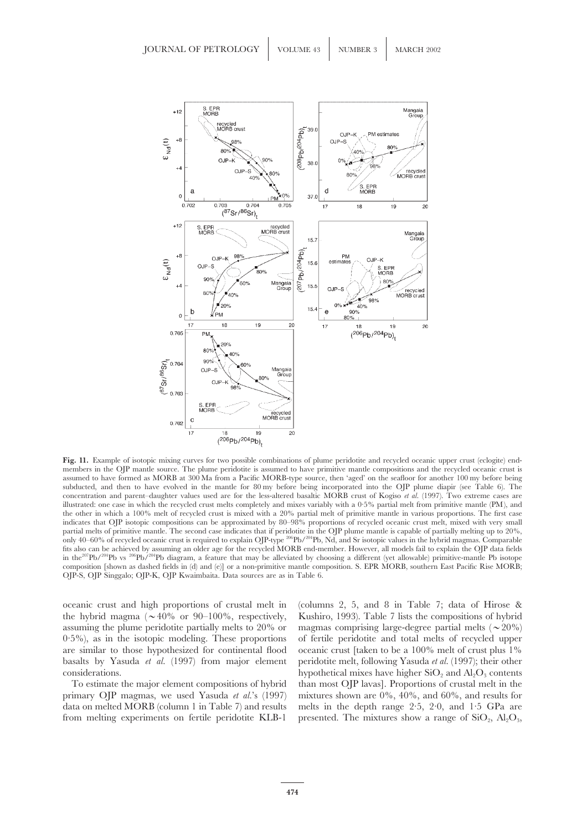![](_page_25_Figure_1.jpeg)

**Fig. 11.** Example of isotopic mixing curves for two possible combinations of plume peridotite and recycled oceanic upper crust (eclogite) endmembers in the OJP mantle source. The plume peridotite is assumed to have primitive mantle compositions and the recycled oceanic crust is assumed to have formed as MORB at 300 Ma from a Pacific MORB-type source, then 'aged' on the seafloor for another 100 my before being subducted, and then to have evolved in the mantle for 80 my before being incorporated into the OJP plume diapir (see Table 6). The concentration and parent–daughter values used are for the less-altered basaltic MORB crust of Kogiso *et al.* (1997). Two extreme cases are illustrated: one case in which the recycled crust melts completely and mixes variably with a 0·5% partial melt from primitive mantle (PM), and the other in which a 100% melt of recycled crust is mixed with a 20% partial melt of primitive mantle in various proportions. The first case indicates that OJP isotopic compositions can be approximated by 80–98% proportions of recycled oceanic crust melt, mixed with very small partial melts of primitive mantle. The second case indicates that if peridotite in the OJP plume mantle is capable of partially melting up to 20%, only 40–60% of recycled oceanic crust is required to explain OJP-type 206Pb/204Pb, Nd, and Sr isotopic values in the hybrid magmas. Comparable fits also can be achieved by assuming an older age for the recycled MORB end-member. However, all models fail to explain the OJP data fields in the<sup>207</sup>Pb/<sup>204</sup>Pb vs <sup>206</sup>Pb/<sup>204</sup>Pb diagram, a feature that may be alleviated by choosing a different (yet allowable) primitive-mantle Pb isotope composition [shown as dashed fields in (d) and (e)] or a non-primitive mantle composition. S. EPR MORB, southern East Pacific Rise MORB; OJP-S, OJP Singgalo; OJP-K, OJP Kwaimbaita. Data sources are as in Table 6.

the hybrid magma ( $\sim$ 40% or 90–100%, respectively, Kushiro, 1993). Table 7 lists the compositions of hybrid assuming the plume peridotite partially melts to 20% or magmas comprising large-degree partial melts ( $\sim$  20%)  $0.5\%$ ), as in the isotopic modeling. These proportions of fertile peridotite and total melts of recycled upper are similar to those hypothesized for continental flood oceanic crust [taken to be a 100% melt of crust plus 1% basalts by Yasuda *et al.* (1997) from major element peridotite melt, following Yasuda *et al.* (1997); their other considerations. hypothetical mixes have higher  $\text{SiO}_2$  and  $\text{Al}_2\text{O}_3$  contents

primary OJP magmas, we used Yasuda *et al.*'s (1997) mixtures shown are 0%, 40%, and 60%, and results for data on melted MORB (column 1 in Table 7) and results melts in the depth range 2·5, 2·0, and 1·5 GPa are from melting experiments on fertile peridotite KLB-1 presented. The mixtures show a range of  $SiO_2$ ,  $Al_2O_3$ ,

oceanic crust and high proportions of crustal melt in (columns 2, 5, and 8 in Table 7; data of Hirose & To estimate the major element compositions of hybrid than most OJP lavas]. Proportions of crustal melt in the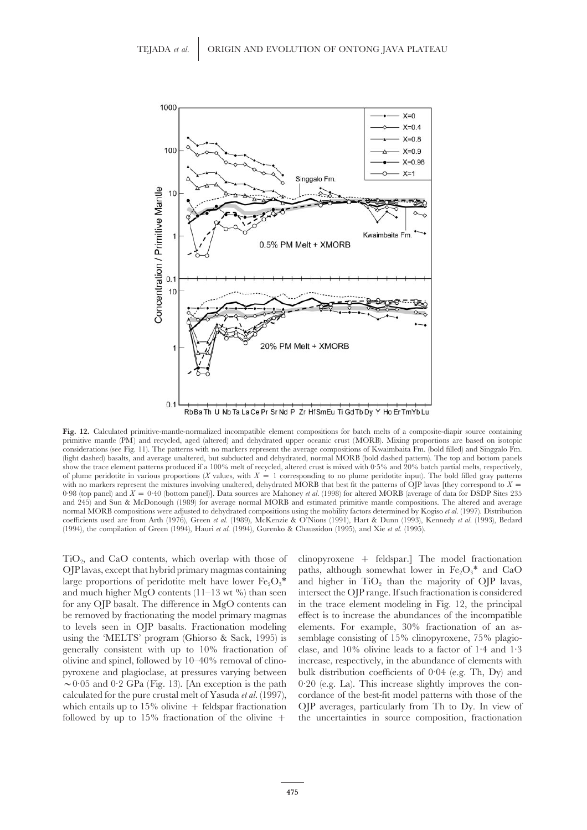![](_page_26_Figure_1.jpeg)

RbBa Th U Nb Ta La Ce Pr Sr Nd P Zr HfSmEu Ti Gd Tb Dy Y Ho Er TmYb Lu

**Fig. 12.** Calculated primitive-mantle-normalized incompatible element compositions for batch melts of a composite-diapir source containing primitive mantle (PM) and recycled, aged (altered) and dehydrated upper oceanic crust (MORB). Mixing proportions are based on isotopic considerations (see Fig. 11). The patterns with no markers represent the average compositions of Kwaimbaita Fm. (bold filled) and Singgalo Fm. (light dashed) basalts, and average unaltered, but subducted and dehydrated, normal MORB (bold dashed pattern). The top and bottom panels show the trace element patterns produced if a 100% melt of recycled, altered crust is mixed with 0·5% and 20% batch partial melts, respectively, of plume peridotite in various proportions (*X* values, with  $X = 1$  corresponding to no plume peridotite input). The bold filled gray patterns with no markers represent the mixtures involving unaltered, dehydrated MORB that best fit the patterns of OIP lavas [they correspond to  $X =$ 0·98 (top panel) and *X* = 0·40 (bottom panel)]. Data sources are Mahoney *et al.* (1998) for altered MORB (average of data for DSDP Sites 235 and 245) and Sun & McDonough (1989) for average normal MORB and estimated primitive mantle compositions. The altered and average normal MORB compositions were adjusted to dehydrated compositions using the mobility factors determined by Kogiso *et al.* (1997). Distribution coefficients used are from Arth (1976), Green *et al.* (1989), McKenzie & O'Nions (1991), Hart & Dunn (1993), Kennedy *et al.* (1993), Bedard (1994), the compilation of Green (1994), Hauri *et al.* (1994), Gurenko & Chaussidon (1995), and Xie *et al.* (1995).

 $TiO<sub>2</sub>$ , and CaO contents, which overlap with those of clinopyroxene + feldspar.] The model fractionation OJP lavas, except that hybrid primary magmas containing paths, although somewhat lower in Fe<sub>2</sub>O<sub>3</sub>\* and CaO OJP lavas, except that hybrid primary magmas containing be removed by fractionating the model primary magmas effect is to increase the abundances of the incompatible to levels seen in OJP basalts. Fractionation modeling elements. For example, 30% fractionation of an asusing the 'MELTS' program (Ghiorso & Sack, 1995) is semblage consisting of 15% clinopyroxene, 75% plagioolivine and spinel, followed by 10–40% removal of clino- increase, respectively, in the abundance of elements with

large proportions of peridotite melt have lower  $Fe<sub>2</sub>O<sub>3</sub><sup>*</sup>$  and higher in TiO<sub>2</sub> than the majority of OJP lavas, and much higher MgO contents  $(11-13 \text{ wt } %)$  than seen intersect the OJP range. If such fractionation is considered for any OJP basalt. The difference in MgO contents can in the trace element modeling in Fig. 12, the principal generally consistent with up to 10% fractionation of clase, and 10% olivine leads to a factor of 1·4 and 1·3 pyroxene and plagioclase, at pressures varying between bulk distribution coefficients of 0·04 (e.g. Th, Dy) and  $\sim$ 005 and 0.2 GPa (Fig. 13). [An exception is the path 0.20 (e.g. La). This increase slightly improves the concalculated for the pure crustal melt of Yasuda *et al.* (1997), cordance of the best-fit model patterns with those of the which entails up to 15% olivine + feldspar fractionation OJP averages, particularly from Th to Dy. In view of followed by up to  $15\%$  fractionation of the olivine  $+$  the uncertainties in source composition, fractionation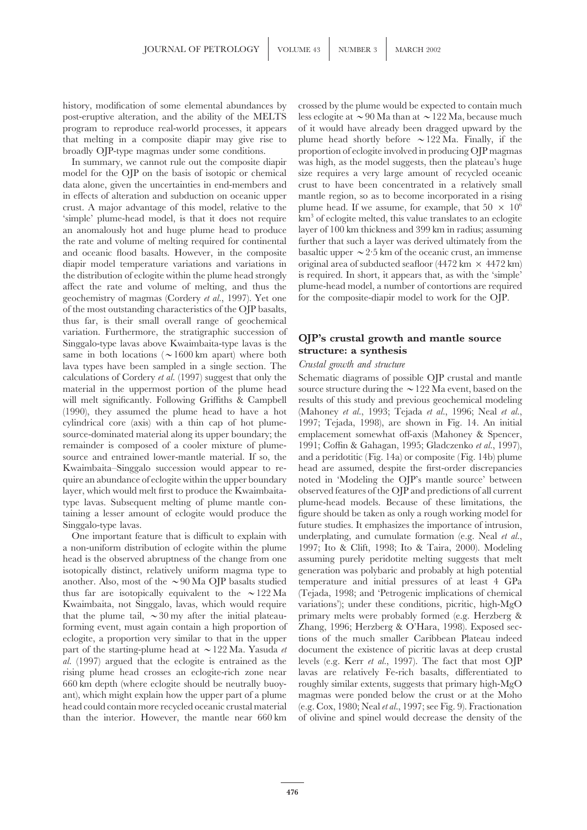post-eruptive alteration, and the ability of the MELTS less eclogite at  $\sim$  90 Ma than at  $\sim$  122 Ma, because much program to reproduce real-world processes, it appears of it would have already been dragged upward by the that melting in a composite diapir may give rise to plume head shortly before  $\sim$  122 Ma. Finally, if the broadly OJP-type magmas under some conditions. proportion of eclogite involved in producing OJP magmas

model for the OJP on the basis of isotopic or chemical size requires a very large amount of recycled oceanic data alone, given the uncertainties in end-members and crust to have been concentrated in a relatively small in effects of alteration and subduction on oceanic upper mantle region, so as to become incorporated in a rising crust. A major advantage of this model, relative to the plume head. If we assume, for example, that  $50 \times 10^6$ 'simple' plume-head model, is that it does not require km<sup>3</sup> of eclogite melted, this value translates to an eclogite an anomalously hot and huge plume head to produce layer of 100 km thickness and 399 km in radius; assuming the rate and volume of melting required for continental further that such a layer was derived ultimately from the and oceanic flood basalts. However, in the composite basaltic upper  $\sim$  2.5 km of the oceanic crust, an immense diapir model temperature variations and variations in original area of subducted seafloor (4472 km × 4472 km) the distribution of eclogite within the plume head strongly is required. In short, it appears that, as with the 'simple' affect the rate and volume of melting, and thus the plume-head model, a number of contortions are required geochemistry of magmas (Cordery *et al.*, 1997). Yet one for the composite-diapir model to work for the OJP. of the most outstanding characteristics of the OJP basalts, thus far, is their small overall range of geochemical variation. Furthermore, the stratigraphic succession of<br>Singgalo-type lavas above Kwaimbaita-type lavas is the<br>same in both locations ( $\sim$ 1600 km apart) where both<br>lava types have been sampled in a single section. The *C* calculations of Cordery *et al.* (1997) suggest that only the Schematic diagrams of possible OJP crustal and mantle material in the uppermost portion of the plume head source structure during the  $\sim$  122 Ma event, based on the will melt significantly. Following Griffiths & Campbell results of this study and previous geochemical modeling (1990), they assumed the plume head to have a hot (Mahoney *et al.*, 1993; Tejada *et al.*, 1996; Neal *et al.*, cylindrical core (axis) with a thin cap of hot plume- 1997; Tejada, 1998), are shown in Fig. 14. An initial source-dominated material along its upper boundary; the emplacement somewhat off-axis (Mahoney & Spencer, remainder is composed of a cooler mixture of plume- 1991; Coffin & Gahagan, 1995; Gladczenko *et al.*, 1997), source and entrained lower-mantle material. If so, the and a peridotitic (Fig. 14a) or composite (Fig. 14b) plume Kwaimbaita–Singgalo succession would appear to re- head are assumed, despite the first-order discrepancies quire an abundance of eclogite within the upper boundary noted in 'Modeling the OJP's mantle source' between layer, which would melt first to produce the Kwaimbaita- observed features of the OJP and predictions of all current type lavas. Subsequent melting of plume mantle con- plume-head models. Because of these limitations, the taining a lesser amount of eclogite would produce the figure should be taken as only a rough working model for Singgalo-type lavas. future studies. It emphasizes the importance of intrusion,

a non-uniform distribution of eclogite within the plume 1997; Ito & Clift, 1998; Ito & Taira, 2000). Modeling head is the observed abruptness of the change from one assuming purely peridotite melting suggests that melt isotopically distinct, relatively uniform magma type to generation was polybaric and probably at high potential another. Also, most of the  $\sim$ 90 Ma OJP basalts studied temperature and initial pressures of at least 4 GPa thus far are isotopically equivalent to the  $\sim$ 122 Ma (Tejada, 1998; and 'Petrogenic implications of chemical Kwaimbaita, not Singgalo, lavas, which would require variations'); under these conditions, picritic, high-MgO that the plume tail,  $\sim$ 30 my after the initial plateau- primary melts were probably formed (e.g. Herzberg & forming event, must again contain a high proportion of Zhang, 1996; Herzberg & O'Hara, 1998). Exposed sececlogite, a proportion very similar to that in the upper tions of the much smaller Caribbean Plateau indeed part of the starting-plume head at  $\sim$ 122 Ma. Yasuda *et* document the existence of picritic lavas at deep crustal *al.* (1997) argued that the eclogite is entrained as the levels (e.g. Kerr *et al.*, 1997). The fact that most OJP rising plume head crosses an eclogite-rich zone near lavas are relatively Fe-rich basalts, differentiated to 660 km depth (where eclogite should be neutrally buoy- roughly similar extents, suggests that primary high-MgO ant), which might explain how the upper part of a plume magmas were ponded below the crust or at the Moho head could contain more recycled oceanic crustal material (e.g. Cox, 1980; Neal *et al.*, 1997; see Fig. 9). Fractionation than the interior. However, the mantle near 660 km of olivine and spinel would decrease the density of the

history, modification of some elemental abundances by crossed by the plume would be expected to contain much In summary, we cannot rule out the composite diapir was high, as the model suggests, then the plateau's huge

One important feature that is difficult to explain with underplating, and cumulate formation (e.g. Neal *et al.*,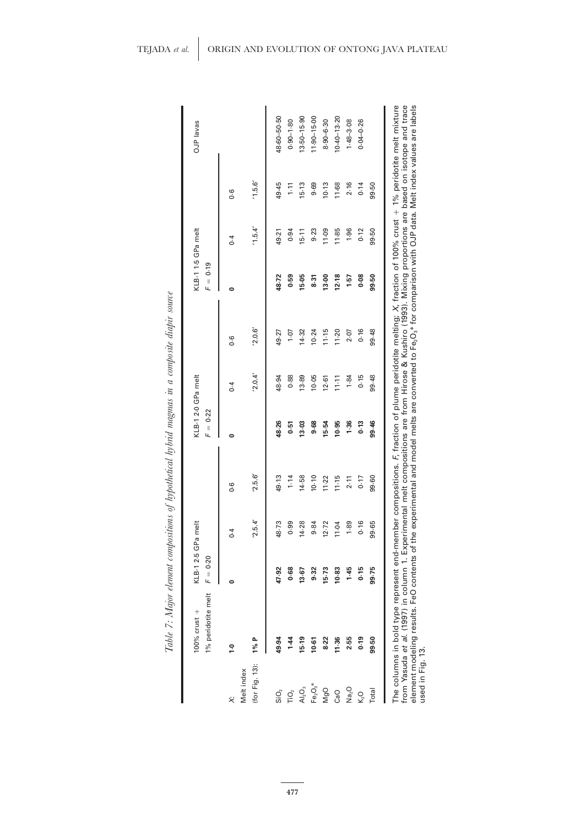|                                 | 1% peridotite melt<br>100% crust $+$ | $F = 0.20$ | KLB-12-5 GPa melt |                | $F = 0.22$ | KLB-12-0 GPa melt |                | $= 0.19$<br>Щ | KLB-11-5 GPa melt |               | OJP lavas       |
|---------------------------------|--------------------------------------|------------|-------------------|----------------|------------|-------------------|----------------|---------------|-------------------|---------------|-----------------|
| ż                               | $\ddot{ }$                           |            | $\ddot{\circ}$    | $\overline{0}$ | 0          | $\ddot{\circ}$    | $\overline{0}$ |               | $\overline{0}$    | $\frac{6}{1}$ |                 |
| (for Fig. 13):<br>Melt index    | 1%P                                  |            | '2.5.4'           | '2.5.6'        |            | '2.0.4'           | '2.0.6'        |               | 1.5.4'            | 1.5.6'        |                 |
| SiO <sub>2</sub>                | 49.94                                | 47.92      | 48.73             | 49.13          | 48-26      | 48.94             | 49.27          | 48.72         | 49.21             | 49.45         | 48-60-50-50     |
| ΓiΟ,                            | $1-44$                               | 0.68       | 0.99              | $1 - 14$       | 0.51       | 0.88              | $10 - 1$       | 0.59          | 0.94              | $\frac{1}{2}$ | $0.90 - 1.80$   |
| AI <sub>2</sub> O <sub>3</sub>  | $15 - 19$                            | 13.67      | 14.28             | 14.58          | 13.03      | 13.89             | 14.32          | 15.05         | 15.11             | 15.13         | $13.50 - 15.90$ |
| $\mathsf{Fe}_2\mathsf{O}_3{}^*$ | $10-61$                              | 9.32       | 9.84              | 10.10          | 9.68       | 10-05             | $10 - 24$      | 8.31          | 9.23              | 9.69          | $11.90 - 15.00$ |
| MgO                             | 8.22                                 | 15.73      | $12 - 72$         | $11 - 22$      | 15-54      | $12 - 61$         | 11.15          | 13.00         | 11.09             | 10.13         | $8.90 - 6.30$   |
| CaO                             | 11.36                                | 10.83      | 11-04             | 11.15          | 10.95      | $11 - 11$         | 11.20          | 12.18         | 11.85             | 11-68         | $10.40 - 13.20$ |
| Na <sub>2</sub> O               | 2.55                                 | 1.45       | 1.89              | 2.11           | 1.36       | 1.84              | 2.07           | $1-57$        | 1.96              | 2.16          | $1.48 - 3.08$   |
| $K2$ O                          | 0.19                                 | 0.15       | 0.16              | 0.17           | 0.13       | 0.15              | 0.16           | 0.08          | 0.12              | 0.14          | $0.04 - 0.26$   |
| Total                           | 99.50                                | 99.75      | 99.65             | 99-60          | 99.46      | 99.48             | 99.48          | 99.50         | 99.50             | 99.50         |                 |

Table 7: Major element compositions of hypothetical hybrid magmas in a composite diapir source

**477**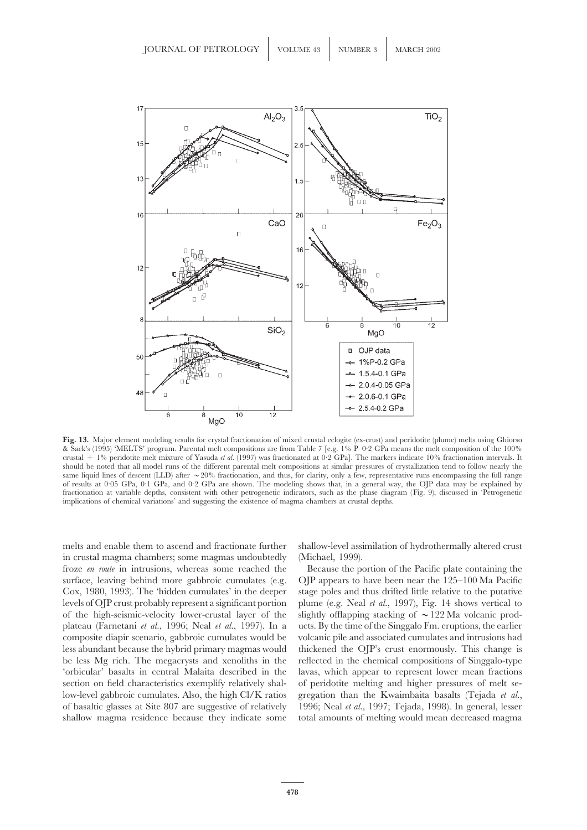![](_page_29_Figure_1.jpeg)

**Fig. 13.** Major element modeling results for crystal fractionation of mixed crustal eclogite (ex-crust) and peridotite (plume) melts using Ghiorso & Sack's (1995) 'MELTS' program. Parental melt compositions are from Table 7 [e.g. 1% P–0·2 GPa means the melt composition of the 100% crustal + 1% peridotite melt mixture of Yasuda *et al.* (1997) was fractionated at 0·2 GPa]. The markers indicate 10% fractionation intervals. It should be noted that all model runs of the different parental melt compositions at similar pressures of crystallization tend to follow nearly the same liquid lines of descent (LLD) after  $\sim 20\%$  fractionation, and thus, for clarity, only a few, representative runs encompassing the full range of results at 0·05 GPa, 0·1 GPa, and 0·2 GPa are shown. The modeling shows that, in a general way, the OJP data may be explained by fractionation at variable depths, consistent with other petrogenetic indicators, such as the phase diagram (Fig. 9), discussed in 'Petrogenetic implications of chemical variations' and suggesting the existence of magma chambers at crustal depths.

in crustal magma chambers; some magmas undoubtedly (Michael, 1999). froze *en route* in intrusions, whereas some reached the Because the portion of the Pacific plate containing the surface, leaving behind more gabbroic cumulates (e.g. OJP appears to have been near the 125–100 Ma Pacific Cox, 1980, 1993). The 'hidden cumulates' in the deeper stage poles and thus drifted little relative to the putative levels of OJP crust probably represent a significant portion plume (e.g. Neal *et al.*, 1997), Fig. 14 shows vertical to of the high-seismic-velocity lower-crustal layer of the slightly offlapping stacking of  $\sim$ 122 Ma volcanic prodplateau (Farnetani *et al.*, 1996; Neal *et al.*, 1997). In a ucts. By the time of the Singgalo Fm. eruptions, the earlier composite diapir scenario, gabbroic cumulates would be volcanic pile and associated cumulates and intrusions had less abundant because the hybrid primary magmas would thickened the OJP's crust enormously. This change is be less Mg rich. The megacrysts and xenoliths in the reflected in the chemical compositions of Singgalo-type 'orbicular' basalts in central Malaita described in the lavas, which appear to represent lower mean fractions section on field characteristics exemplify relatively shal- of peridotite melting and higher pressures of melt selow-level gabbroic cumulates. Also, the high Cl/K ratios gregation than the Kwaimbaita basalts (Tejada *et al.*, of basaltic glasses at Site 807 are suggestive of relatively 1996; Neal *et al.*, 1997; Tejada, 1998). In general, lesser shallow magma residence because they indicate some total amounts of melting would mean decreased magma

melts and enable them to ascend and fractionate further shallow-level assimilation of hydrothermally altered crust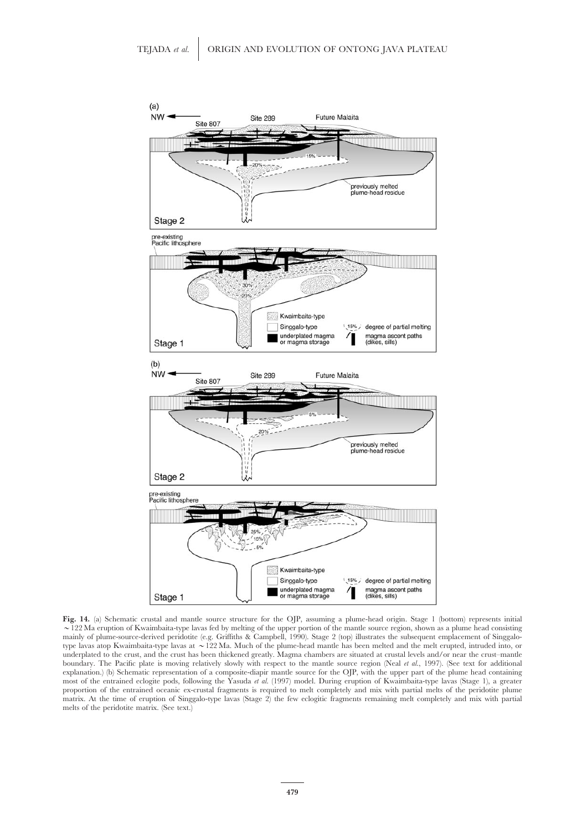![](_page_30_Figure_1.jpeg)

**Fig. 14.** (a) Schematic crustal and mantle source structure for the OJP, assuming a plume-head origin. Stage 1 (bottom) represents initial  $\sim$  122 Ma eruption of Kwaimbaita-type lavas fed by melting of the upper portion of the mantle source region, shown as a plume head consisting mainly of plume-source-derived peridotite (e.g. Griffiths & Campbell, 1990). Stage 2 (top) illustrates the subsequent emplacement of Singgalotype lavas atop Kwaimbaita-type lavas at ~122 Ma. Much of the plume-head mantle has been melted and the melt erupted, intruded into, or underplated to the crust, and the crust has been thickened greatly. Magma chambers are situated at crustal levels and/or near the crust–mantle boundary. The Pacific plate is moving relatively slowly with respect to the mantle source region (Neal *et al.*, 1997). (See text for additional explanation.) (b) Schematic representation of a composite-diapir mantle source for the OJP, with the upper part of the plume head containing most of the entrained eclogite pods, following the Yasuda *et al.* (1997) model. During eruption of Kwaimbaita-type lavas (Stage 1), a greater proportion of the entrained oceanic ex-crustal fragments is required to melt completely and mix with partial melts of the peridotite plume matrix. At the time of eruption of Singgalo-type lavas (Stage 2) the few eclogitic fragments remaining melt completely and mix with partial melts of the peridotite matrix. (See text.)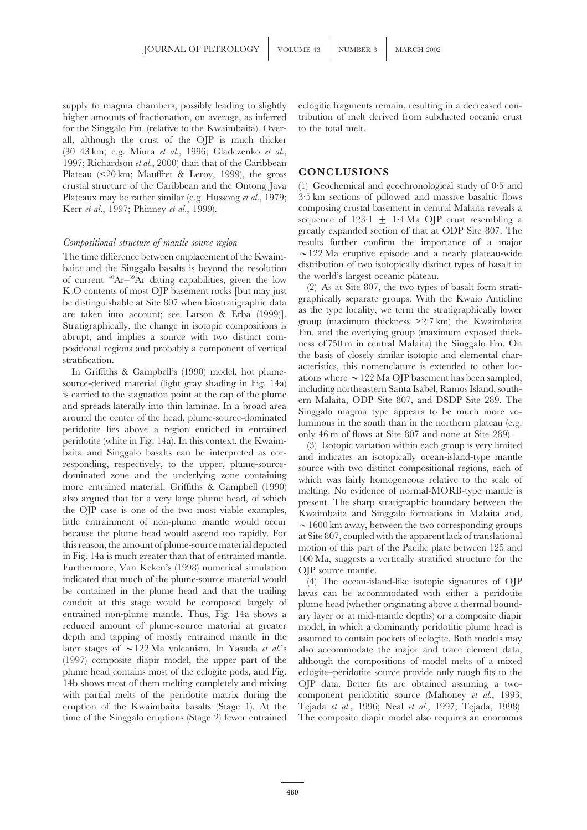supply to magma chambers, possibly leading to slightly eclogitic fragments remain, resulting in a decreased conhigher amounts of fractionation, on average, as inferred tribution of melt derived from subducted oceanic crust for the Singgalo Fm. (relative to the Kwaimbaita). Over- to the total melt. all, although the crust of the OJP is much thicker (30–43 km; e.g. Miura *et al.*, 1996; Gladczenko *et al.*, 1997; Richardson *et al.*, 2000) than that of the Caribbean Plateau  $\langle 20 \text{ km}$ ; Mauffret & Leroy, 1999), the gross **CONCLUSIONS** crustal structure of the Caribbean and the Ontong Java (1) Geochemical and geochronological study of 0·5 and Plateaux may be rather similar (e.g. Hussong *et al.*, 1979; 3<sup>-5</sup> km sections of pillowed and massive basaltic flows Kerr *et al.*, 1997; Phinney *et al.*, 1999). composing crustal basement in central Malaita reveals a

The time difference between emplacement of the Kwaim- $^{\circ}$  122 Ma eruptive episode and a nearly plateau-wide<br>baria and the Singagalo basats is beyond the resolution of two isotopically disinct, types of basati in and the In Fig. 14a is much greater than that of entrained mantle. 100 Ma, suggests a vertically stratified structure for the Furthermore, Van Keken's (1998) numerical simulation OJP source mantle.<br>
indicated that much of the plum indicated that much of the plume-source material would (4) The ocean-island-like isotopic signatures of OJP<br>be contained in the plume head and that the trailing layas can be accommodated with either a peridotite be contained in the plume head and that the trailing lavas can be accommodated with either a peridotite conduit at this stage would be composed largely of plume head (whether originating above a thermal boundentrained non-plume mantle. Thus, Fig. 14a shows a ary layer or at mid-mantle depths) or a composite diapir reduced amount of plume-source material at greater model, in which a dominantly peridotitic plume head is depth and tapping of mostly entrained mantle in the assumed to contain pockets of eclogite. Both models may later stages of  $\sim$ 122 Ma volcanism. In Yasuda *et al.*'s also accommodate the major and trace element data, (1997) composite diapir model, the upper part of the although the compositions of model melts of a mixed plume head contains most of the eclogite pods, and Fig. eclogite–peridotite source provide only rough fits to the 14b shows most of them melting completely and mixing OJP data. Better fits are obtained assuming a twowith partial melts of the peridotite matrix during the component peridotitic source (Mahoney *et al.*, 1993; eruption of the Kwaimbaita basalts (Stage 1). At the Tejada *et al.*, 1996; Neal *et al.*, 1997; Tejada, 1998).

sequence of  $123 \cdot 1 \pm 1.4$  Ma OJP crust resembling a greatly expanded section of that at ODP Site 807. The *Compositional structure of mantle source region* results further confirm the importance of a major

plume head (whether originating above a thermal bound-OJP data. Better fits are obtained assuming a two-Tejada et al., 1996; Neal et al., 1997; Tejada, 1998). time of the Singgalo eruptions (Stage 2) fewer entrained The composite diapir model also requires an enormous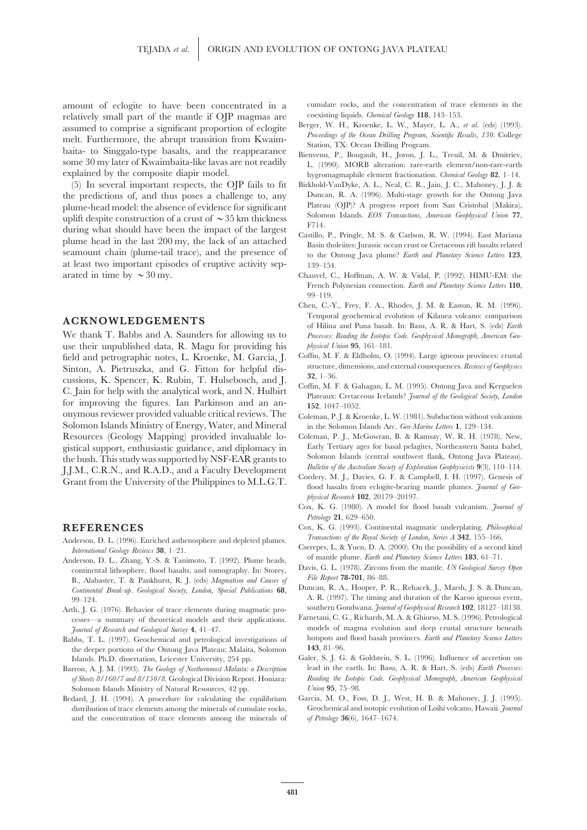amount of eclogite to have been concentrated in a cumulate rocks, and the concentration of trace elements in the relatively small part of the mantle if OIP magmas are coexisting liquids. Chemical Geology 118, 143–153. relatively small part of the mantle if OJP magmas are<br>assumed to comprise a significant proportion of eclogite<br>melt. Furthermore, the abrupt transition from Kwaim-<br>baita- to Singgalo-type basalts, and the reappearance<br>some explained by the composite diapir model.<br>
hygromagmaphile element fractionation. *Chemical Geology* **82**, 1–14.

the predictions of, and thus poses a challenge to, any Duncan, R. A. (1996). Multi-stage growth for the Ontong Java<br>
plume-head model: the absence of evidence for significant Plateau (OJP)? A progress report from San Crist plume-head model: the absence of evidence for significant Plateau (OJP)? A progress report from San Cristobal (Makira), plume-head model: the absence of evidence for significant Plateau (OJP)? A progress report from San Cr Solomon Islands. *EOS Transactions, American Geophysical Union* **<sup>77</sup>**, uplift despite construction of a crust of >35 km thickness during what should have been the impact of the largest<br>plume head in the last 200 my, the lack of an attached<br>seamount chain (plume-tail trace), and the presence of<br>the Ontong Java plume? Earth and Planetary Science Letter at least two important episodes of eruptive activity sep- 139–154. arated in time by  $\sim$  30 my. Chauvel, C., Hoffman, A. W. & Vidal, P. (1992). HIMU-EM: the

use their unpublished data, R. Magu for providing his *physical Union* **95**, 161–181. field and petrographic notes, L. Kroenke, M. Garcia, J. Coffin, M. F. & Eldholm, O. (1994). Large igneous provinces: crustal<br>Sinton A. Pietruszka, and G. Fitton for helpful dis-<br>structure, dimensions, and external conseque Sinton, A. Pietruszka, and G. Fitton for helpful dis-<br>cussions, K. Spencer, K. Rubin, T. Hulsebosch, and J. 32, 1–36.<br>C. Jain for help with the analytical work, and N. Hulbirt<br>for improving the figures. Ian Parkinson and a onymous reviewer provided valuable critical reviews. The Coleman, P. J. & Kroenke, L. W. (1981). Subduction without volcanism Solomon Islands Ministry of Energy, Water, and Mineral in the Solomon Islands Arc. *Geo-Marine Letters* **1**, 129–134. Resources (Geology Mapping) provided invaluable lo- Coleman, P. J., McGowran, B. & Ramsay, W. R. H. (1978). New, gistical support, enthusiastic guidance, and diplomacy in Early Tertiary ages for basal pelagites, Northeastern Santa Isabel,<br>
the bush This study was supported by NSE-EAR grants to Solomon Islands (central southwest flank the bush. This study was supported by NSF-EAR grants to<br>
J.J.M., C.R.N., and R.A.D., and a Faculty Development<br>
Grant from the University of the Philippines to M.L.G.T.<br>
For any state of the Subsetty of the Philippines to

- Anderson, D. L. (1996). Enriched asthenosphere and depleted plumes.<br> *Iransactions of the Kyau Society of London, Series A* 342, 133-100.<br> *International Geology Reviews* 38, 1-21.<br> *Anderson, D. L. Zhang, V.-S. & Tanimoto*
- Anderson, D. L., Zhang, Y.-S. & Tanimoto, T. (1992). Plume heads,<br>continental lithosphere, flood basalts, and tomography. In: Storey,<br>B., Alabaster, T. & Pankhurst, R. J. (eds) *Magnatism and Causes of* File Report 78-701,
- Arth, J. G. (1976). Behavior of trace elements during magmatic pro- southern Gondwana. *Journal of Geophysical Research* **102**, 18127–18138. cesses—a summary of theoretical models and their applications.
- the deeper portions of the Ontong Java Plateau: Malaita, Solomon
- 
- Bedard, J. H. (1994). A procedure for calculating the equilibrium and the concentration of trace elements among the minerals of *of Petrology* **36**(6), 1647–1674.

- 
- 
- (5) In several important respects, the OJP fails to fit Birkhold-VanDyke, A. L., Neal, C. R., Jain, J. C., Mahoney, J. J. &
	-
	- French Polynesian connection. *Earth and Planetary Science Letters* **110**, 99–119.
- Chen, C.-Y., Frey, F. A., Rhodes, J. M. & Easton, R. M. (1996). Temporal geochemical evolution of Kilauea volcano: comparison **ACKNOWLEDGEMENTS** of Hilina and Puna basalt. In: Basu, A. R. & Hart, S. (eds) *Earth* We thank T. Babbs and A. Saunders for allowing us to *Processes: Reading the Isotopic Code. Geophysical Monograph, American Geo-*
	-
	-
	-
	-
	- *physical Research* **102**, 20179–20197.
	- Cox, K. G. (1980). A model for flood basalt vulcanism. *Journal of Petrology* **21**, 629–650.
- **REFERENCES** Cox, K. G. (1993). Continental magmatic underplating. *Philosophical*<br>Anderson D. J. (1996). Enriched externations and depleted plumes *Transactions of the Royal Society of London*, *Series A* 342, 155–166.
	-
	-
	- Continental Break-up. Geological Society, London, Special Publications 68,<br>
	99–124. A. R. (1997). The timing and duration of the Karoo igneous event,<br>
	10. G. (1976). Behavior of trace elements during magmatic pro-<br>
	souther
- *Journal of Research and Geological Survey* **4**, 41–47. models of magma evolution and deep crustal structure beneath Babbs, T. L. (1997). Geochemical and petrological investigations of hotspots and flood basalt provinces. *Earth and Planetary Science Letters*<br>the deeper portions of the Ontong Java Plateau: Malaita Solomon **143**, 81–96.
- Islands. Ph.D. dissertation, Leicester University, 254 pp. Galer, S. J. G. & Goldstein, S. L. (1996). Influence of accretion on Barron, A. J. M. (1993). *The Geology of Northernmost Malaita: a Description* lead in the earth. In: Basu, A. R. & Hart, S. (eds) *Earth Processes: of Sheets 8/160/7 and 8/150/8*. Geological Division Report. Honiara: *Reading the Isotopic Code. Geophysical Monograph, American Geophysical*
	- Solomon Islands Ministry of Natural Resources, 42 pp. *Union* 95, 75–98.<br>
	Idard, J. H. (1994). A procedure for calculating the equilibrium Garcia, M. O., Foss, D. J., West, H. B. & Mahoney, J. J. (1995). distribution of trace elements among the minerals of cumulate rocks, Geochemical and isotopic evolution of Loihi volcano, Hawaii. *Journal*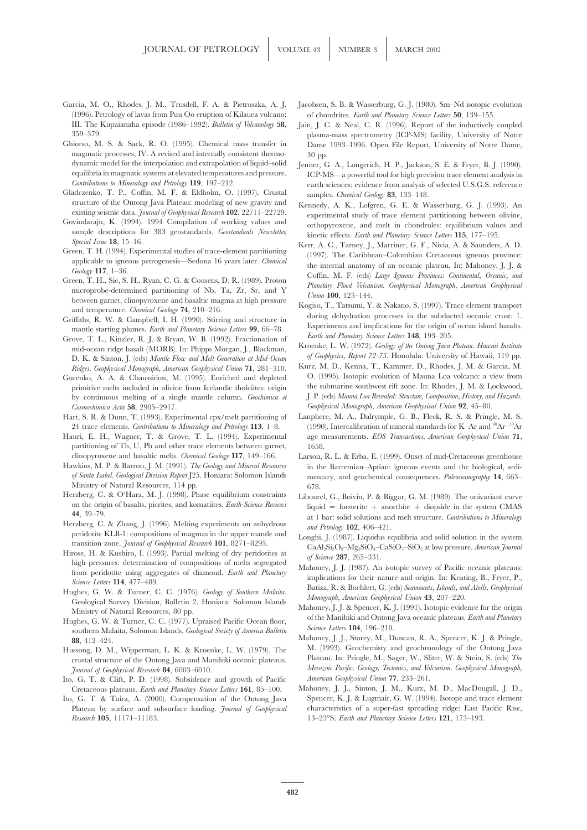- (1996). Petrology of lavas from Puu Oo eruption of Kilauea volcano: of chondrites. *Earth and Planetary Science Letters* **50**, 139–155. III. The Kupaianaha episode (1986–1992). *Bulletin of Volcanology* **58**, Jain, J. C. & Neal, C. R. (1996). Report of the inductively coupled
- magmatic processes, IV. A revised and internally consistent thermo- 30 pp. dynamic model for the interpolation and extrapolation of liquid–solid Jenner, G. A., Longerich, H. P., Jackson, S. E. & Fryer, B. J. (1990).<br>
CP-MS—a powerful tool for high precision trace element analysis in
- Gladczenko, T. P., Coffin, M. F. & Eldholm, O. (1997). Crustal samples. *Chemical Geology* 83, 133–148.<br>
structure of the Ontong Java Plateau: modeling of new gravity and  $K$  annedy  $A$ , K. J ofgren, G. F. & M.
- 
- 
- 
- 
- *Earth and Planetary Science Letters* **148**, 193–205. Grove, T. L., Kinzler, R. J. & Bryan, W. B. (1992). Fractionation of D. K. & Sinton, J. (eds) *Mantle Flow and Melt Generation at Mid-Ocean*
- Gurenko, A. A. & Chaussidon, M. (1995). Enriched and depleted by continuous melting of a single mantle column. *Geochimica et Cosmochimica Acta* **58**, 2905–2917. *Geophysical Monograph, American Geophysical Union* **92**, 45–80.
- 24 trace elements. *Contributions to Mineralogy and Petrology* 113, 1–8.
- partitioning of Th, U, Pb and other trace elements between garnet, 1658.
- 
- Ministry of Natural Resources, 114 pp. 678.<br>Herzberg, C. & O'Hara, M. J. (1998). Phase equilibrium constraints theory erzberg, C. & O'Hara, M. J. (1998). Phase equilibrium constraints Libourel, G., Boivin, P. & Biggar, G. M. (1989). The univariant curve<br>on the origin of basalts, picrites, and komatiites. *Earth-Science Reviews* liquid =
- 44, 39–79.<br>
Herzberg, C. & Zhang, J. (1996). Melting experiments on anhydrous *and Petrology* 102, 406–421.<br>
peridotite KLB-1: compositions of magmas in the upper mantle and **Longhi** J. (1997). Liquidus on solid solution i
- 
- 
- 
- crustal structure of the Ontong Java and Manihiki oceanic plateaus.
- Ito, G. T. & Clift, P. D. (1998). Subsidence and growth of Pacific
- *Research* **105**, 11171–11183. 13–23°S. *Earth and Planetary Science Letters* **121**, 173–193.
- Garcia, M. O., Rhodes, J. M., Trusdell, F. A. & Pietruszka, A. J. Jacobsen, S. B. & Wasserburg, G. J. (1980). Sm–Nd isotopic evolution
- 359–379. plasma-mass spectrometry (ICP-MS) facility, University of Notre Dame 1993-1996. Open File Report, University of Notre Dame,
	- equilibria in magmatic systems at elevated temperatures and pressure. ICP-MS—a powerful tool for high precision trace element analysis in<br>Contributions to Mineralogy and Petrology 119, 197–212. earth sciences: evidence from analysis of selected U.S.G.S. reference
- structure of the Ontong Java Plateau: modeling of new gravity and Kennedy, A. K., Lofgren, G. E. & Wasserburg, G. J. (1993). An existing seismic data. Journal of Geophysical Research 102, 22711–22729. existing seismic data. *Journal of Geophysical Research* 102, 22/11-22/29.<br>
Govindaraju, K. (1994). 1994 Compilation of working values and<br>
sample descriptions for 383 geostandards. *Geostandards Newsletter*,<br>
Shecial Issu
- Special Issue 18, 15–16.<br>
Green, T. H. (1994). Experimental studies of trace-element partitioning<br>
applicable to igneous petrogenesis—Sedona 16 years later. *Chemical*<br>
applicable to igneous petrogenesis—Sedona 16 years la
- and temperature. *Chemical Geology* 74, 210–216.<br>
Griffiths, R. W. & Campbell, I. H. (1990). Stirring and structure in<br>
mantle starting plumes. *Earth and Planetary Science Letters* 99, 66–78.<br>
Experiments and implications
	- mid-ocean ridge basalt (MORB). In: Phipps Morgan, J., Blackman, Kroenke, L. W. (1972). *Geology of the Ontong Java Plateau. Hawaii Institute*<br>D. K. & Sinton J. (eds) *Mantle Flaw and Melt Generation at Mid-Ocean* of *Geoph*
	- *Ridges. Geophysical Monograph, American Geophysical Union* 71, 281–310. Kurz, M. D., Kenna, T., Kammer, D., Rhodes, J. M. & Garcia, M. *Ridges. Geophysical Monograph, American Geophysical Union* 71, 281–310. Kurz, M. D., primitive melts included in olivine from Icelandic tholeiites: origin the submarine southwest rift zone. In: Rhodes, J. M. & Lockwood, by continuous melting of a single mantle column. *Geochimica et* J. P. (eds) *Mauna Loa*
- Hart, S. R. & Dunn, T. (1993). Experimental cpx/melt partitioning of Lanphere, M. A., Dalrymple, G. B., Fleck, R. S. & Pringle, M. S.<br>24 trace elements. Contributions to Mineralogy and Petrology 113, 1–8. (1990). Intercali Hauri, E. H., Wagner, T. & Grove, T. L. (1994). Experimental age measurements. *EOS Transactions, American Geophysical Union* **71**,
- clinopyroxene and basaltic melts. *Chemical Geology* **117**, 149–166. Larson, R. L. & Erba, E. (1999). Onset of mid-Cretaceous greenhouse Hawkins, M. P. & Barron, J. M. (1991). *The Geology and Mineral Resources* in the Barremian–Aptian: igneous events and the biological, sedi*of Santa Isabel. Geological Division Report* J25. Honiara: Solomon Islands mentary, and geochemical consequences. *Paleoceanography* **14**, 663–
	- on the origin of basalts, picrites, and komatiites. *Earth-Science Reviews* liquid = forsterite + anorthite + diopside in the system CMAS
- perdotte KLB-1: compositions of magmas in the upper mantle and<br>transition zone. Journal of Geophysical Research 101, 8271-8295.<br>Hirose, H. & Kushiro, I. (1993). Partial melting of dry peridotites at  $\sigma_s$  CaAl<sub>2</sub>Si<sub>2</sub>O<sub>8</sub>
- ingh pressures: determination of compositions of melts segregated<br>
from peridotite using aggregates of diamond. *Earth and Planetary*<br> *Mahoney, J. J.* (1987). An isotopic survey of Pacific oceanic plateaus:<br> *Mahoney, J.* 
	-
- Hussong, D. M., Wipperman, L. K. & Kroenke, L. W. (1979). The M. (1993). Geochemisty and geochronology of the Ontong Java<br>Crustal structure of the Ontong Java and Manihiki oceanic plateaus Plateau. In: Pringle, M., Sager, *Journal of Geophysical Research* **84**, 6003–6010.<br> **A** *G* **T** & Clift P D (1998) Subsidence and growth of Pacific *American Geophysical Union* 77, 233–261.
- Cretaceous plateaus. *Earth and Planetary Science Letters* 161, 85-100. Mahoney, J. J., Sinton, J. M., Kurz, M. D., MacDougall, J. D., Ito, G. T. & Taira, A. (2000). Compensation of the Ontong Java Spencer, K. J. & Lugmair, G. W. (1994). Isotope and trace element Plateau by surface and subsurface loading. *Journal of Geophysical* characteristics of a super-fast spreading ridge: East Pacific Rise,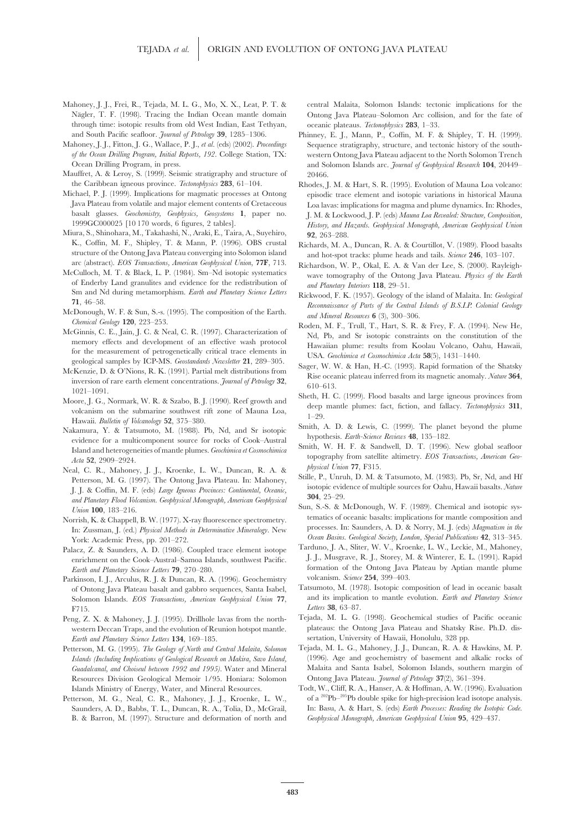- Mahoney, J. J., Frei, R., Tejada, M. L. G., Mo, X. X., Leat, P. T. & central Malaita, Solomon Islands: tectonic implications for the through time: isotopic results from old West Indian, East Tethyan, oceanic plateaus. *Tectonophysics* **283**, 1–33.
- 
- Mauffret, A. & Leroy, S. (1999). Seismic stratigraphy and structure of 20466.
- 
- Miura, S., Shinohara, M., Takahashi, N., Araki, E., Taira, A., Suyehiro, **92**, 263–288. structure of the Ontong Java Plateau converging into Solomon island and hot-spot tracks: plume heads and tails. *Science* 246, 103–107.<br>
arc (abstract). *EOS Transactions, American Geophysical Union*, **77F**, 713. Richardso
- eCulloch, M. T. & Black, L. P. (1984). Sm-Nd isotopic systematics<br>of Enderby Land granulites and evidence for the redistribution of and Planetary Interiors 118, 29–51.<br>Sm and Nd during metamorphism. *Earth and Planetary Sc*
- 
- memory effects and development of an effective wash protocol<br>for the measurement of petrogenetically critical trace elements in<br>geological samples by ICP-MS. Geostandards Newsletter 21, 289–305.
- geological samples by ICP-MS. *Geostandards Newsletter* 21, 289–305.<br>
McKenzie, D. & O'Nions, R. K. (1991). Partial melt distributions from<br>
inversion of rare earth element concentrations. *Journal of Petrology* 32,<br>
1021–
- 
- Hawaii. Bulletin of Volcanology 52, 375–380.<br>
Nakamura, Y. & Tatsumoto, M. (1988). Pb, Nd, and Sr isotopic Smith, A. D. & Lewis, C. (1999). The planet beyond the plume<br>
evidence for a multicomponent source for rocks of Coo Smith, W. H. F. & Sandwell, D. T. (1996). New global seafloor Island and heterogeneities of mantle plumes. *Geochimica et Cosmochimica*
- Neal, C. R., Mahoney, J. J., Kroenke, L. W., Duncan, R. A. & *blysical Union* 77, F315.<br>
Petterson, M. G. (1997). The Ontong Java Plateau. In: Mahoney, Stille, P., Unruh, D. M. & Tatsumoto, M. (1983). Pb, Sr, Nd, and Hf<br>
J
- Norrish, K. & Chappell, B. W. (1977). X-ray fluorescence spectrometry. The terratics of oceanic basalts: implications for mantle composition and<br>In: Zussman, J. (ed.) Physical Methods in Determinative Mineralogy. New proce York: Academic Press, pp. 201-272.<br>
York: Academic Press, pp. 201-272.<br>
<sup>2</sup> Ocean Basins. Geological Society, London, Special Publications **42**, 313–345.<br>
<sup>2</sup> 2 & Saunders A. D. (1986). Coupled trace element isotope Tardun
- Palacz, Z. & Saunders, A. D. (1986). Coupled trace element isotope Tarduno, J. A., Sliter, W. V., Kroenke, L. W., Leckie, M., Mahoney, Paritichment on the Cook–Austral–Samoa Islands southwest Pacific J. J., Musgrave, R. J. enrichment on the Cook–Austral–Samoa Islands, southwest Pacific.
- Parkinson, I. J., Arculus, R. J. & Duncan, R. A. (1996). Geochemistry Solomon Islands. *EOS Transactions, American Geophysical Union* 77, F715.<br>*Letters* **38**, 63–87.<br>*Letters* **38**, 63–87.<br>*Censity* **2. X.** & Mahoney. I. I. (1995). Drillhole layas from the north-<br>**Tejada, M. L. G. (1998).** Geochemical studies of Pacific oceanic
- Peng, Z. X. & Mahoney, J. J. (1995). Drillhole lavas from the north-*Earth and Planetary Science Letters* 134, 169-185. Sertation, University of Hawaii, Honolulu, 328 pp.
- Resources Division Geological Memoir 1/95. Honiara: Solomon Ontong Java Plateau. *Journal of Petrology* **37**(2), 361–394. Islands Ministry of Energy, Water, and Mineral Resources. Todt, W., Cliff, R. A., Hanser, A. & Hoffman, A. W. (1996). Evaluation
- B. & Barron, M. (1997). Structure and deformation of north and *Geophysical Monograph, American Geophysical Union* **95**, 429–437.

Nägler, T. F. (1998). Tracing the Indian Ocean mantle domain Ontong Java Plateau–Solomon Arc collision, and for the fate of

- and South Pacific seafloor. *Journal of Petrology* **39**, 1285–1306. Phinney, E. J., Mann, P., Coffin, M. F. & Shipley, T. H. (1999). Mahoney, J. J., Fitton, J. G., Wallace, P. J., *et al*. (eds) (2002). *Proceedings* Sequence stratigraphy, structure, and tectonic history of the south*of the Ocean Drilling Program, Initial Reports, 192*. College Station, TX: western Ontong Java Plateau adjacent to the North Solomon Trench Ocean Drilling Program, in press. and Solomon Islands arc. *Journal of Geophysical Research* **104**, 20449–
- the Caribbean igneous province. *Tectonophysics* 283, 61–104. Rhodes, J. M. & Hart, S. R. (1995). Evolution of Mauna Loa volcano:<br>Michael, P. J. (1999). Implications for magmatic processes at Ontong episodic trace element episodic trace element and isotopic variations in historical Mauna Java Plateau from volatile and major element contents of Cretaceous Loa lavas: implications for magma and plume dynamics. In: Rhodes,<br>basalt glasses. Geochemistry. Geobhysics. Geosystems 1. paper no. I. M. & Lockwood J. P. basalt glasses. *Geochemistry, Geophysics, Geosystems* **1**, paper no. J. M. & Lockwood, J. P. (eds) *Mauna Loa Revealed: Structure, Composition,* History, and Hazards. Geophysical Monograph, American Geophysical Union
	- Richards, M. A., Duncan, R. A. & Courtillot, V. (1989). Flood basalts
- arc (abstract). *EOS Transactions, American Geophysical Union*, **77F**, 713. Richardson, W. P., Okal, E. A. & Van der Lee, S. (2000). Rayleigh-<br>McCulloch, M. T. & Black, L. P. (1984). Sm–Nd isotopic systematics wave tomogra
- Sm and Nd during metamorphism. *Earth and Planetary Science Letters*<br>
71, 46–58.<br>
McDonough, W. F. & Sun, S.-s. (1995). The composition of the Earth.<br> *Reconnaissance of Parts of the Central Islands of B.S.I.P. Colonial Ge*
- Chemical Geology 120, 223–255.<br>McGinnis, C. E., Jain, J. C. & Neal, C. R. (1997). Characterization of<br>memory effects and development of an effective wash protocol and the memory effects and development of an effective wash
	-
	-
	-
	- topography from satellite altimetry. *EOS Transactions, American Geo- Acta* **<sup>52</sup>**, 2909–2924.
		-
		-
	- *Earth and Planetary Science Letters* **79**, 270–280. *Formation* formation of the Ontong Java Plateau by Aptian mantle plume **79**, 270–280. *Property contains R A* (1996) Geochemistry *Property colomism. Science*
	- of Ontong Java Plateau basalt and gabbro sequences, Santa Isabel, Tatsumoto, M. (1978). Isotopic composition of lead in oceanic basalt<br>Solomon Islands FOS Transactions American Geobhysical Linion 77 and its implication to
	- western Deccan Traps, and the evolution of Reunion hotspot mantle. plateaus: the Ontong Java Plateau and Shatsky Rise. Ph.D. dis-
- Petterson, M. G. (1995). *The Geology of North and Central Malaita, Solomon* Tejada, M. L. G., Mahoney, J. J., Duncan, R. A. & Hawkins, M. P. *Islands (Including Implications of Geological Research on Makira, Savo Island,* (1996). Age and geochemistry of basement and alkalic rocks of *Guadalcanal, and Choiseul between 1992 and 1995)*. Water and Mineral Malaita and Santa Isabel, Solomon Islands, southern margin of
- Petterson, M. G., Neal, C. R., Mahoney, J. J., Kroenke, L. W., of a <sup>202</sup>Pb<sup>-205</sup>Pb double spike for high-precision lead isotope analysis. Saunders, A. D., Babbs, T. L., Duncan, R. A., Tolia, D., McGrail, In: Basu, A. & Hart, S. (eds) *Earth Processes: Reading the Isotopic Code.*